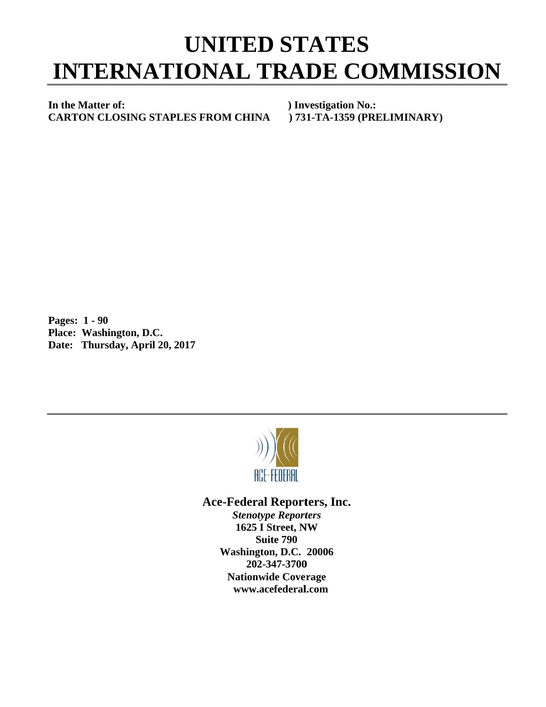## **INTERNATIONAL TRADE COMMISSION UNITED STATES**

In the Matter of: **C CARTON C CLOSING S STAPLES F FROM CHI**

**) Investigation No.: NA ) 73 1-TA-1359 (PRELIMI NARY)** 

**P Pages: 1 - 9 90 P Place: Was hington, D.C C.**  Date: Thursday, April 20, 2017



## Ace-Federal Reporters, Inc.

**Stenotype Reporters 1625 I Street, NW Washin gton, D.C. 20006 20 02-347-3700** 202-347-3700<br>Nationwide Coverage **www w.acefederal l.com Suite 790**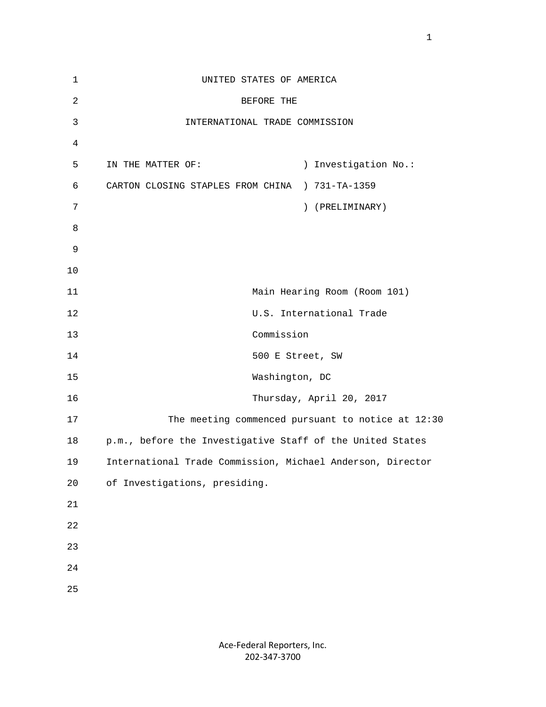| $\mathbf 1$    | UNITED STATES OF AMERICA                                   |
|----------------|------------------------------------------------------------|
| $\overline{2}$ | BEFORE THE                                                 |
| $\mathfrak{Z}$ | INTERNATIONAL TRADE COMMISSION                             |
| $\overline{4}$ |                                                            |
| 5              | ) Investigation No.:<br>IN THE MATTER OF:                  |
| 6              | CARTON CLOSING STAPLES FROM CHINA ) 731-TA-1359            |
| 7              | ) (PRELIMINARY)                                            |
| 8              |                                                            |
| 9              |                                                            |
| 10             |                                                            |
| 11             | Main Hearing Room (Room 101)                               |
| 12             | U.S. International Trade                                   |
| 13             | Commission                                                 |
| 14             | 500 E Street, SW                                           |
| 15             | Washington, DC                                             |
| 16             | Thursday, April 20, 2017                                   |
| 17             | The meeting commenced pursuant to notice at 12:30          |
| 18             | p.m., before the Investigative Staff of the United States  |
| 19             | International Trade Commission, Michael Anderson, Director |
| 20             | of Investigations, presiding.                              |
| 21             |                                                            |
| 22             |                                                            |
| 23             |                                                            |
| 24             |                                                            |
| 25             |                                                            |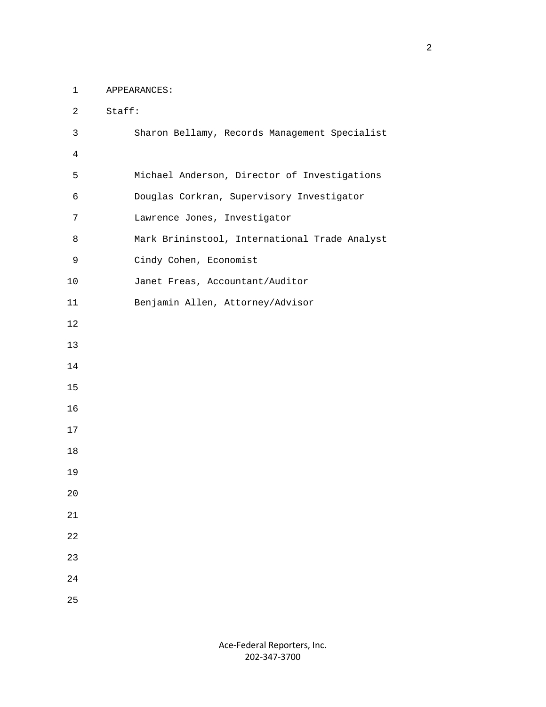1 APPEARANCES:

| $\overline{2}$ | Staff:                                        |
|----------------|-----------------------------------------------|
| 3              | Sharon Bellamy, Records Management Specialist |
| $\overline{4}$ |                                               |
| 5              | Michael Anderson, Director of Investigations  |
| 6              | Douglas Corkran, Supervisory Investigator     |
| 7              | Lawrence Jones, Investigator                  |
| 8              | Mark Brininstool, International Trade Analyst |
| 9              | Cindy Cohen, Economist                        |
| 10             | Janet Freas, Accountant/Auditor               |
| 11             | Benjamin Allen, Attorney/Advisor              |
| 12             |                                               |
| 13             |                                               |
| 14             |                                               |
| 15             |                                               |
| 16             |                                               |
| 17             |                                               |
| 18             |                                               |
| 19             |                                               |
| 20             |                                               |
| 21             |                                               |
| 22             |                                               |
| 23             |                                               |
| 24             |                                               |
| 25             |                                               |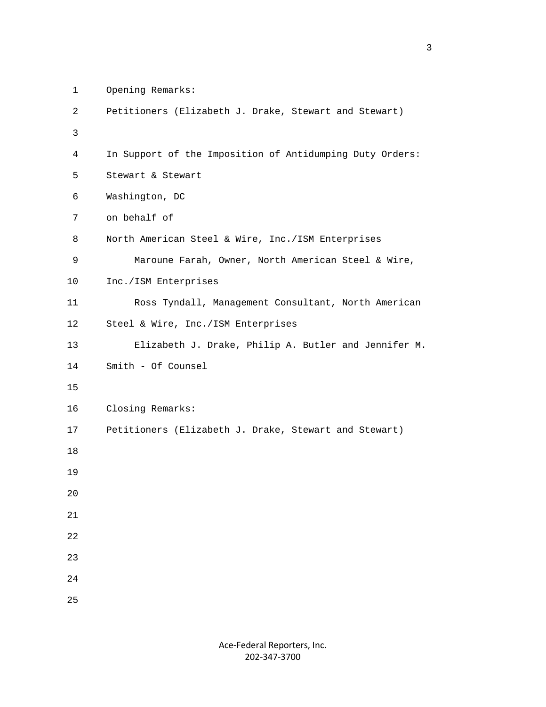```
 1 Opening Remarks:
```

```
 2 Petitioners (Elizabeth J. Drake, Stewart and Stewart) 
3 
          4 In Support of the Imposition of Antidumping Duty Orders: 
          5 Stewart & Stewart 
          6 Washington, DC 
          7 on behalf of 
          8 North American Steel & Wire, Inc./ISM Enterprises 
          9 Maroune Farah, Owner, North American Steel & Wire, 
         10 Inc./ISM Enterprises 
         11 Ross Tyndall, Management Consultant, North American 
         12 Steel & Wire, Inc./ISM Enterprises 
         13 Elizabeth J. Drake, Philip A. Butler and Jennifer M. 
         14 Smith - Of Counsel 
         15 
         16 Closing Remarks: 
         17 Petitioners (Elizabeth J. Drake, Stewart and Stewart) 
         18 
         19 
         20 
         21 
         22 
         23 
         24 
         25
```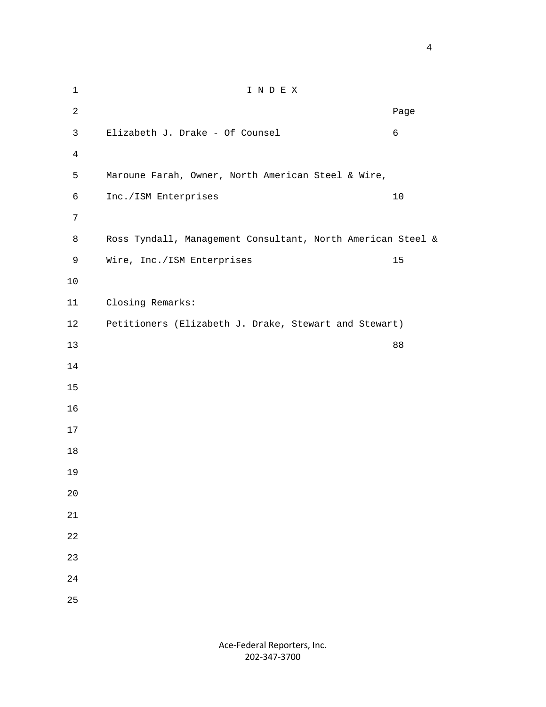1 I N D E X **Page 12 Page 12 Page 12 Page 12 Page 12 Page 12 Page 12 Page 12 Page 12 Page 12 Page 12 Page 12 Page 12 Page 12 Page 12 Page 12 Page 12 Page 12 Page 12 Page 12 Page 12 Page 12** 3 Elizabeth J. Drake - Of Counsel 6 5 Maroune Farah, Owner, North American Steel & Wire, 6 Inc./ISM Enterprises 10 8 Ross Tyndall, Management Consultant, North American Steel & 9 Wire, Inc./ISM Enterprises 15 11 Closing Remarks: 12 Petitioners (Elizabeth J. Drake, Stewart and Stewart) 88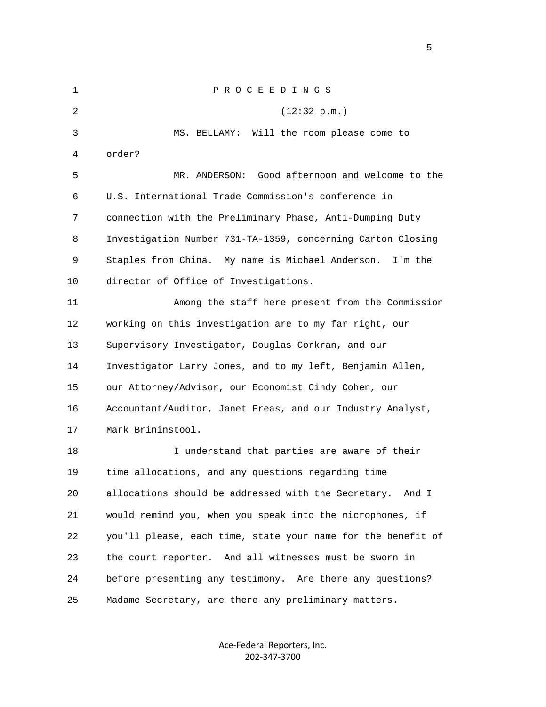1 P R O C E E D I N G S 2 (12:32 p.m.) 3 MS. BELLAMY: Will the room please come to 4 order? 5 MR. ANDERSON: Good afternoon and welcome to the 6 U.S. International Trade Commission's conference in 7 connection with the Preliminary Phase, Anti-Dumping Duty 8 Investigation Number 731-TA-1359, concerning Carton Closing 9 Staples from China. My name is Michael Anderson. I'm the 10 director of Office of Investigations. 11 Among the staff here present from the Commission 12 working on this investigation are to my far right, our 13 Supervisory Investigator, Douglas Corkran, and our 14 Investigator Larry Jones, and to my left, Benjamin Allen, 15 our Attorney/Advisor, our Economist Cindy Cohen, our 16 Accountant/Auditor, Janet Freas, and our Industry Analyst, 17 Mark Brininstool. 18 I understand that parties are aware of their 19 time allocations, and any questions regarding time 20 allocations should be addressed with the Secretary. And I 21 would remind you, when you speak into the microphones, if 22 you'll please, each time, state your name for the benefit of 23 the court reporter. And all witnesses must be sworn in 24 before presenting any testimony. Are there any questions? 25 Madame Secretary, are there any preliminary matters.

> Ace‐Federal Reporters, Inc. 202‐347‐3700

 $\sim$  5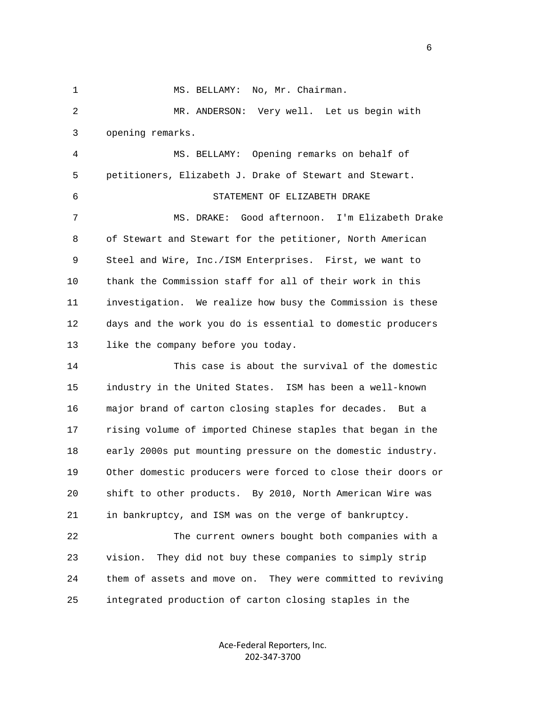1 MS. BELLAMY: No, Mr. Chairman. 2 MR. ANDERSON: Very well. Let us begin with 3 opening remarks. 4 MS. BELLAMY: Opening remarks on behalf of 5 petitioners, Elizabeth J. Drake of Stewart and Stewart. 6 STATEMENT OF ELIZABETH DRAKE 7 MS. DRAKE: Good afternoon. I'm Elizabeth Drake 8 of Stewart and Stewart for the petitioner, North American 9 Steel and Wire, Inc./ISM Enterprises. First, we want to 10 thank the Commission staff for all of their work in this 11 investigation. We realize how busy the Commission is these 12 days and the work you do is essential to domestic producers 13 like the company before you today. 14 This case is about the survival of the domestic 15 industry in the United States. ISM has been a well-known 16 major brand of carton closing staples for decades. But a 17 rising volume of imported Chinese staples that began in the 18 early 2000s put mounting pressure on the domestic industry. 19 Other domestic producers were forced to close their doors or 20 shift to other products. By 2010, North American Wire was 21 in bankruptcy, and ISM was on the verge of bankruptcy. 22 The current owners bought both companies with a 23 vision. They did not buy these companies to simply strip 24 them of assets and move on. They were committed to reviving 25 integrated production of carton closing staples in the

> Ace‐Federal Reporters, Inc. 202‐347‐3700

 $\sim$  6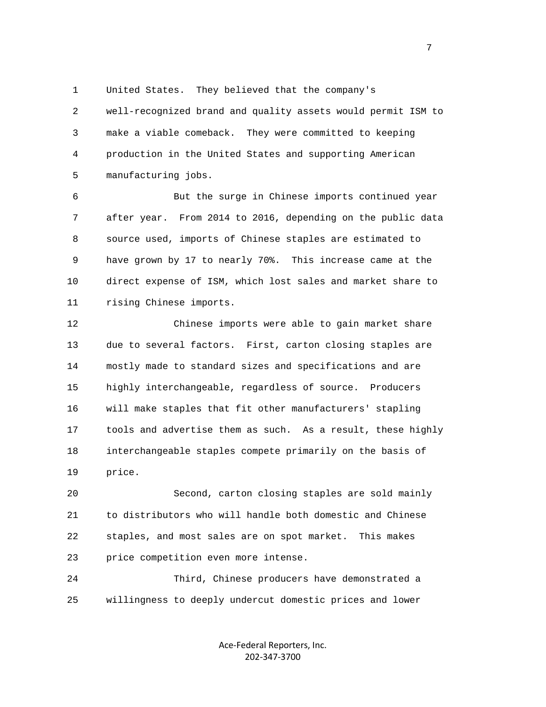1 United States. They believed that the company's

 2 well-recognized brand and quality assets would permit ISM to 3 make a viable comeback. They were committed to keeping 4 production in the United States and supporting American 5 manufacturing jobs.

 6 But the surge in Chinese imports continued year 7 after year. From 2014 to 2016, depending on the public data 8 source used, imports of Chinese staples are estimated to 9 have grown by 17 to nearly 70%. This increase came at the 10 direct expense of ISM, which lost sales and market share to 11 rising Chinese imports.

 12 Chinese imports were able to gain market share 13 due to several factors. First, carton closing staples are 14 mostly made to standard sizes and specifications and are 15 highly interchangeable, regardless of source. Producers 16 will make staples that fit other manufacturers' stapling 17 tools and advertise them as such. As a result, these highly 18 interchangeable staples compete primarily on the basis of 19 price.

 20 Second, carton closing staples are sold mainly 21 to distributors who will handle both domestic and Chinese 22 staples, and most sales are on spot market. This makes 23 price competition even more intense.

 24 Third, Chinese producers have demonstrated a 25 willingness to deeply undercut domestic prices and lower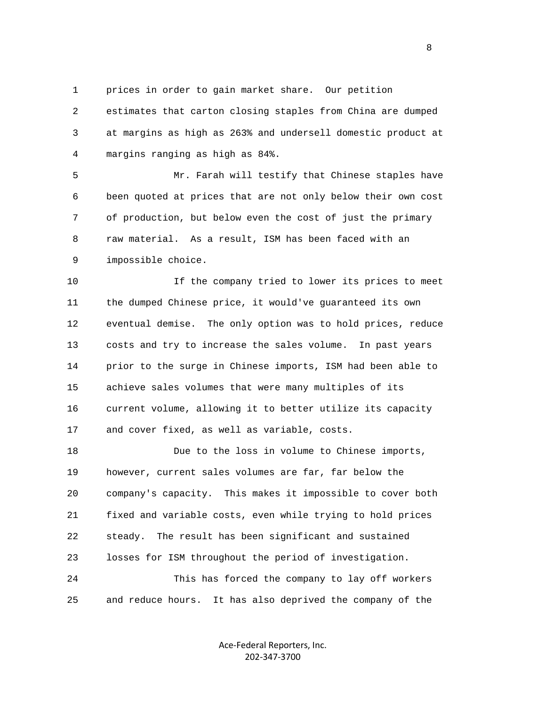1 prices in order to gain market share. Our petition

 2 estimates that carton closing staples from China are dumped 3 at margins as high as 263% and undersell domestic product at 4 margins ranging as high as 84%.

 5 Mr. Farah will testify that Chinese staples have 6 been quoted at prices that are not only below their own cost 7 of production, but below even the cost of just the primary 8 raw material. As a result, ISM has been faced with an 9 impossible choice.

 10 If the company tried to lower its prices to meet 11 the dumped Chinese price, it would've guaranteed its own 12 eventual demise. The only option was to hold prices, reduce 13 costs and try to increase the sales volume. In past years 14 prior to the surge in Chinese imports, ISM had been able to 15 achieve sales volumes that were many multiples of its 16 current volume, allowing it to better utilize its capacity 17 and cover fixed, as well as variable, costs.

 18 Due to the loss in volume to Chinese imports, 19 however, current sales volumes are far, far below the 20 company's capacity. This makes it impossible to cover both 21 fixed and variable costs, even while trying to hold prices 22 steady. The result has been significant and sustained 23 losses for ISM throughout the period of investigation. 24 This has forced the company to lay off workers 25 and reduce hours. It has also deprived the company of the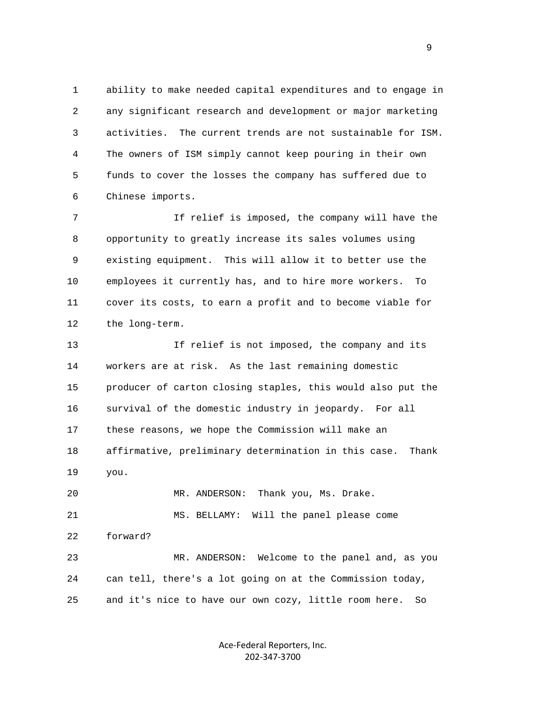1 ability to make needed capital expenditures and to engage in 2 any significant research and development or major marketing 3 activities. The current trends are not sustainable for ISM. 4 The owners of ISM simply cannot keep pouring in their own 5 funds to cover the losses the company has suffered due to 6 Chinese imports.

 7 If relief is imposed, the company will have the 8 opportunity to greatly increase its sales volumes using 9 existing equipment. This will allow it to better use the 10 employees it currently has, and to hire more workers. To 11 cover its costs, to earn a profit and to become viable for 12 the long-term.

 13 If relief is not imposed, the company and its 14 workers are at risk. As the last remaining domestic 15 producer of carton closing staples, this would also put the 16 survival of the domestic industry in jeopardy. For all 17 these reasons, we hope the Commission will make an 18 affirmative, preliminary determination in this case. Thank 19 you.

 21 MS. BELLAMY: Will the panel please come 22 forward? 23 MR. ANDERSON: Welcome to the panel and, as you 24 can tell, there's a lot going on at the Commission today, 25 and it's nice to have our own cozy, little room here. So

20 MR. ANDERSON: Thank you, Ms. Drake.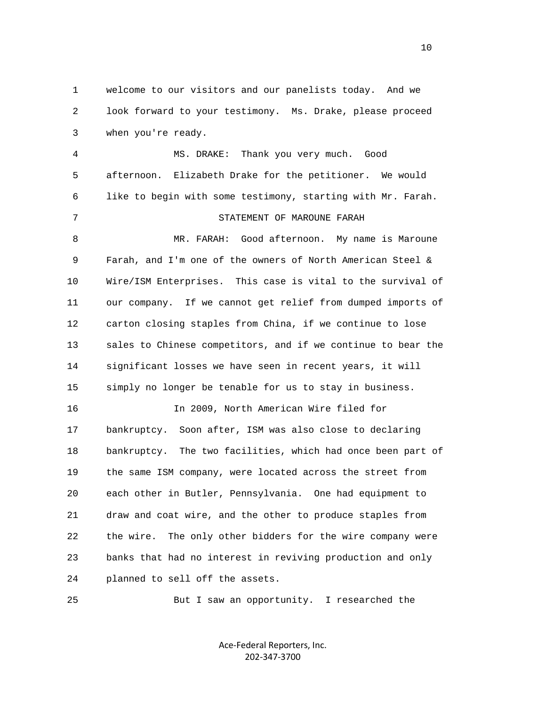1 welcome to our visitors and our panelists today. And we 2 look forward to your testimony. Ms. Drake, please proceed 3 when you're ready.

 4 MS. DRAKE: Thank you very much. Good 5 afternoon. Elizabeth Drake for the petitioner. We would 6 like to begin with some testimony, starting with Mr. Farah. 7 STATEMENT OF MAROUNE FARAH 8 MR. FARAH: Good afternoon. My name is Maroune 9 Farah, and I'm one of the owners of North American Steel & 10 Wire/ISM Enterprises. This case is vital to the survival of 11 our company. If we cannot get relief from dumped imports of 12 carton closing staples from China, if we continue to lose 13 sales to Chinese competitors, and if we continue to bear the 14 significant losses we have seen in recent years, it will 15 simply no longer be tenable for us to stay in business. 16 In 2009, North American Wire filed for 17 bankruptcy. Soon after, ISM was also close to declaring 18 bankruptcy. The two facilities, which had once been part of 19 the same ISM company, were located across the street from 20 each other in Butler, Pennsylvania. One had equipment to 21 draw and coat wire, and the other to produce staples from 22 the wire. The only other bidders for the wire company were 23 banks that had no interest in reviving production and only

24 planned to sell off the assets.

25 But I saw an opportunity. I researched the

Ace‐Federal Reporters, Inc. 202‐347‐3700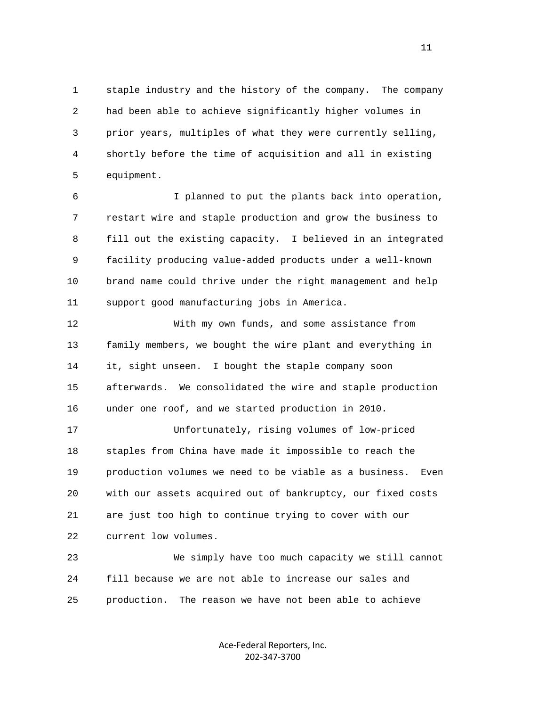1 staple industry and the history of the company. The company 2 had been able to achieve significantly higher volumes in 3 prior years, multiples of what they were currently selling, 4 shortly before the time of acquisition and all in existing 5 equipment.

 6 I planned to put the plants back into operation, 7 restart wire and staple production and grow the business to 8 fill out the existing capacity. I believed in an integrated 9 facility producing value-added products under a well-known 10 brand name could thrive under the right management and help 11 support good manufacturing jobs in America.

 12 With my own funds, and some assistance from 13 family members, we bought the wire plant and everything in 14 it, sight unseen. I bought the staple company soon 15 afterwards. We consolidated the wire and staple production 16 under one roof, and we started production in 2010.

 17 Unfortunately, rising volumes of low-priced 18 staples from China have made it impossible to reach the 19 production volumes we need to be viable as a business. Even 20 with our assets acquired out of bankruptcy, our fixed costs 21 are just too high to continue trying to cover with our 22 current low volumes.

 23 We simply have too much capacity we still cannot 24 fill because we are not able to increase our sales and 25 production. The reason we have not been able to achieve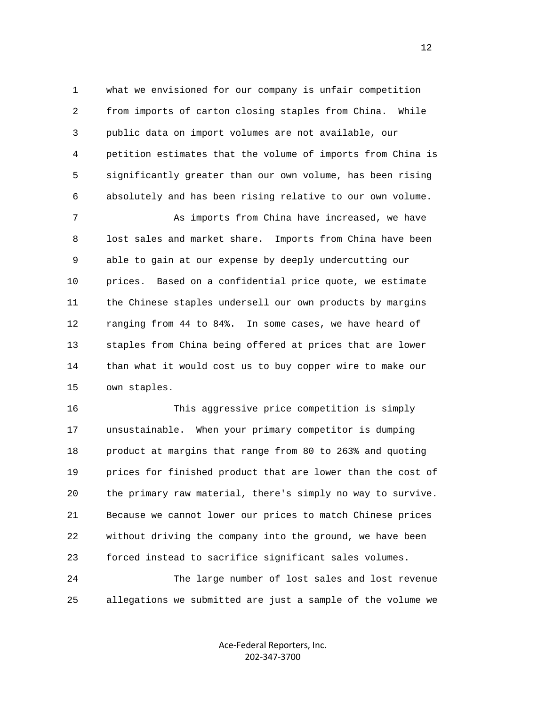1 what we envisioned for our company is unfair competition 2 from imports of carton closing staples from China. While 3 public data on import volumes are not available, our 4 petition estimates that the volume of imports from China is 5 significantly greater than our own volume, has been rising 6 absolutely and has been rising relative to our own volume.

 7 As imports from China have increased, we have 8 lost sales and market share. Imports from China have been 9 able to gain at our expense by deeply undercutting our 10 prices. Based on a confidential price quote, we estimate 11 the Chinese staples undersell our own products by margins 12 ranging from 44 to 84%. In some cases, we have heard of 13 staples from China being offered at prices that are lower 14 than what it would cost us to buy copper wire to make our 15 own staples.

 16 This aggressive price competition is simply 17 unsustainable. When your primary competitor is dumping 18 product at margins that range from 80 to 263% and quoting 19 prices for finished product that are lower than the cost of 20 the primary raw material, there's simply no way to survive. 21 Because we cannot lower our prices to match Chinese prices 22 without driving the company into the ground, we have been 23 forced instead to sacrifice significant sales volumes. 24 The large number of lost sales and lost revenue

25 allegations we submitted are just a sample of the volume we

Ace‐Federal Reporters, Inc. 202‐347‐3700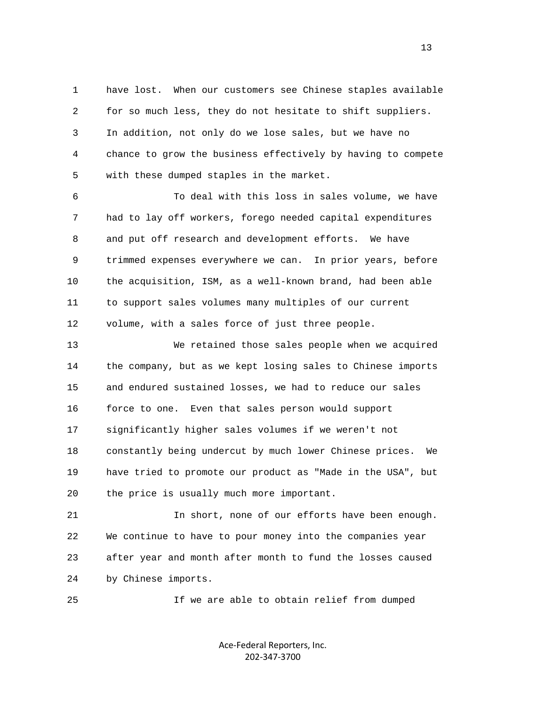1 have lost. When our customers see Chinese staples available 2 for so much less, they do not hesitate to shift suppliers. 3 In addition, not only do we lose sales, but we have no 4 chance to grow the business effectively by having to compete 5 with these dumped staples in the market.

 6 To deal with this loss in sales volume, we have 7 had to lay off workers, forego needed capital expenditures 8 and put off research and development efforts. We have 9 trimmed expenses everywhere we can. In prior years, before 10 the acquisition, ISM, as a well-known brand, had been able 11 to support sales volumes many multiples of our current 12 volume, with a sales force of just three people.

 13 We retained those sales people when we acquired 14 the company, but as we kept losing sales to Chinese imports 15 and endured sustained losses, we had to reduce our sales 16 force to one. Even that sales person would support 17 significantly higher sales volumes if we weren't not 18 constantly being undercut by much lower Chinese prices. We 19 have tried to promote our product as "Made in the USA", but 20 the price is usually much more important.

 21 In short, none of our efforts have been enough. 22 We continue to have to pour money into the companies year 23 after year and month after month to fund the losses caused 24 by Chinese imports.

25 If we are able to obtain relief from dumped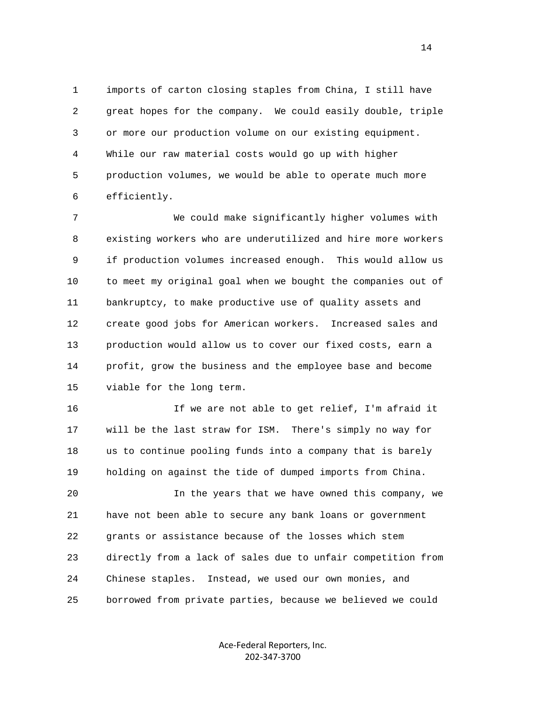1 imports of carton closing staples from China, I still have 2 great hopes for the company. We could easily double, triple 3 or more our production volume on our existing equipment. 4 While our raw material costs would go up with higher 5 production volumes, we would be able to operate much more 6 efficiently.

 7 We could make significantly higher volumes with 8 existing workers who are underutilized and hire more workers 9 if production volumes increased enough. This would allow us 10 to meet my original goal when we bought the companies out of 11 bankruptcy, to make productive use of quality assets and 12 create good jobs for American workers. Increased sales and 13 production would allow us to cover our fixed costs, earn a 14 profit, grow the business and the employee base and become 15 viable for the long term.

 16 If we are not able to get relief, I'm afraid it 17 will be the last straw for ISM. There's simply no way for 18 us to continue pooling funds into a company that is barely 19 holding on against the tide of dumped imports from China.

 20 In the years that we have owned this company, we 21 have not been able to secure any bank loans or government 22 grants or assistance because of the losses which stem 23 directly from a lack of sales due to unfair competition from 24 Chinese staples. Instead, we used our own monies, and 25 borrowed from private parties, because we believed we could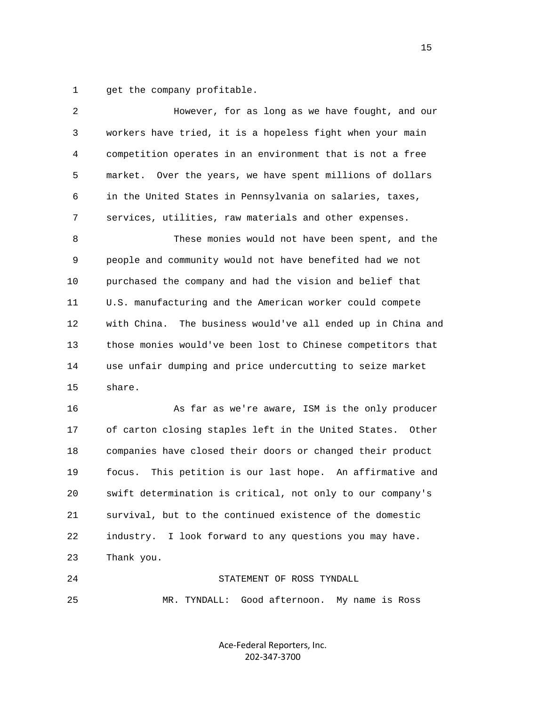1 get the company profitable.

| 2  | However, for as long as we have fought, and our                |
|----|----------------------------------------------------------------|
| 3  | workers have tried, it is a hopeless fight when your main      |
| 4  | competition operates in an environment that is not a free      |
| 5  | market.<br>Over the years, we have spent millions of dollars   |
| 6  | in the United States in Pennsylvania on salaries, taxes,       |
| 7  | services, utilities, raw materials and other expenses.         |
| 8  | These monies would not have been spent, and the                |
| 9  | people and community would not have benefited had we not       |
| 10 | purchased the company and had the vision and belief that       |
| 11 | U.S. manufacturing and the American worker could compete       |
| 12 | with China.<br>The business would've all ended up in China and |
| 13 | those monies would've been lost to Chinese competitors that    |
| 14 | use unfair dumping and price undercutting to seize market      |
| 15 | share.                                                         |
| 16 | As far as we're aware, ISM is the only producer                |
| 17 | of carton closing staples left in the United States.<br>Other  |
| 18 | companies have closed their doors or changed their product     |
| 19 | This petition is our last hope. An affirmative and<br>focus.   |
| 20 | swift determination is critical, not only to our company's     |
| 21 | survival, but to the continued existence of the domestic       |
| 22 | industry. I look forward to any questions you may have.        |
| 23 | Thank you.                                                     |
| 24 | STATEMENT OF ROSS TYNDALL                                      |
| 25 | Good afternoon.<br>MR. TYNDALL:<br>My name is Ross             |

Ace‐Federal Reporters, Inc. 202‐347‐3700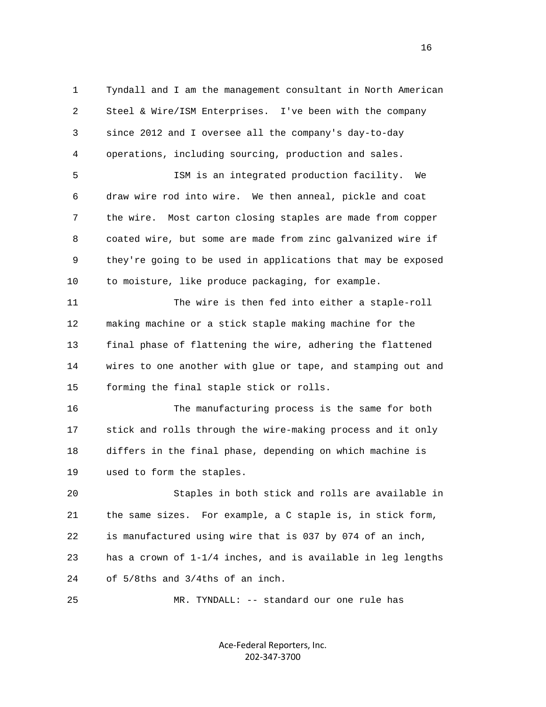1 Tyndall and I am the management consultant in North American 2 Steel & Wire/ISM Enterprises. I've been with the company 3 since 2012 and I oversee all the company's day-to-day 4 operations, including sourcing, production and sales.

 5 ISM is an integrated production facility. We 6 draw wire rod into wire. We then anneal, pickle and coat 7 the wire. Most carton closing staples are made from copper 8 coated wire, but some are made from zinc galvanized wire if 9 they're going to be used in applications that may be exposed 10 to moisture, like produce packaging, for example.

 11 The wire is then fed into either a staple-roll 12 making machine or a stick staple making machine for the 13 final phase of flattening the wire, adhering the flattened 14 wires to one another with glue or tape, and stamping out and 15 forming the final staple stick or rolls.

 16 The manufacturing process is the same for both 17 stick and rolls through the wire-making process and it only 18 differs in the final phase, depending on which machine is 19 used to form the staples.

 20 Staples in both stick and rolls are available in 21 the same sizes. For example, a C staple is, in stick form, 22 is manufactured using wire that is 037 by 074 of an inch, 23 has a crown of 1-1/4 inches, and is available in leg lengths 24 of 5/8ths and 3/4ths of an inch.

25 MR. TYNDALL: -- standard our one rule has

Ace‐Federal Reporters, Inc. 202‐347‐3700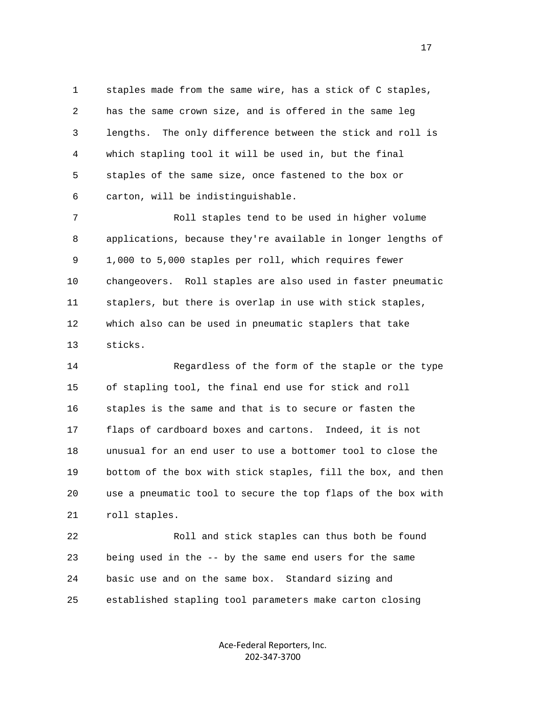1 staples made from the same wire, has a stick of C staples, 2 has the same crown size, and is offered in the same leg 3 lengths. The only difference between the stick and roll is 4 which stapling tool it will be used in, but the final 5 staples of the same size, once fastened to the box or 6 carton, will be indistinguishable.

 7 Roll staples tend to be used in higher volume 8 applications, because they're available in longer lengths of 9 1,000 to 5,000 staples per roll, which requires fewer 10 changeovers. Roll staples are also used in faster pneumatic 11 staplers, but there is overlap in use with stick staples, 12 which also can be used in pneumatic staplers that take 13 sticks.

 14 Regardless of the form of the staple or the type 15 of stapling tool, the final end use for stick and roll 16 staples is the same and that is to secure or fasten the 17 flaps of cardboard boxes and cartons. Indeed, it is not 18 unusual for an end user to use a bottomer tool to close the 19 bottom of the box with stick staples, fill the box, and then 20 use a pneumatic tool to secure the top flaps of the box with 21 roll staples.

 22 Roll and stick staples can thus both be found 23 being used in the -- by the same end users for the same 24 basic use and on the same box. Standard sizing and 25 established stapling tool parameters make carton closing

> Ace‐Federal Reporters, Inc. 202‐347‐3700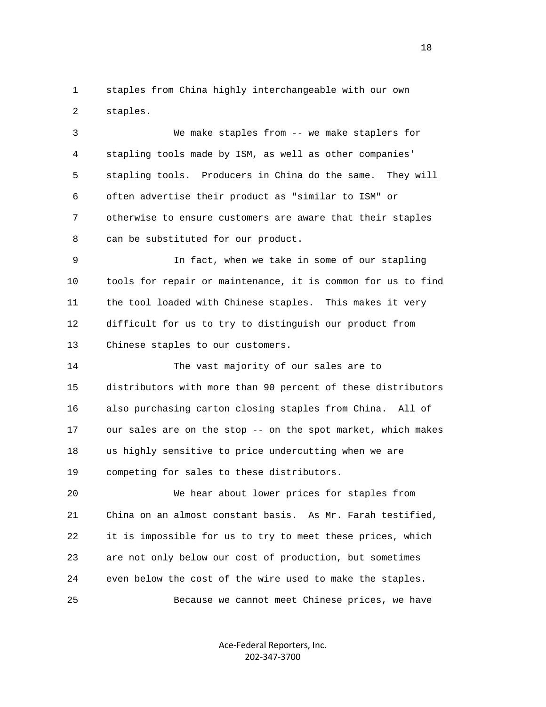1 staples from China highly interchangeable with our own 2 staples.

 3 We make staples from -- we make staplers for 4 stapling tools made by ISM, as well as other companies' 5 stapling tools. Producers in China do the same. They will 6 often advertise their product as "similar to ISM" or 7 otherwise to ensure customers are aware that their staples 8 can be substituted for our product.

 9 In fact, when we take in some of our stapling 10 tools for repair or maintenance, it is common for us to find 11 the tool loaded with Chinese staples. This makes it very 12 difficult for us to try to distinguish our product from 13 Chinese staples to our customers.

 14 The vast majority of our sales are to 15 distributors with more than 90 percent of these distributors 16 also purchasing carton closing staples from China. All of 17 our sales are on the stop -- on the spot market, which makes 18 us highly sensitive to price undercutting when we are 19 competing for sales to these distributors.

 20 We hear about lower prices for staples from 21 China on an almost constant basis. As Mr. Farah testified, 22 it is impossible for us to try to meet these prices, which 23 are not only below our cost of production, but sometimes 24 even below the cost of the wire used to make the staples. 25 Because we cannot meet Chinese prices, we have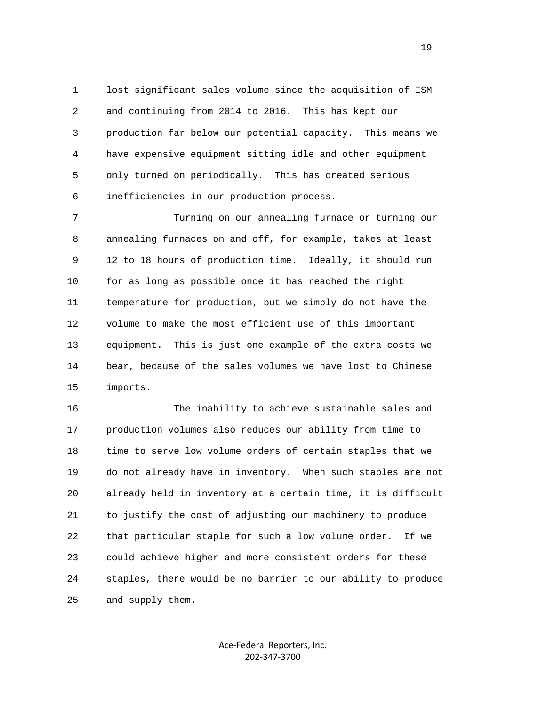1 lost significant sales volume since the acquisition of ISM 2 and continuing from 2014 to 2016. This has kept our 3 production far below our potential capacity. This means we 4 have expensive equipment sitting idle and other equipment 5 only turned on periodically. This has created serious 6 inefficiencies in our production process.

 7 Turning on our annealing furnace or turning our 8 annealing furnaces on and off, for example, takes at least 9 12 to 18 hours of production time. Ideally, it should run 10 for as long as possible once it has reached the right 11 temperature for production, but we simply do not have the 12 volume to make the most efficient use of this important 13 equipment. This is just one example of the extra costs we 14 bear, because of the sales volumes we have lost to Chinese 15 imports.

 16 The inability to achieve sustainable sales and 17 production volumes also reduces our ability from time to 18 time to serve low volume orders of certain staples that we 19 do not already have in inventory. When such staples are not 20 already held in inventory at a certain time, it is difficult 21 to justify the cost of adjusting our machinery to produce 22 that particular staple for such a low volume order. If we 23 could achieve higher and more consistent orders for these 24 staples, there would be no barrier to our ability to produce 25 and supply them.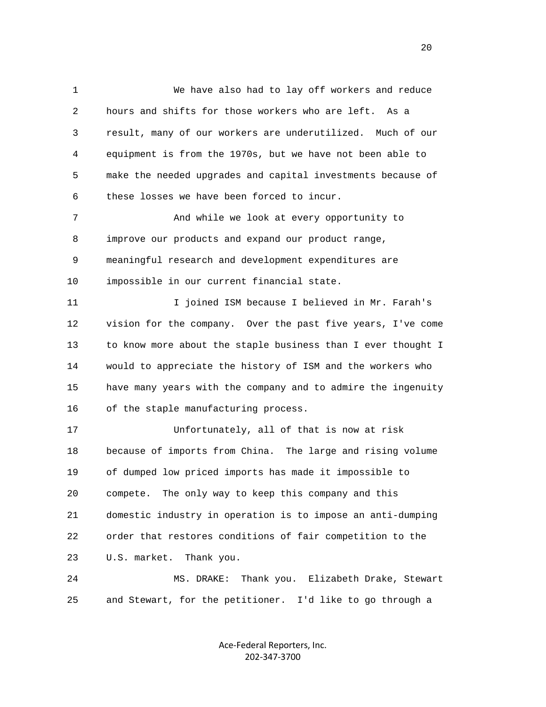1 We have also had to lay off workers and reduce 2 hours and shifts for those workers who are left. As a 3 result, many of our workers are underutilized. Much of our 4 equipment is from the 1970s, but we have not been able to 5 make the needed upgrades and capital investments because of 6 these losses we have been forced to incur. 7 And while we look at every opportunity to 8 improve our products and expand our product range, 9 meaningful research and development expenditures are 10 impossible in our current financial state. 11 I joined ISM because I believed in Mr. Farah's 12 vision for the company. Over the past five years, I've come 13 to know more about the staple business than I ever thought I 14 would to appreciate the history of ISM and the workers who 15 have many years with the company and to admire the ingenuity 16 of the staple manufacturing process. 17 Unfortunately, all of that is now at risk 18 because of imports from China. The large and rising volume 19 of dumped low priced imports has made it impossible to 20 compete. The only way to keep this company and this 21 domestic industry in operation is to impose an anti-dumping 22 order that restores conditions of fair competition to the 23 U.S. market. Thank you. 24 MS. DRAKE: Thank you. Elizabeth Drake, Stewart 25 and Stewart, for the petitioner. I'd like to go through a

> Ace‐Federal Reporters, Inc. 202‐347‐3700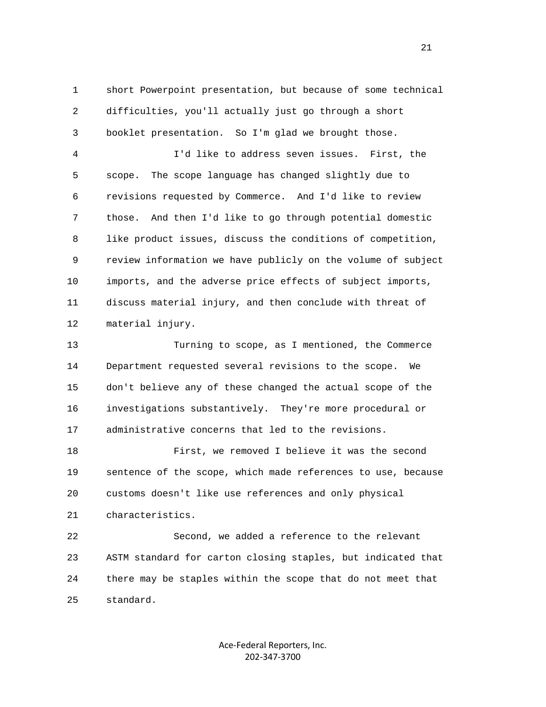1 short Powerpoint presentation, but because of some technical 2 difficulties, you'll actually just go through a short 3 booklet presentation. So I'm glad we brought those.

 4 I'd like to address seven issues. First, the 5 scope. The scope language has changed slightly due to 6 revisions requested by Commerce. And I'd like to review 7 those. And then I'd like to go through potential domestic 8 like product issues, discuss the conditions of competition, 9 review information we have publicly on the volume of subject 10 imports, and the adverse price effects of subject imports, 11 discuss material injury, and then conclude with threat of 12 material injury.

 13 Turning to scope, as I mentioned, the Commerce 14 Department requested several revisions to the scope. We 15 don't believe any of these changed the actual scope of the 16 investigations substantively. They're more procedural or 17 administrative concerns that led to the revisions.

 18 First, we removed I believe it was the second 19 sentence of the scope, which made references to use, because 20 customs doesn't like use references and only physical 21 characteristics.

 22 Second, we added a reference to the relevant 23 ASTM standard for carton closing staples, but indicated that 24 there may be staples within the scope that do not meet that 25 standard.

> Ace‐Federal Reporters, Inc. 202‐347‐3700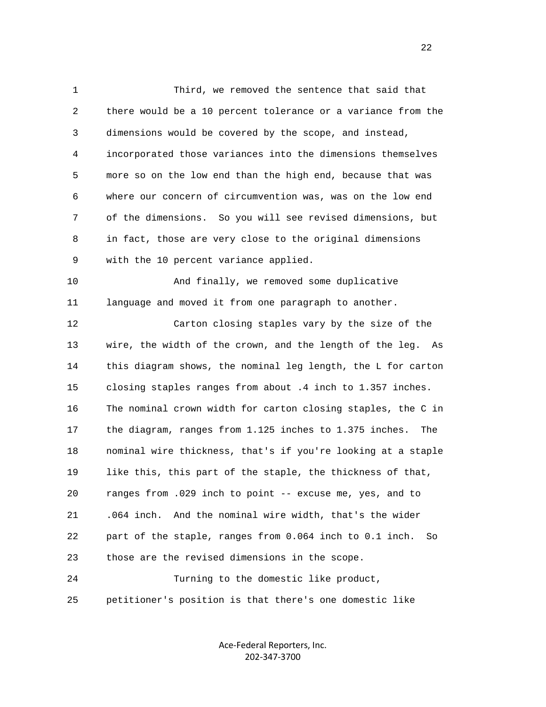1 Third, we removed the sentence that said that 2 there would be a 10 percent tolerance or a variance from the 3 dimensions would be covered by the scope, and instead, 4 incorporated those variances into the dimensions themselves 5 more so on the low end than the high end, because that was 6 where our concern of circumvention was, was on the low end 7 of the dimensions. So you will see revised dimensions, but 8 in fact, those are very close to the original dimensions 9 with the 10 percent variance applied. 10 And finally, we removed some duplicative 11 language and moved it from one paragraph to another. 12 Carton closing staples vary by the size of the 13 wire, the width of the crown, and the length of the leg. As 14 this diagram shows, the nominal leg length, the L for carton 15 closing staples ranges from about .4 inch to 1.357 inches. 16 The nominal crown width for carton closing staples, the C in 17 the diagram, ranges from 1.125 inches to 1.375 inches. The 18 nominal wire thickness, that's if you're looking at a staple 19 like this, this part of the staple, the thickness of that, 20 ranges from .029 inch to point -- excuse me, yes, and to 21 .064 inch. And the nominal wire width, that's the wider 22 part of the staple, ranges from 0.064 inch to 0.1 inch. So 23 those are the revised dimensions in the scope. 24 Turning to the domestic like product,

25 petitioner's position is that there's one domestic like

Ace‐Federal Reporters, Inc. 202‐347‐3700

22 a set of the state of the state of the state of the state of the state of the state of the state of the state of the state of the state of the state of the state of the state of the state of the state of the state of th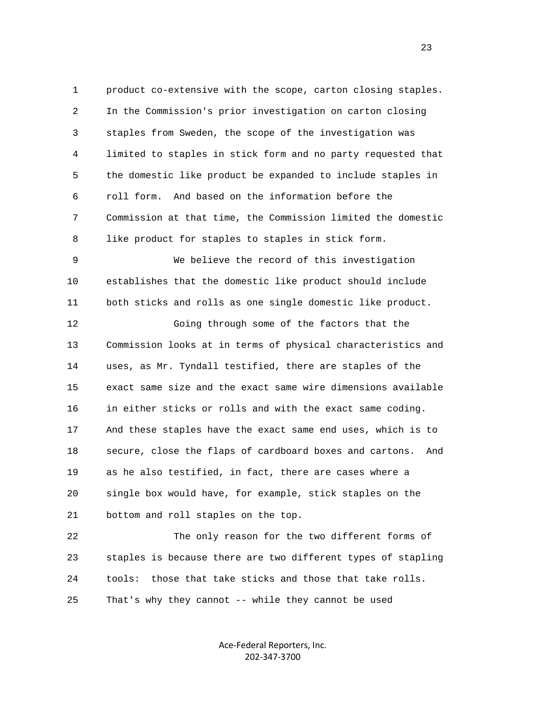1 product co-extensive with the scope, carton closing staples. 2 In the Commission's prior investigation on carton closing 3 staples from Sweden, the scope of the investigation was 4 limited to staples in stick form and no party requested that 5 the domestic like product be expanded to include staples in 6 roll form. And based on the information before the 7 Commission at that time, the Commission limited the domestic 8 like product for staples to staples in stick form.

 9 We believe the record of this investigation 10 establishes that the domestic like product should include 11 both sticks and rolls as one single domestic like product.

 12 Going through some of the factors that the 13 Commission looks at in terms of physical characteristics and 14 uses, as Mr. Tyndall testified, there are staples of the 15 exact same size and the exact same wire dimensions available 16 in either sticks or rolls and with the exact same coding. 17 And these staples have the exact same end uses, which is to 18 secure, close the flaps of cardboard boxes and cartons. And 19 as he also testified, in fact, there are cases where a 20 single box would have, for example, stick staples on the 21 bottom and roll staples on the top.

 22 The only reason for the two different forms of 23 staples is because there are two different types of stapling 24 tools: those that take sticks and those that take rolls. 25 That's why they cannot -- while they cannot be used

> Ace‐Federal Reporters, Inc. 202‐347‐3700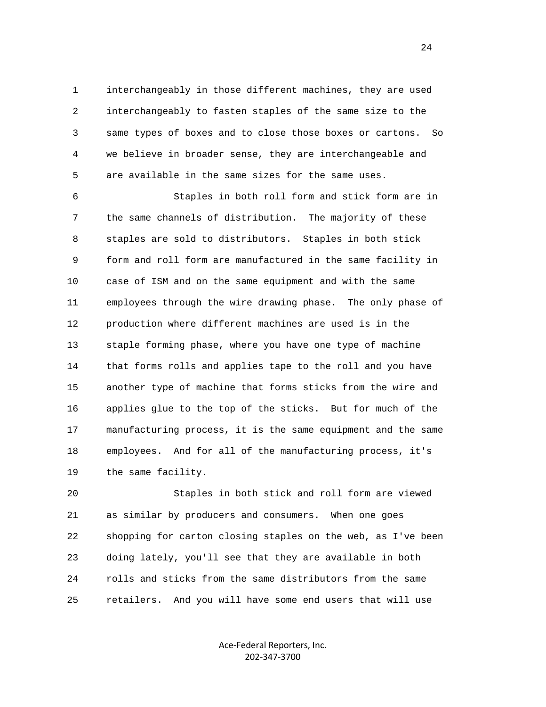1 interchangeably in those different machines, they are used 2 interchangeably to fasten staples of the same size to the 3 same types of boxes and to close those boxes or cartons. So 4 we believe in broader sense, they are interchangeable and 5 are available in the same sizes for the same uses.

 6 Staples in both roll form and stick form are in 7 the same channels of distribution. The majority of these 8 staples are sold to distributors. Staples in both stick 9 form and roll form are manufactured in the same facility in 10 case of ISM and on the same equipment and with the same 11 employees through the wire drawing phase. The only phase of 12 production where different machines are used is in the 13 staple forming phase, where you have one type of machine 14 that forms rolls and applies tape to the roll and you have 15 another type of machine that forms sticks from the wire and 16 applies glue to the top of the sticks. But for much of the 17 manufacturing process, it is the same equipment and the same 18 employees. And for all of the manufacturing process, it's 19 the same facility.

 20 Staples in both stick and roll form are viewed 21 as similar by producers and consumers. When one goes 22 shopping for carton closing staples on the web, as I've been 23 doing lately, you'll see that they are available in both 24 rolls and sticks from the same distributors from the same 25 retailers. And you will have some end users that will use

> Ace‐Federal Reporters, Inc. 202‐347‐3700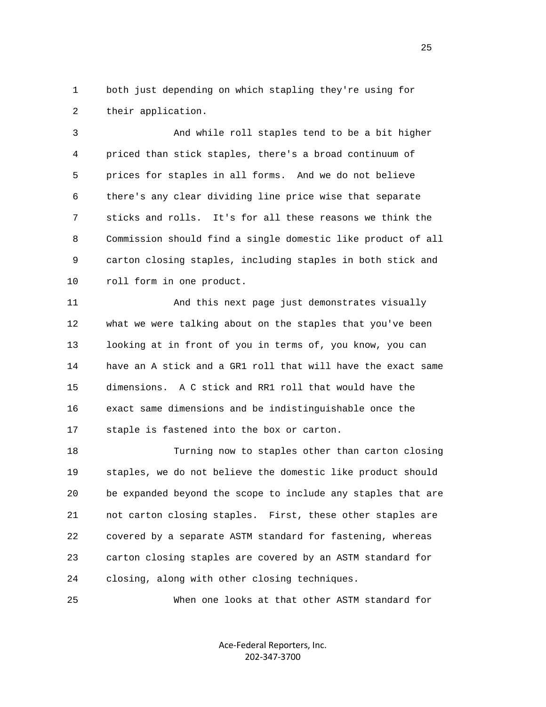1 both just depending on which stapling they're using for 2 their application.

 3 And while roll staples tend to be a bit higher 4 priced than stick staples, there's a broad continuum of 5 prices for staples in all forms. And we do not believe 6 there's any clear dividing line price wise that separate 7 sticks and rolls. It's for all these reasons we think the 8 Commission should find a single domestic like product of all 9 carton closing staples, including staples in both stick and 10 roll form in one product.

 11 And this next page just demonstrates visually 12 what we were talking about on the staples that you've been 13 looking at in front of you in terms of, you know, you can 14 have an A stick and a GR1 roll that will have the exact same 15 dimensions. A C stick and RR1 roll that would have the 16 exact same dimensions and be indistinguishable once the 17 staple is fastened into the box or carton.

 18 Turning now to staples other than carton closing 19 staples, we do not believe the domestic like product should 20 be expanded beyond the scope to include any staples that are 21 not carton closing staples. First, these other staples are 22 covered by a separate ASTM standard for fastening, whereas 23 carton closing staples are covered by an ASTM standard for 24 closing, along with other closing techniques.

25 When one looks at that other ASTM standard for

Ace‐Federal Reporters, Inc. 202‐347‐3700

25 and 25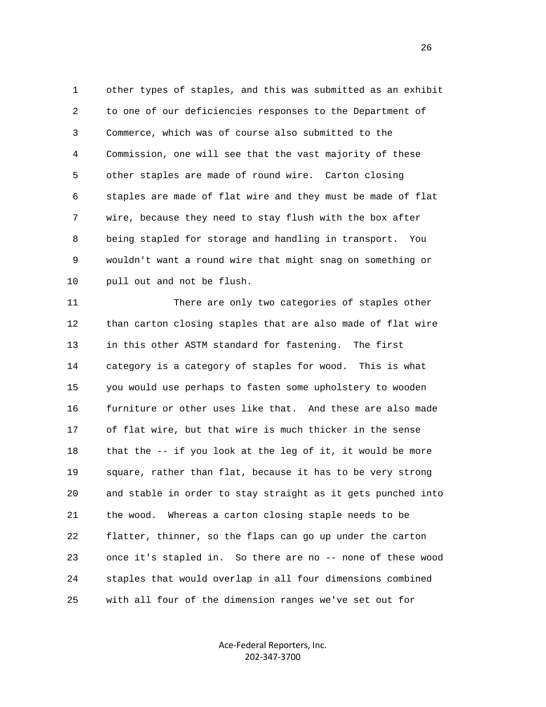1 other types of staples, and this was submitted as an exhibit 2 to one of our deficiencies responses to the Department of 3 Commerce, which was of course also submitted to the 4 Commission, one will see that the vast majority of these 5 other staples are made of round wire. Carton closing 6 staples are made of flat wire and they must be made of flat 7 wire, because they need to stay flush with the box after 8 being stapled for storage and handling in transport. You 9 wouldn't want a round wire that might snag on something or 10 pull out and not be flush.

 11 There are only two categories of staples other 12 than carton closing staples that are also made of flat wire 13 in this other ASTM standard for fastening. The first 14 category is a category of staples for wood. This is what 15 you would use perhaps to fasten some upholstery to wooden 16 furniture or other uses like that. And these are also made 17 of flat wire, but that wire is much thicker in the sense 18 that the -- if you look at the leg of it, it would be more 19 square, rather than flat, because it has to be very strong 20 and stable in order to stay straight as it gets punched into 21 the wood. Whereas a carton closing staple needs to be 22 flatter, thinner, so the flaps can go up under the carton 23 once it's stapled in. So there are no -- none of these wood 24 staples that would overlap in all four dimensions combined 25 with all four of the dimension ranges we've set out for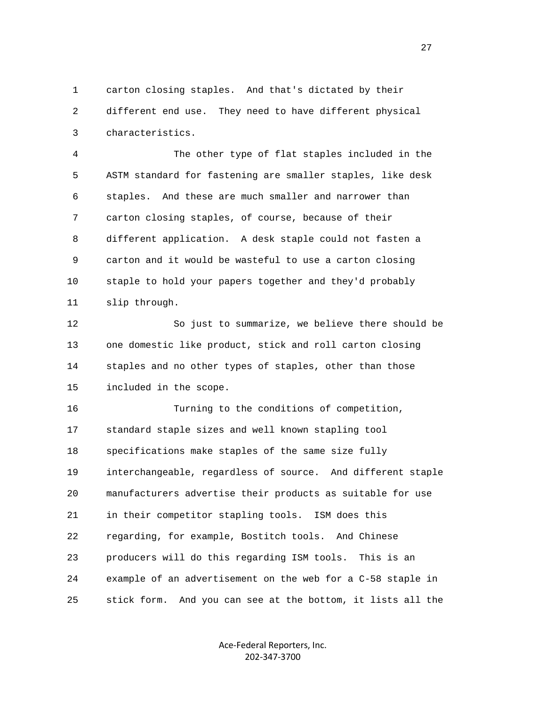1 carton closing staples. And that's dictated by their 2 different end use. They need to have different physical 3 characteristics.

 4 The other type of flat staples included in the 5 ASTM standard for fastening are smaller staples, like desk 6 staples. And these are much smaller and narrower than 7 carton closing staples, of course, because of their 8 different application. A desk staple could not fasten a 9 carton and it would be wasteful to use a carton closing 10 staple to hold your papers together and they'd probably 11 slip through.

 12 So just to summarize, we believe there should be 13 one domestic like product, stick and roll carton closing 14 staples and no other types of staples, other than those 15 included in the scope.

 16 Turning to the conditions of competition, 17 standard staple sizes and well known stapling tool 18 specifications make staples of the same size fully 19 interchangeable, regardless of source. And different staple 20 manufacturers advertise their products as suitable for use 21 in their competitor stapling tools. ISM does this 22 regarding, for example, Bostitch tools. And Chinese 23 producers will do this regarding ISM tools. This is an 24 example of an advertisement on the web for a C-58 staple in 25 stick form. And you can see at the bottom, it lists all the

> Ace‐Federal Reporters, Inc. 202‐347‐3700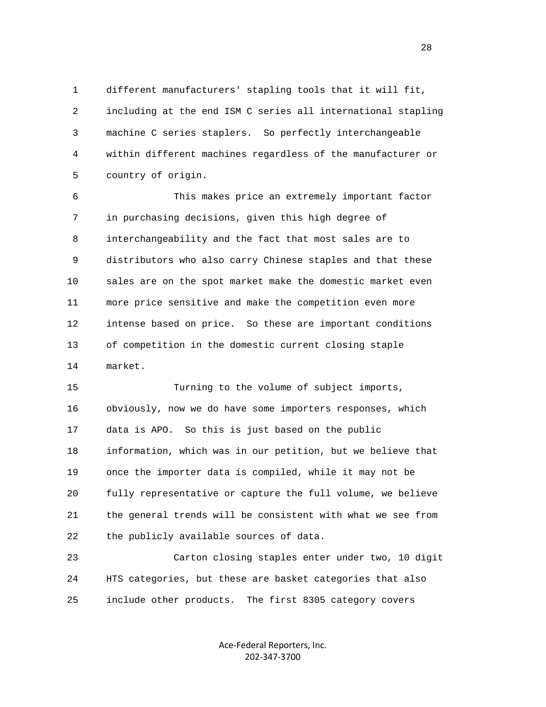1 different manufacturers' stapling tools that it will fit, 2 including at the end ISM C series all international stapling 3 machine C series staplers. So perfectly interchangeable 4 within different machines regardless of the manufacturer or 5 country of origin.

 6 This makes price an extremely important factor 7 in purchasing decisions, given this high degree of 8 interchangeability and the fact that most sales are to 9 distributors who also carry Chinese staples and that these 10 sales are on the spot market make the domestic market even 11 more price sensitive and make the competition even more 12 intense based on price. So these are important conditions 13 of competition in the domestic current closing staple 14 market.

 15 Turning to the volume of subject imports, 16 obviously, now we do have some importers responses, which 17 data is APO. So this is just based on the public 18 information, which was in our petition, but we believe that 19 once the importer data is compiled, while it may not be 20 fully representative or capture the full volume, we believe 21 the general trends will be consistent with what we see from 22 the publicly available sources of data.

 23 Carton closing staples enter under two, 10 digit 24 HTS categories, but these are basket categories that also 25 include other products. The first 8305 category covers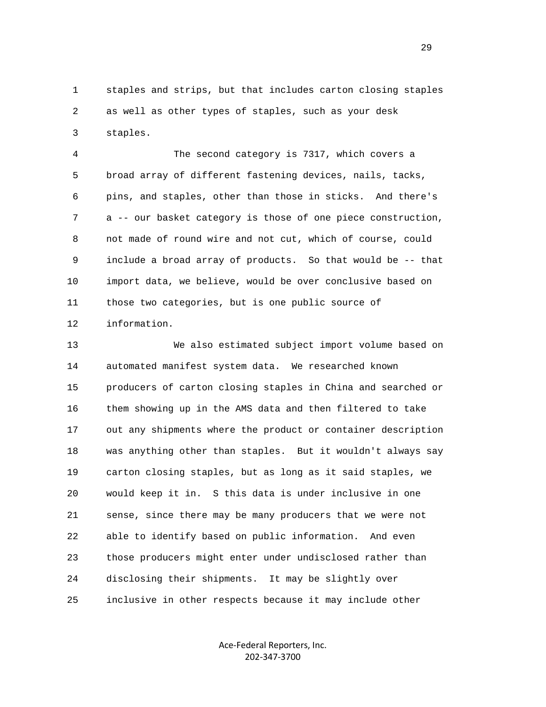1 staples and strips, but that includes carton closing staples 2 as well as other types of staples, such as your desk 3 staples.

 4 The second category is 7317, which covers a 5 broad array of different fastening devices, nails, tacks, 6 pins, and staples, other than those in sticks. And there's 7 a -- our basket category is those of one piece construction, 8 not made of round wire and not cut, which of course, could 9 include a broad array of products. So that would be -- that 10 import data, we believe, would be over conclusive based on 11 those two categories, but is one public source of 12 information.

 13 We also estimated subject import volume based on 14 automated manifest system data. We researched known 15 producers of carton closing staples in China and searched or 16 them showing up in the AMS data and then filtered to take 17 out any shipments where the product or container description 18 was anything other than staples. But it wouldn't always say 19 carton closing staples, but as long as it said staples, we 20 would keep it in. S this data is under inclusive in one 21 sense, since there may be many producers that we were not 22 able to identify based on public information. And even 23 those producers might enter under undisclosed rather than 24 disclosing their shipments. It may be slightly over 25 inclusive in other respects because it may include other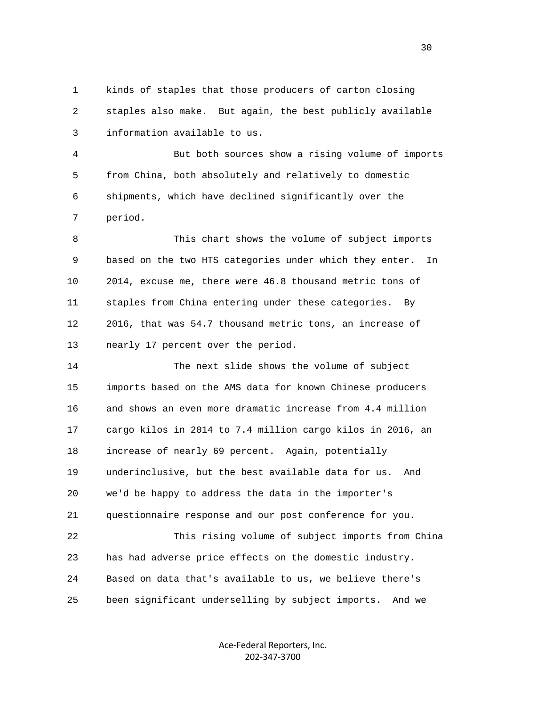1 kinds of staples that those producers of carton closing 2 staples also make. But again, the best publicly available 3 information available to us.

 4 But both sources show a rising volume of imports 5 from China, both absolutely and relatively to domestic 6 shipments, which have declined significantly over the 7 period.

 8 This chart shows the volume of subject imports 9 based on the two HTS categories under which they enter. In 10 2014, excuse me, there were 46.8 thousand metric tons of 11 staples from China entering under these categories. By 12 2016, that was 54.7 thousand metric tons, an increase of 13 nearly 17 percent over the period.

 14 The next slide shows the volume of subject 15 imports based on the AMS data for known Chinese producers 16 and shows an even more dramatic increase from 4.4 million 17 cargo kilos in 2014 to 7.4 million cargo kilos in 2016, an 18 increase of nearly 69 percent. Again, potentially 19 underinclusive, but the best available data for us. And 20 we'd be happy to address the data in the importer's 21 questionnaire response and our post conference for you. 22 This rising volume of subject imports from China 23 has had adverse price effects on the domestic industry.

25 been significant underselling by subject imports. And we

24 Based on data that's available to us, we believe there's

Ace‐Federal Reporters, Inc. 202‐347‐3700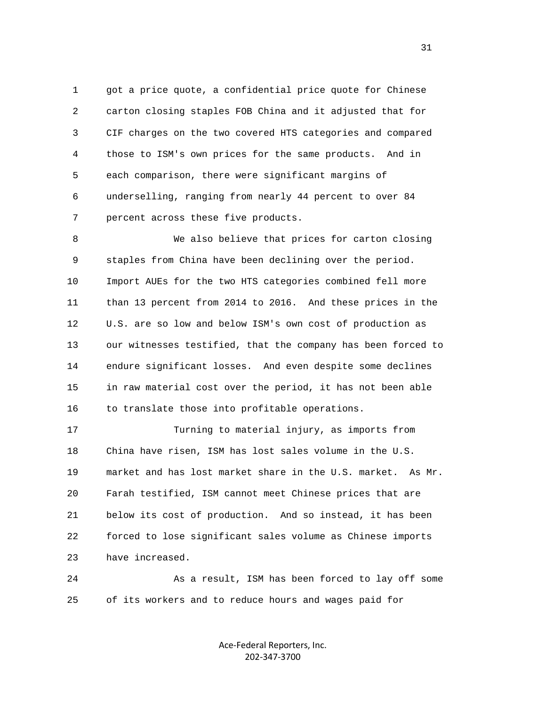1 got a price quote, a confidential price quote for Chinese 2 carton closing staples FOB China and it adjusted that for 3 CIF charges on the two covered HTS categories and compared 4 those to ISM's own prices for the same products. And in 5 each comparison, there were significant margins of 6 underselling, ranging from nearly 44 percent to over 84 7 percent across these five products.

 8 We also believe that prices for carton closing 9 staples from China have been declining over the period. 10 Import AUEs for the two HTS categories combined fell more 11 than 13 percent from 2014 to 2016. And these prices in the 12 U.S. are so low and below ISM's own cost of production as 13 our witnesses testified, that the company has been forced to 14 endure significant losses. And even despite some declines 15 in raw material cost over the period, it has not been able 16 to translate those into profitable operations.

 17 Turning to material injury, as imports from 18 China have risen, ISM has lost sales volume in the U.S. 19 market and has lost market share in the U.S. market. As Mr. 20 Farah testified, ISM cannot meet Chinese prices that are 21 below its cost of production. And so instead, it has been 22 forced to lose significant sales volume as Chinese imports 23 have increased.

24 As a result, ISM has been forced to lay off some 25 of its workers and to reduce hours and wages paid for

> Ace‐Federal Reporters, Inc. 202‐347‐3700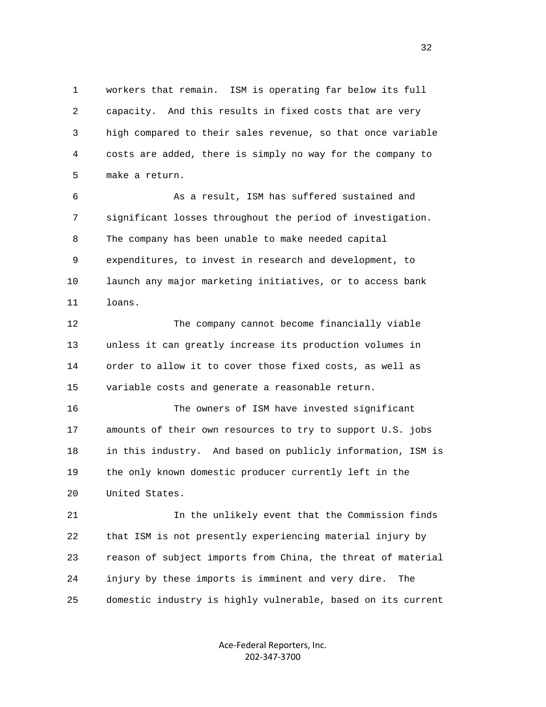1 workers that remain. ISM is operating far below its full 2 capacity. And this results in fixed costs that are very 3 high compared to their sales revenue, so that once variable 4 costs are added, there is simply no way for the company to 5 make a return.

 6 As a result, ISM has suffered sustained and 7 significant losses throughout the period of investigation. 8 The company has been unable to make needed capital 9 expenditures, to invest in research and development, to 10 launch any major marketing initiatives, or to access bank 11 loans.

 12 The company cannot become financially viable 13 unless it can greatly increase its production volumes in 14 order to allow it to cover those fixed costs, as well as 15 variable costs and generate a reasonable return.

 16 The owners of ISM have invested significant 17 amounts of their own resources to try to support U.S. jobs 18 in this industry. And based on publicly information, ISM is 19 the only known domestic producer currently left in the 20 United States.

 21 In the unlikely event that the Commission finds 22 that ISM is not presently experiencing material injury by 23 reason of subject imports from China, the threat of material 24 injury by these imports is imminent and very dire. The 25 domestic industry is highly vulnerable, based on its current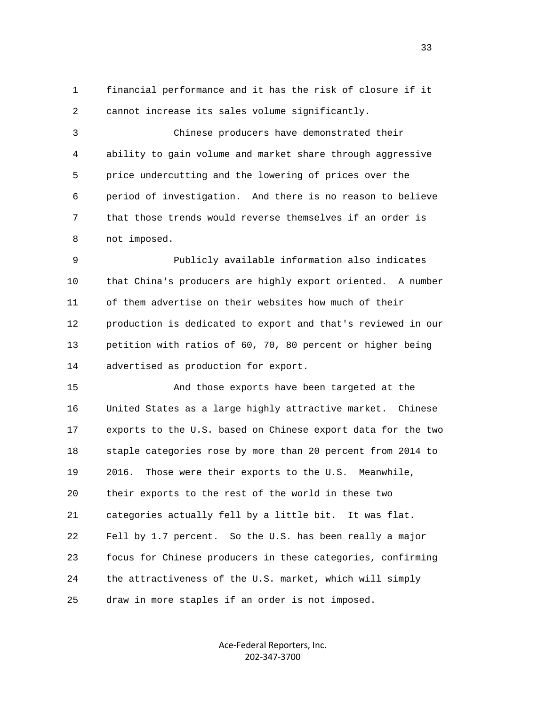1 financial performance and it has the risk of closure if it 2 cannot increase its sales volume significantly.

 3 Chinese producers have demonstrated their 4 ability to gain volume and market share through aggressive 5 price undercutting and the lowering of prices over the 6 period of investigation. And there is no reason to believe 7 that those trends would reverse themselves if an order is 8 not imposed.

 9 Publicly available information also indicates 10 that China's producers are highly export oriented. A number 11 of them advertise on their websites how much of their 12 production is dedicated to export and that's reviewed in our 13 petition with ratios of 60, 70, 80 percent or higher being 14 advertised as production for export.

 15 And those exports have been targeted at the 16 United States as a large highly attractive market. Chinese 17 exports to the U.S. based on Chinese export data for the two 18 staple categories rose by more than 20 percent from 2014 to 19 2016. Those were their exports to the U.S. Meanwhile, 20 their exports to the rest of the world in these two 21 categories actually fell by a little bit. It was flat. 22 Fell by 1.7 percent. So the U.S. has been really a major 23 focus for Chinese producers in these categories, confirming 24 the attractiveness of the U.S. market, which will simply 25 draw in more staples if an order is not imposed.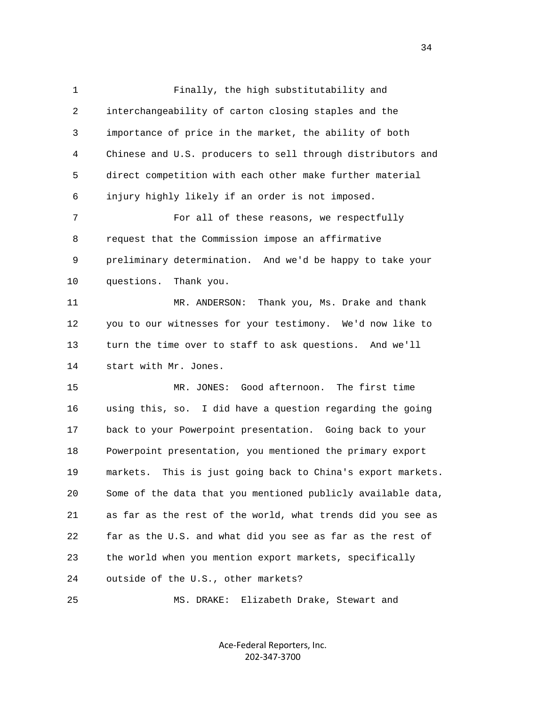1 Finally, the high substitutability and 2 interchangeability of carton closing staples and the 3 importance of price in the market, the ability of both 4 Chinese and U.S. producers to sell through distributors and 5 direct competition with each other make further material 6 injury highly likely if an order is not imposed. 7 For all of these reasons, we respectfully 8 request that the Commission impose an affirmative 9 preliminary determination. And we'd be happy to take your 10 questions. Thank you. 11 MR. ANDERSON: Thank you, Ms. Drake and thank 12 you to our witnesses for your testimony. We'd now like to 13 turn the time over to staff to ask questions. And we'll 14 start with Mr. Jones. 15 MR. JONES: Good afternoon. The first time 16 using this, so. I did have a question regarding the going 17 back to your Powerpoint presentation. Going back to your 18 Powerpoint presentation, you mentioned the primary export 19 markets. This is just going back to China's export markets. 20 Some of the data that you mentioned publicly available data, 21 as far as the rest of the world, what trends did you see as 22 far as the U.S. and what did you see as far as the rest of 23 the world when you mention export markets, specifically 24 outside of the U.S., other markets?

25 MS. DRAKE: Elizabeth Drake, Stewart and

Ace‐Federal Reporters, Inc. 202‐347‐3700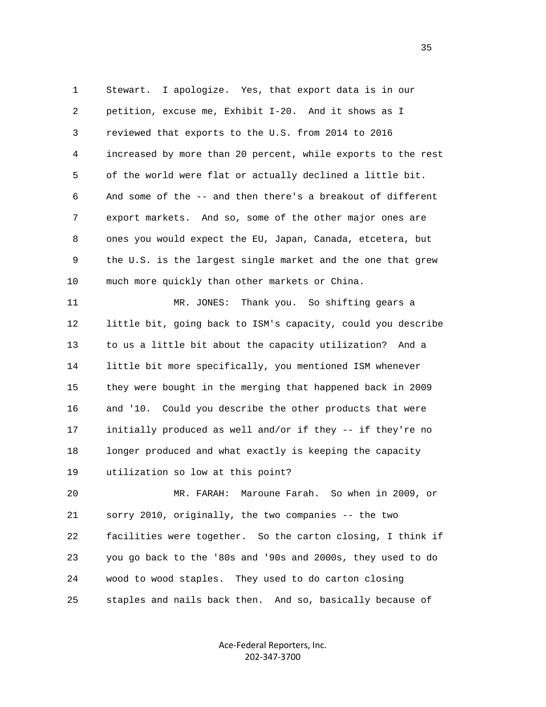1 Stewart. I apologize. Yes, that export data is in our 2 petition, excuse me, Exhibit I-20. And it shows as I 3 reviewed that exports to the U.S. from 2014 to 2016 4 increased by more than 20 percent, while exports to the rest 5 of the world were flat or actually declined a little bit. 6 And some of the -- and then there's a breakout of different 7 export markets. And so, some of the other major ones are 8 ones you would expect the EU, Japan, Canada, etcetera, but 9 the U.S. is the largest single market and the one that grew 10 much more quickly than other markets or China.

 11 MR. JONES: Thank you. So shifting gears a 12 little bit, going back to ISM's capacity, could you describe 13 to us a little bit about the capacity utilization? And a 14 little bit more specifically, you mentioned ISM whenever 15 they were bought in the merging that happened back in 2009 16 and '10. Could you describe the other products that were 17 initially produced as well and/or if they -- if they're no 18 longer produced and what exactly is keeping the capacity 19 utilization so low at this point?

 20 MR. FARAH: Maroune Farah. So when in 2009, or 21 sorry 2010, originally, the two companies -- the two 22 facilities were together. So the carton closing, I think if 23 you go back to the '80s and '90s and 2000s, they used to do 24 wood to wood staples. They used to do carton closing 25 staples and nails back then. And so, basically because of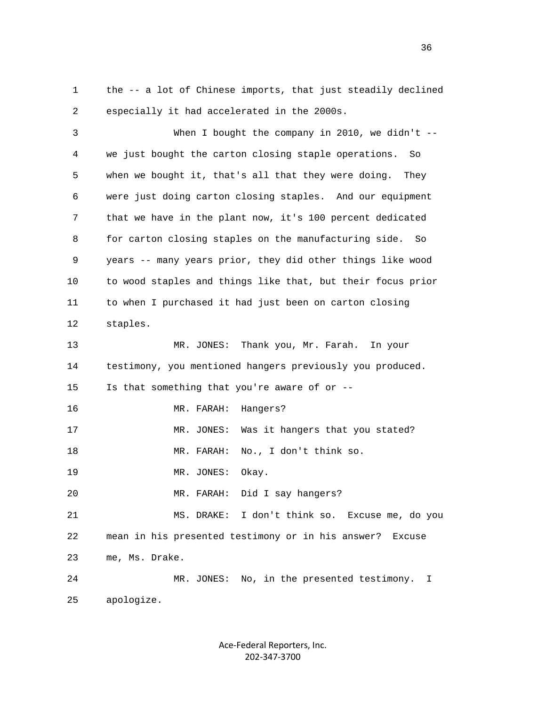1 the -- a lot of Chinese imports, that just steadily declined 2 especially it had accelerated in the 2000s.

 3 When I bought the company in 2010, we didn't -- 4 we just bought the carton closing staple operations. So 5 when we bought it, that's all that they were doing. They 6 were just doing carton closing staples. And our equipment 7 that we have in the plant now, it's 100 percent dedicated 8 for carton closing staples on the manufacturing side. So 9 years -- many years prior, they did other things like wood 10 to wood staples and things like that, but their focus prior 11 to when I purchased it had just been on carton closing 12 staples. 13 MR. JONES: Thank you, Mr. Farah. In your 14 testimony, you mentioned hangers previously you produced. 15 Is that something that you're aware of or -- 16 MR. FARAH: Hangers? 17 MR. JONES: Was it hangers that you stated? 18 MR. FARAH: No., I don't think so. 19 MR. JONES: Okay. 20 MR. FARAH: Did I say hangers? 21 MS. DRAKE: I don't think so. Excuse me, do you 22 mean in his presented testimony or in his answer? Excuse 23 me, Ms. Drake. 24 MR. JONES: No, in the presented testimony. I 25 apologize.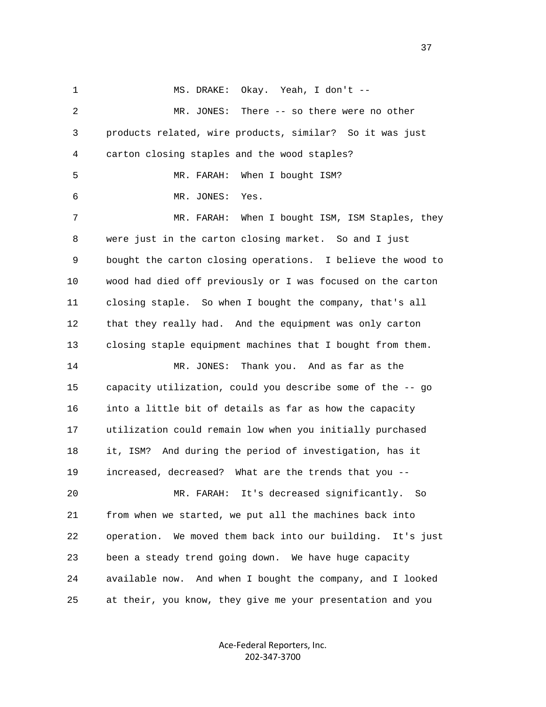1 MS. DRAKE: Okay. Yeah, I don't -- 2 MR. JONES: There -- so there were no other 3 products related, wire products, similar? So it was just 4 carton closing staples and the wood staples? 5 MR. FARAH: When I bought ISM? 6 MR. JONES: Yes. 7 MR. FARAH: When I bought ISM, ISM Staples, they 8 were just in the carton closing market. So and I just 9 bought the carton closing operations. I believe the wood to 10 wood had died off previously or I was focused on the carton 11 closing staple. So when I bought the company, that's all 12 that they really had. And the equipment was only carton 13 closing staple equipment machines that I bought from them. 14 MR. JONES: Thank you. And as far as the 15 capacity utilization, could you describe some of the -- go 16 into a little bit of details as far as how the capacity 17 utilization could remain low when you initially purchased 18 it, ISM? And during the period of investigation, has it 19 increased, decreased? What are the trends that you -- 20 MR. FARAH: It's decreased significantly. So 21 from when we started, we put all the machines back into 22 operation. We moved them back into our building. It's just 23 been a steady trend going down. We have huge capacity 24 available now. And when I bought the company, and I looked 25 at their, you know, they give me your presentation and you

> Ace‐Federal Reporters, Inc. 202‐347‐3700

37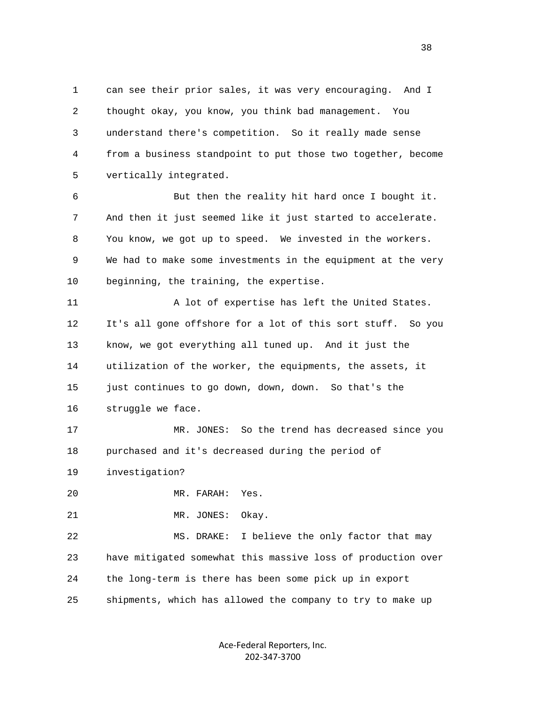1 can see their prior sales, it was very encouraging. And I 2 thought okay, you know, you think bad management. You 3 understand there's competition. So it really made sense 4 from a business standpoint to put those two together, become 5 vertically integrated.

 6 But then the reality hit hard once I bought it. 7 And then it just seemed like it just started to accelerate. 8 You know, we got up to speed. We invested in the workers. 9 We had to make some investments in the equipment at the very 10 beginning, the training, the expertise.

 11 A lot of expertise has left the United States. 12 It's all gone offshore for a lot of this sort stuff. So you 13 know, we got everything all tuned up. And it just the 14 utilization of the worker, the equipments, the assets, it 15 just continues to go down, down, down. So that's the 16 struggle we face.

 17 MR. JONES: So the trend has decreased since you 18 purchased and it's decreased during the period of

19 investigation?

20 MR. FARAH: Yes.

21 MR. JONES: Okay.

 22 MS. DRAKE: I believe the only factor that may 23 have mitigated somewhat this massive loss of production over 24 the long-term is there has been some pick up in export 25 shipments, which has allowed the company to try to make up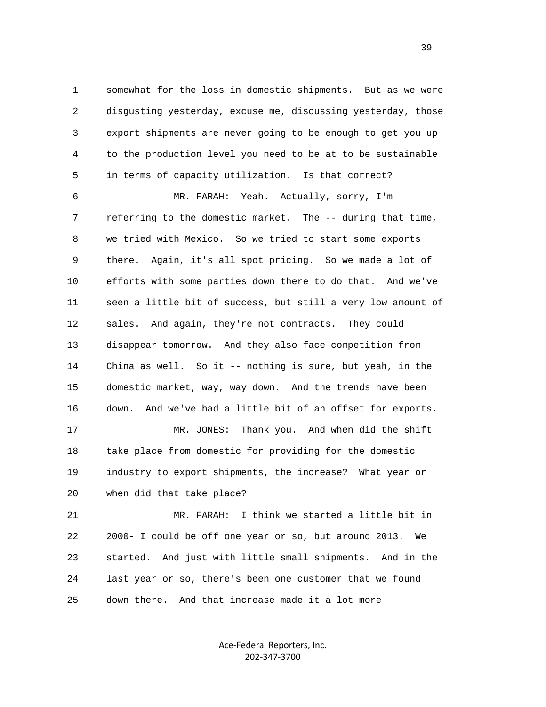1 somewhat for the loss in domestic shipments. But as we were 2 disgusting yesterday, excuse me, discussing yesterday, those 3 export shipments are never going to be enough to get you up 4 to the production level you need to be at to be sustainable 5 in terms of capacity utilization. Is that correct?

 6 MR. FARAH: Yeah. Actually, sorry, I'm 7 referring to the domestic market. The -- during that time, 8 we tried with Mexico. So we tried to start some exports 9 there. Again, it's all spot pricing. So we made a lot of 10 efforts with some parties down there to do that. And we've 11 seen a little bit of success, but still a very low amount of 12 sales. And again, they're not contracts. They could 13 disappear tomorrow. And they also face competition from 14 China as well. So it -- nothing is sure, but yeah, in the 15 domestic market, way, way down. And the trends have been 16 down. And we've had a little bit of an offset for exports. 17 MR. JONES: Thank you. And when did the shift 18 take place from domestic for providing for the domestic

 19 industry to export shipments, the increase? What year or 20 when did that take place?

 21 MR. FARAH: I think we started a little bit in 22 2000- I could be off one year or so, but around 2013. We 23 started. And just with little small shipments. And in the 24 last year or so, there's been one customer that we found 25 down there. And that increase made it a lot more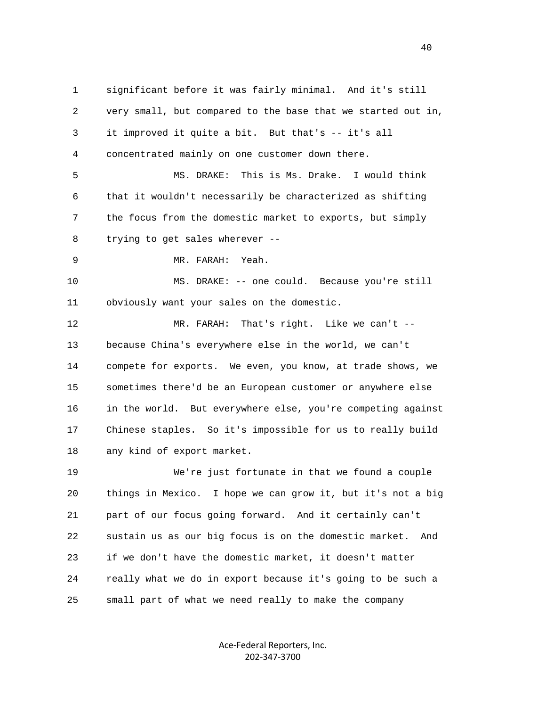1 significant before it was fairly minimal. And it's still 2 very small, but compared to the base that we started out in, 3 it improved it quite a bit. But that's -- it's all 4 concentrated mainly on one customer down there. 5 MS. DRAKE: This is Ms. Drake. I would think 6 that it wouldn't necessarily be characterized as shifting 7 the focus from the domestic market to exports, but simply 8 trying to get sales wherever -- 9 MR. FARAH: Yeah. 10 MS. DRAKE: -- one could. Because you're still 11 obviously want your sales on the domestic. 12 MR. FARAH: That's right. Like we can't -- 13 because China's everywhere else in the world, we can't 14 compete for exports. We even, you know, at trade shows, we 15 sometimes there'd be an European customer or anywhere else 16 in the world. But everywhere else, you're competing against 17 Chinese staples. So it's impossible for us to really build 18 any kind of export market. 19 We're just fortunate in that we found a couple 20 things in Mexico. I hope we can grow it, but it's not a big 21 part of our focus going forward. And it certainly can't 22 sustain us as our big focus is on the domestic market. And 23 if we don't have the domestic market, it doesn't matter 24 really what we do in export because it's going to be such a

25 small part of what we need really to make the company

Ace‐Federal Reporters, Inc. 202‐347‐3700

40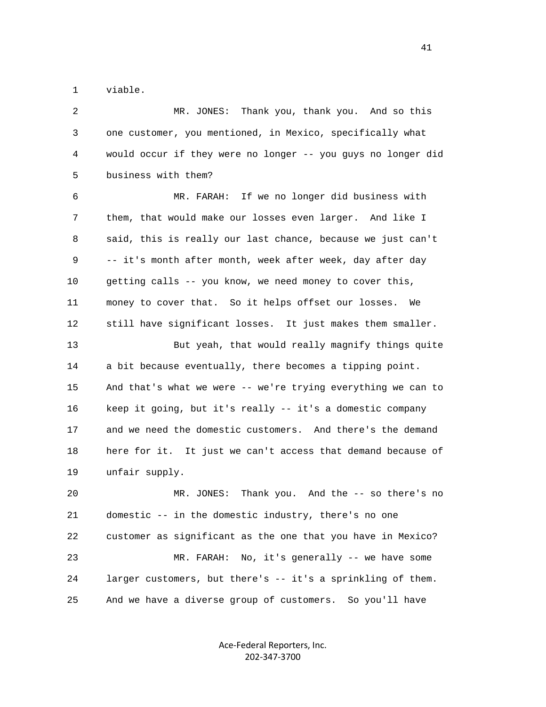1 viable.

 2 MR. JONES: Thank you, thank you. And so this 3 one customer, you mentioned, in Mexico, specifically what 4 would occur if they were no longer -- you guys no longer did 5 business with them? 6 MR. FARAH: If we no longer did business with 7 them, that would make our losses even larger. And like I 8 said, this is really our last chance, because we just can't 9 -- it's month after month, week after week, day after day 10 getting calls -- you know, we need money to cover this, 11 money to cover that. So it helps offset our losses. We 12 still have significant losses. It just makes them smaller. 13 But yeah, that would really magnify things quite 14 a bit because eventually, there becomes a tipping point. 15 And that's what we were -- we're trying everything we can to 16 keep it going, but it's really -- it's a domestic company 17 and we need the domestic customers. And there's the demand 18 here for it. It just we can't access that demand because of 19 unfair supply. 20 MR. JONES: Thank you. And the -- so there's no 21 domestic -- in the domestic industry, there's no one 22 customer as significant as the one that you have in Mexico? 23 MR. FARAH: No, it's generally -- we have some 24 larger customers, but there's -- it's a sprinkling of them. 25 And we have a diverse group of customers. So you'll have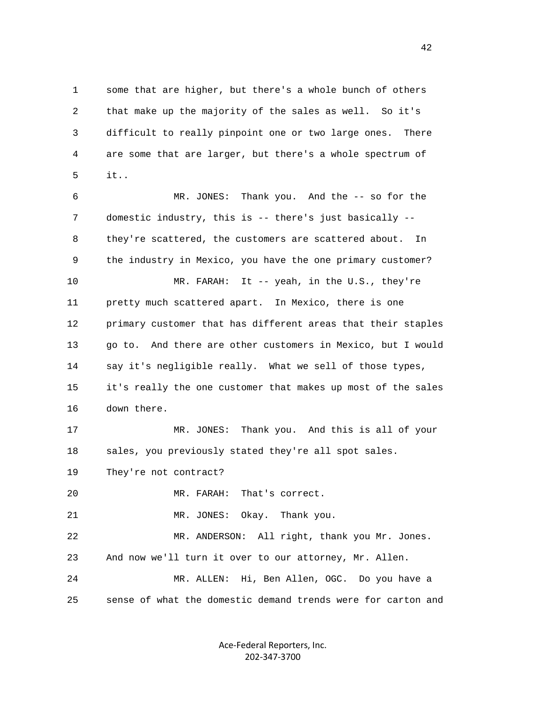1 some that are higher, but there's a whole bunch of others 2 that make up the majority of the sales as well. So it's 3 difficult to really pinpoint one or two large ones. There 4 are some that are larger, but there's a whole spectrum of 5 it..

 6 MR. JONES: Thank you. And the -- so for the 7 domestic industry, this is -- there's just basically -- 8 they're scattered, the customers are scattered about. In 9 the industry in Mexico, you have the one primary customer? 10 MR. FARAH: It -- yeah, in the U.S., they're 11 pretty much scattered apart. In Mexico, there is one 12 primary customer that has different areas that their staples 13 go to. And there are other customers in Mexico, but I would 14 say it's negligible really. What we sell of those types, 15 it's really the one customer that makes up most of the sales 16 down there. 17 MR. JONES: Thank you. And this is all of your 18 sales, you previously stated they're all spot sales. 19 They're not contract?

20 MR. FARAH: That's correct.

21 MR. JONES: Okay. Thank you.

 22 MR. ANDERSON: All right, thank you Mr. Jones. 23 And now we'll turn it over to our attorney, Mr. Allen.

 24 MR. ALLEN: Hi, Ben Allen, OGC. Do you have a 25 sense of what the domestic demand trends were for carton and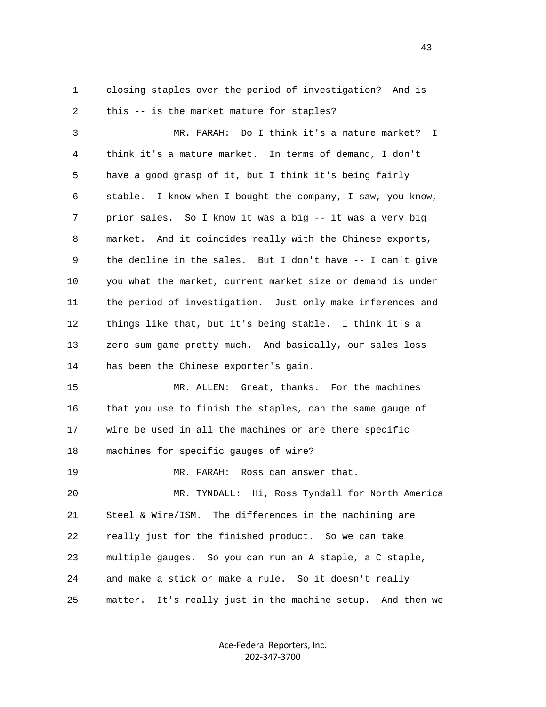1 closing staples over the period of investigation? And is 2 this -- is the market mature for staples?

 3 MR. FARAH: Do I think it's a mature market? I 4 think it's a mature market. In terms of demand, I don't 5 have a good grasp of it, but I think it's being fairly 6 stable. I know when I bought the company, I saw, you know, 7 prior sales. So I know it was a big -- it was a very big 8 market. And it coincides really with the Chinese exports, 9 the decline in the sales. But I don't have -- I can't give 10 you what the market, current market size or demand is under 11 the period of investigation. Just only make inferences and 12 things like that, but it's being stable. I think it's a 13 zero sum game pretty much. And basically, our sales loss 14 has been the Chinese exporter's gain.

 15 MR. ALLEN: Great, thanks. For the machines 16 that you use to finish the staples, can the same gauge of 17 wire be used in all the machines or are there specific 18 machines for specific gauges of wire?

19 MR. FARAH: Ross can answer that.

 20 MR. TYNDALL: Hi, Ross Tyndall for North America 21 Steel & Wire/ISM. The differences in the machining are 22 really just for the finished product. So we can take 23 multiple gauges. So you can run an A staple, a C staple, 24 and make a stick or make a rule. So it doesn't really 25 matter. It's really just in the machine setup. And then we

> Ace‐Federal Reporters, Inc. 202‐347‐3700

43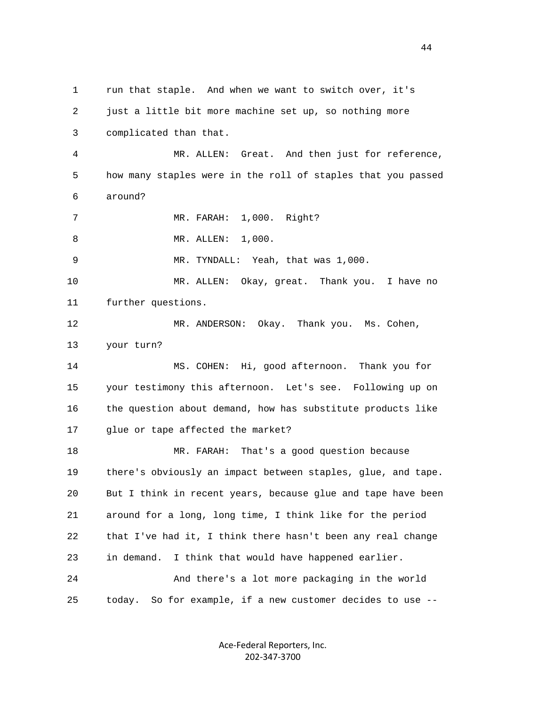1 run that staple. And when we want to switch over, it's 2 just a little bit more machine set up, so nothing more 3 complicated than that. 4 MR. ALLEN: Great. And then just for reference, 5 how many staples were in the roll of staples that you passed 6 around? 7 MR. FARAH: 1,000. Right? 8 MR. ALLEN: 1,000. 9 MR. TYNDALL: Yeah, that was 1,000. 10 MR. ALLEN: Okay, great. Thank you. I have no 11 further questions. 12 MR. ANDERSON: Okay. Thank you. Ms. Cohen, 13 your turn? 14 MS. COHEN: Hi, good afternoon. Thank you for 15 your testimony this afternoon. Let's see. Following up on 16 the question about demand, how has substitute products like 17 glue or tape affected the market? 18 MR. FARAH: That's a good question because 19 there's obviously an impact between staples, glue, and tape. 20 But I think in recent years, because glue and tape have been 21 around for a long, long time, I think like for the period 22 that I've had it, I think there hasn't been any real change 23 in demand. I think that would have happened earlier. 24 And there's a lot more packaging in the world 25 today. So for example, if a new customer decides to use --

> Ace‐Federal Reporters, Inc. 202‐347‐3700

44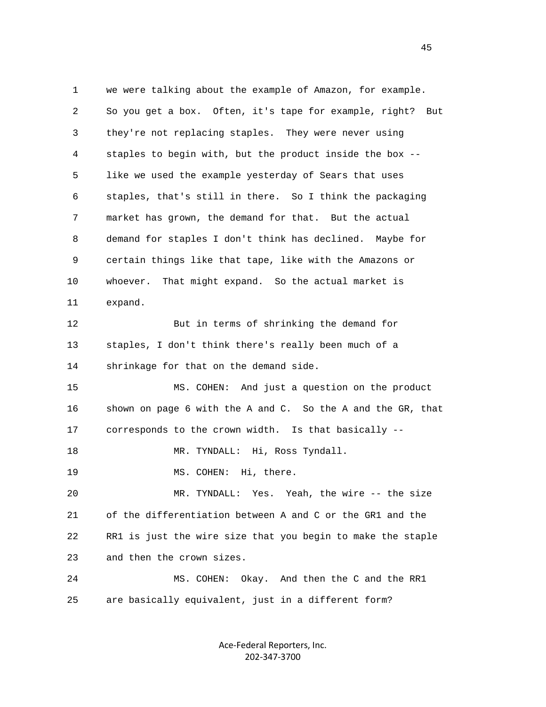1 we were talking about the example of Amazon, for example. 2 So you get a box. Often, it's tape for example, right? But 3 they're not replacing staples. They were never using 4 staples to begin with, but the product inside the box -- 5 like we used the example yesterday of Sears that uses 6 staples, that's still in there. So I think the packaging 7 market has grown, the demand for that. But the actual 8 demand for staples I don't think has declined. Maybe for 9 certain things like that tape, like with the Amazons or 10 whoever. That might expand. So the actual market is 11 expand. 12 But in terms of shrinking the demand for 13 staples, I don't think there's really been much of a 14 shrinkage for that on the demand side. 15 MS. COHEN: And just a question on the product 16 shown on page 6 with the A and C. So the A and the GR, that 17 corresponds to the crown width. Is that basically -- 18 MR. TYNDALL: Hi, Ross Tyndall. 19 MS. COHEN: Hi, there. 20 MR. TYNDALL: Yes. Yeah, the wire -- the size 21 of the differentiation between A and C or the GR1 and the 22 RR1 is just the wire size that you begin to make the staple 23 and then the crown sizes. 24 MS. COHEN: Okay. And then the C and the RR1 25 are basically equivalent, just in a different form?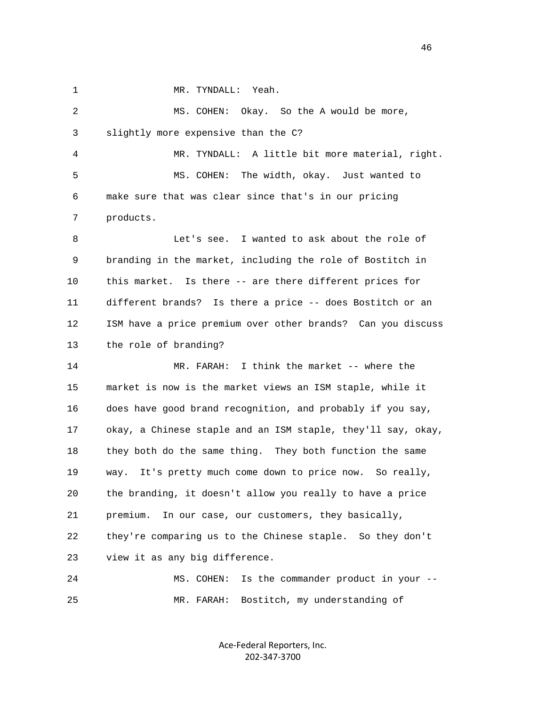1 MR. TYNDALL: Yeah.

 2 MS. COHEN: Okay. So the A would be more, 3 slightly more expensive than the C? 4 MR. TYNDALL: A little bit more material, right. 5 MS. COHEN: The width, okay. Just wanted to 6 make sure that was clear since that's in our pricing 7 products. 8 Let's see. I wanted to ask about the role of 9 branding in the market, including the role of Bostitch in 10 this market. Is there -- are there different prices for 11 different brands? Is there a price -- does Bostitch or an 12 ISM have a price premium over other brands? Can you discuss 13 the role of branding? 14 MR. FARAH: I think the market -- where the 15 market is now is the market views an ISM staple, while it 16 does have good brand recognition, and probably if you say, 17 okay, a Chinese staple and an ISM staple, they'll say, okay, 18 they both do the same thing. They both function the same 19 way. It's pretty much come down to price now. So really, 20 the branding, it doesn't allow you really to have a price 21 premium. In our case, our customers, they basically, 22 they're comparing us to the Chinese staple. So they don't 23 view it as any big difference. 24 MS. COHEN: Is the commander product in your -- 25 MR. FARAH: Bostitch, my understanding of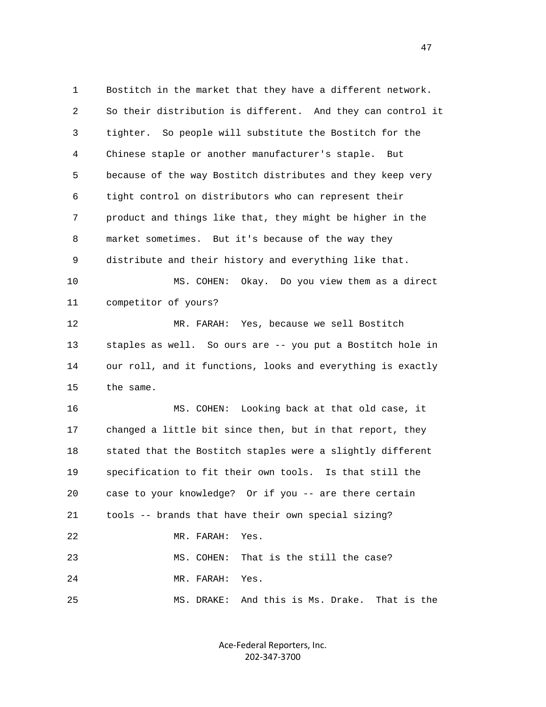1 Bostitch in the market that they have a different network. 2 So their distribution is different. And they can control it 3 tighter. So people will substitute the Bostitch for the 4 Chinese staple or another manufacturer's staple. But 5 because of the way Bostitch distributes and they keep very 6 tight control on distributors who can represent their 7 product and things like that, they might be higher in the 8 market sometimes. But it's because of the way they 9 distribute and their history and everything like that. 10 MS. COHEN: Okay. Do you view them as a direct 11 competitor of yours? 12 MR. FARAH: Yes, because we sell Bostitch 13 staples as well. So ours are -- you put a Bostitch hole in 14 our roll, and it functions, looks and everything is exactly 15 the same. 16 MS. COHEN: Looking back at that old case, it 17 changed a little bit since then, but in that report, they 18 stated that the Bostitch staples were a slightly different 19 specification to fit their own tools. Is that still the 20 case to your knowledge? Or if you -- are there certain 21 tools -- brands that have their own special sizing? 22 MR. FARAH: Yes. 23 MS. COHEN: That is the still the case? 24 MR. FARAH: Yes. 25 MS. DRAKE: And this is Ms. Drake. That is the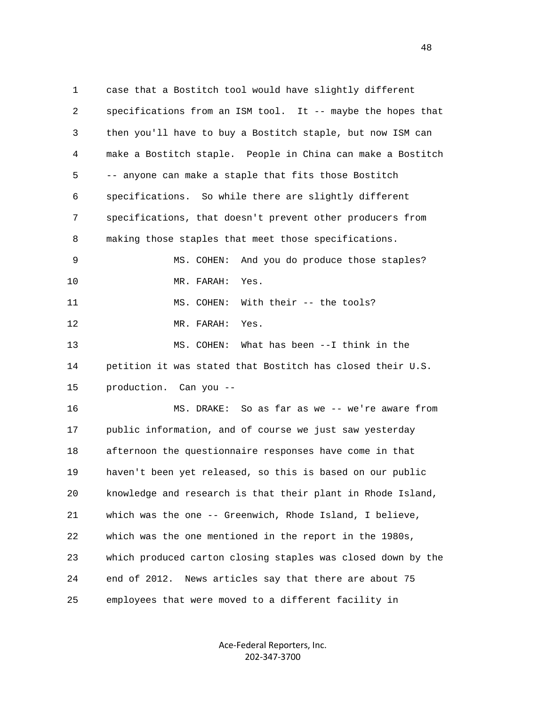1 case that a Bostitch tool would have slightly different 2 specifications from an ISM tool. It -- maybe the hopes that 3 then you'll have to buy a Bostitch staple, but now ISM can 4 make a Bostitch staple. People in China can make a Bostitch 5 -- anyone can make a staple that fits those Bostitch 6 specifications. So while there are slightly different 7 specifications, that doesn't prevent other producers from 8 making those staples that meet those specifications. 9 MS. COHEN: And you do produce those staples? 10 MR. FARAH: Yes. 11 MS. COHEN: With their -- the tools? 12 MR. FARAH: Yes. 13 MS. COHEN: What has been --I think in the 14 petition it was stated that Bostitch has closed their U.S. 15 production. Can you -- 16 MS. DRAKE: So as far as we -- we're aware from 17 public information, and of course we just saw yesterday 18 afternoon the questionnaire responses have come in that 19 haven't been yet released, so this is based on our public 20 knowledge and research is that their plant in Rhode Island, 21 which was the one -- Greenwich, Rhode Island, I believe, 22 which was the one mentioned in the report in the 1980s, 23 which produced carton closing staples was closed down by the 24 end of 2012. News articles say that there are about 75 25 employees that were moved to a different facility in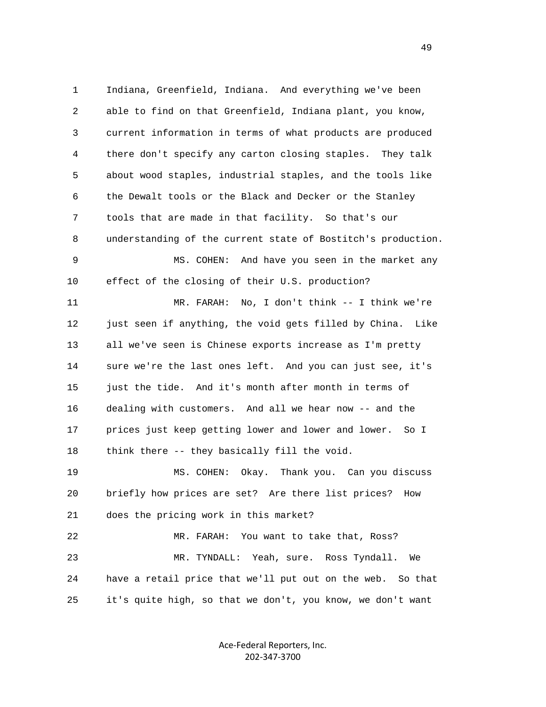1 Indiana, Greenfield, Indiana. And everything we've been 2 able to find on that Greenfield, Indiana plant, you know, 3 current information in terms of what products are produced 4 there don't specify any carton closing staples. They talk 5 about wood staples, industrial staples, and the tools like 6 the Dewalt tools or the Black and Decker or the Stanley 7 tools that are made in that facility. So that's our 8 understanding of the current state of Bostitch's production. 9 MS. COHEN: And have you seen in the market any 10 effect of the closing of their U.S. production? 11 MR. FARAH: No, I don't think -- I think we're 12 just seen if anything, the void gets filled by China. Like 13 all we've seen is Chinese exports increase as I'm pretty 14 sure we're the last ones left. And you can just see, it's 15 just the tide. And it's month after month in terms of 16 dealing with customers. And all we hear now -- and the 17 prices just keep getting lower and lower and lower. So I 18 think there -- they basically fill the void. 19 MS. COHEN: Okay. Thank you. Can you discuss 20 briefly how prices are set? Are there list prices? How 21 does the pricing work in this market? 22 MR. FARAH: You want to take that, Ross? 23 MR. TYNDALL: Yeah, sure. Ross Tyndall. We 24 have a retail price that we'll put out on the web. So that 25 it's quite high, so that we don't, you know, we don't want

> Ace‐Federal Reporters, Inc. 202‐347‐3700

49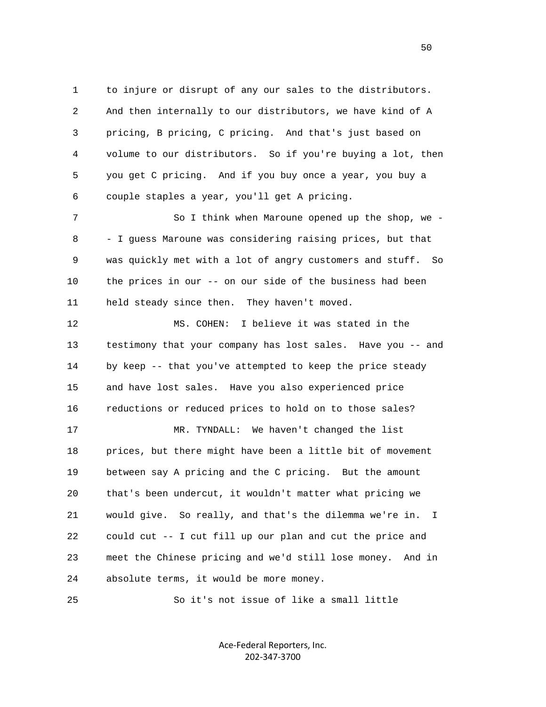1 to injure or disrupt of any our sales to the distributors. 2 And then internally to our distributors, we have kind of A 3 pricing, B pricing, C pricing. And that's just based on 4 volume to our distributors. So if you're buying a lot, then 5 you get C pricing. And if you buy once a year, you buy a 6 couple staples a year, you'll get A pricing.

7 So I think when Maroune opened up the shop, we - 8 - I guess Maroune was considering raising prices, but that 9 was quickly met with a lot of angry customers and stuff. So 10 the prices in our -- on our side of the business had been 11 held steady since then. They haven't moved.

 12 MS. COHEN: I believe it was stated in the 13 testimony that your company has lost sales. Have you -- and 14 by keep -- that you've attempted to keep the price steady 15 and have lost sales. Have you also experienced price 16 reductions or reduced prices to hold on to those sales? 17 MR. TYNDALL: We haven't changed the list 18 prices, but there might have been a little bit of movement 19 between say A pricing and the C pricing. But the amount 20 that's been undercut, it wouldn't matter what pricing we

 21 would give. So really, and that's the dilemma we're in. I 22 could cut -- I cut fill up our plan and cut the price and 23 meet the Chinese pricing and we'd still lose money. And in 24 absolute terms, it would be more money.

25 So it's not issue of like a small little

Ace‐Federal Reporters, Inc. 202‐347‐3700

 $50<sub>50</sub>$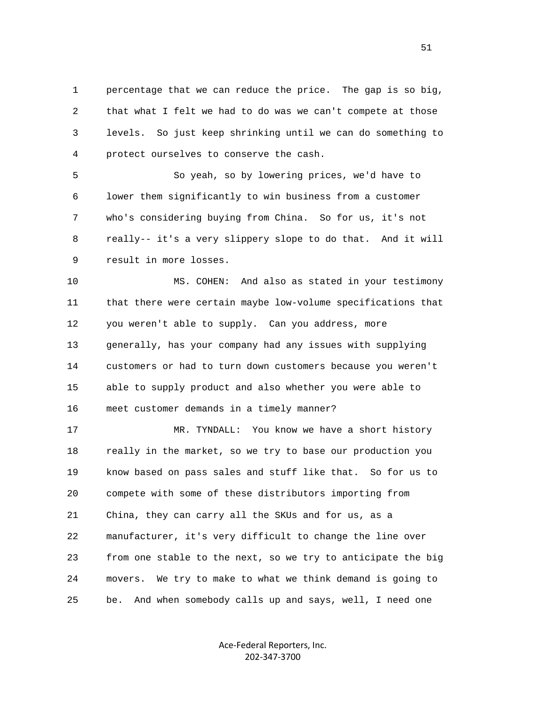1 percentage that we can reduce the price. The gap is so big, 2 that what I felt we had to do was we can't compete at those 3 levels. So just keep shrinking until we can do something to 4 protect ourselves to conserve the cash.

 5 So yeah, so by lowering prices, we'd have to 6 lower them significantly to win business from a customer 7 who's considering buying from China. So for us, it's not 8 really-- it's a very slippery slope to do that. And it will 9 result in more losses.

 10 MS. COHEN: And also as stated in your testimony 11 that there were certain maybe low-volume specifications that 12 you weren't able to supply. Can you address, more 13 generally, has your company had any issues with supplying 14 customers or had to turn down customers because you weren't 15 able to supply product and also whether you were able to 16 meet customer demands in a timely manner?

 17 MR. TYNDALL: You know we have a short history 18 really in the market, so we try to base our production you 19 know based on pass sales and stuff like that. So for us to 20 compete with some of these distributors importing from 21 China, they can carry all the SKUs and for us, as a 22 manufacturer, it's very difficult to change the line over 23 from one stable to the next, so we try to anticipate the big 24 movers. We try to make to what we think demand is going to 25 be. And when somebody calls up and says, well, I need one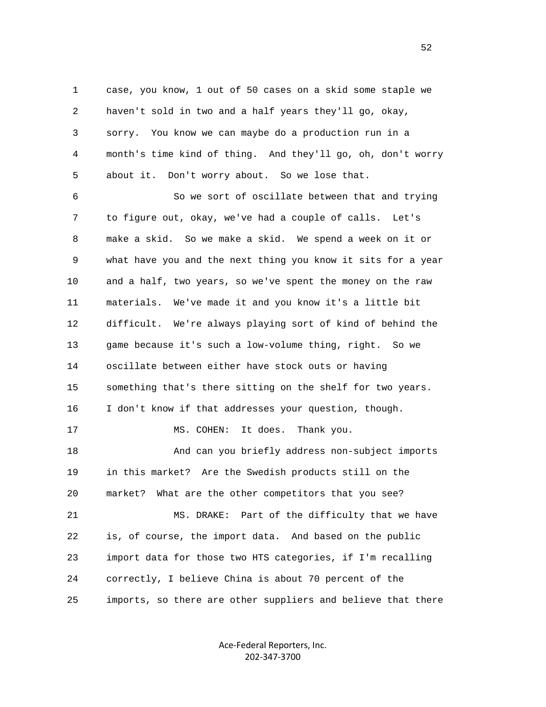1 case, you know, 1 out of 50 cases on a skid some staple we 2 haven't sold in two and a half years they'll go, okay, 3 sorry. You know we can maybe do a production run in a 4 month's time kind of thing. And they'll go, oh, don't worry 5 about it. Don't worry about. So we lose that.

 6 So we sort of oscillate between that and trying 7 to figure out, okay, we've had a couple of calls. Let's 8 make a skid. So we make a skid. We spend a week on it or 9 what have you and the next thing you know it sits for a year 10 and a half, two years, so we've spent the money on the raw 11 materials. We've made it and you know it's a little bit 12 difficult. We're always playing sort of kind of behind the 13 game because it's such a low-volume thing, right. So we 14 oscillate between either have stock outs or having 15 something that's there sitting on the shelf for two years. 16 I don't know if that addresses your question, though. 17 MS. COHEN: It does. Thank you. 18 And can you briefly address non-subject imports 19 in this market? Are the Swedish products still on the 20 market? What are the other competitors that you see? 21 MS. DRAKE: Part of the difficulty that we have 22 is, of course, the import data. And based on the public 23 import data for those two HTS categories, if I'm recalling 24 correctly, I believe China is about 70 percent of the 25 imports, so there are other suppliers and believe that there

> Ace‐Federal Reporters, Inc. 202‐347‐3700

 $\sim$  52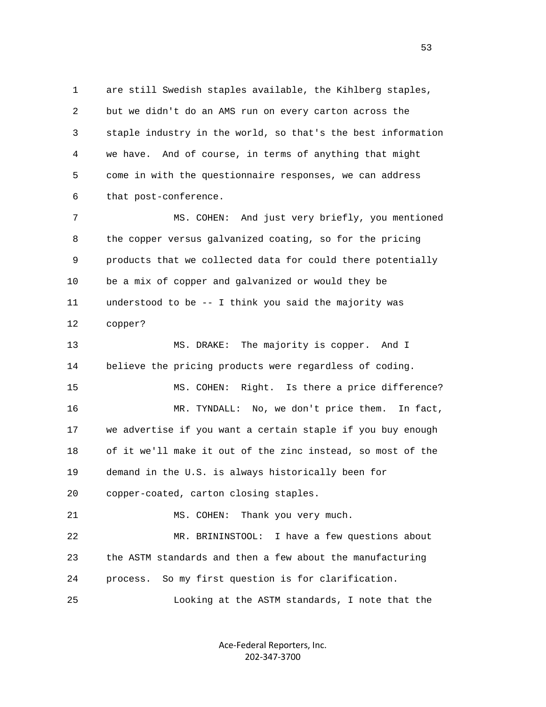1 are still Swedish staples available, the Kihlberg staples, 2 but we didn't do an AMS run on every carton across the 3 staple industry in the world, so that's the best information 4 we have. And of course, in terms of anything that might 5 come in with the questionnaire responses, we can address 6 that post-conference.

 7 MS. COHEN: And just very briefly, you mentioned 8 the copper versus galvanized coating, so for the pricing 9 products that we collected data for could there potentially 10 be a mix of copper and galvanized or would they be 11 understood to be -- I think you said the majority was 12 copper?

 13 MS. DRAKE: The majority is copper. And I 14 believe the pricing products were regardless of coding. 15 MS. COHEN: Right. Is there a price difference?

 16 MR. TYNDALL: No, we don't price them. In fact, 17 we advertise if you want a certain staple if you buy enough 18 of it we'll make it out of the zinc instead, so most of the 19 demand in the U.S. is always historically been for 20 copper-coated, carton closing staples.

21 MS. COHEN: Thank you very much.

 22 MR. BRININSTOOL: I have a few questions about 23 the ASTM standards and then a few about the manufacturing 24 process. So my first question is for clarification.

25 Looking at the ASTM standards, I note that the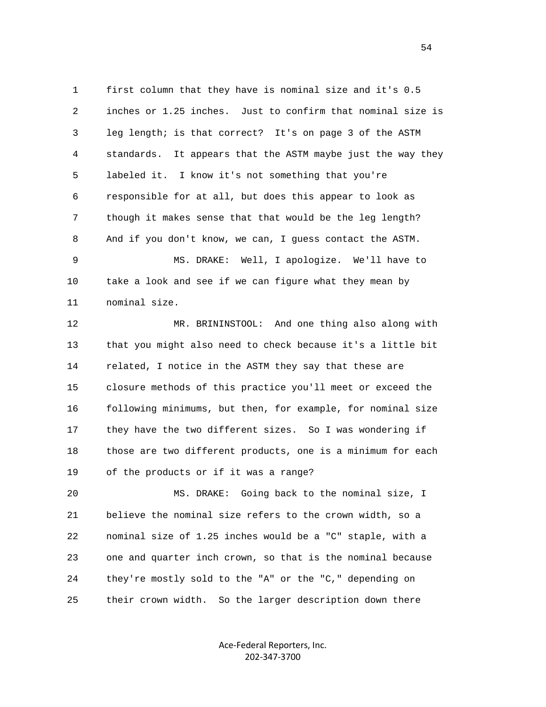1 first column that they have is nominal size and it's 0.5 2 inches or 1.25 inches. Just to confirm that nominal size is 3 leg length; is that correct? It's on page 3 of the ASTM 4 standards. It appears that the ASTM maybe just the way they 5 labeled it. I know it's not something that you're 6 responsible for at all, but does this appear to look as 7 though it makes sense that that would be the leg length? 8 And if you don't know, we can, I guess contact the ASTM.

 9 MS. DRAKE: Well, I apologize. We'll have to 10 take a look and see if we can figure what they mean by 11 nominal size.

 12 MR. BRININSTOOL: And one thing also along with 13 that you might also need to check because it's a little bit 14 related, I notice in the ASTM they say that these are 15 closure methods of this practice you'll meet or exceed the 16 following minimums, but then, for example, for nominal size 17 they have the two different sizes. So I was wondering if 18 those are two different products, one is a minimum for each 19 of the products or if it was a range?

 20 MS. DRAKE: Going back to the nominal size, I 21 believe the nominal size refers to the crown width, so a 22 nominal size of 1.25 inches would be a "C" staple, with a 23 one and quarter inch crown, so that is the nominal because 24 they're mostly sold to the "A" or the "C," depending on 25 their crown width. So the larger description down there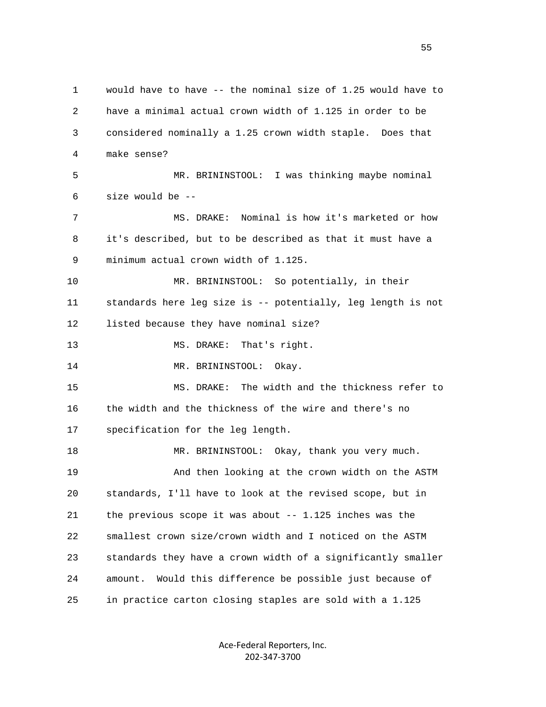1 would have to have -- the nominal size of 1.25 would have to 2 have a minimal actual crown width of 1.125 in order to be 3 considered nominally a 1.25 crown width staple. Does that 4 make sense? 5 MR. BRININSTOOL: I was thinking maybe nominal 6 size would be -- 7 MS. DRAKE: Nominal is how it's marketed or how 8 it's described, but to be described as that it must have a 9 minimum actual crown width of 1.125. 10 MR. BRININSTOOL: So potentially, in their 11 standards here leg size is -- potentially, leg length is not 12 listed because they have nominal size? 13 MS. DRAKE: That's right. 14 MR. BRININSTOOL: Okay. 15 MS. DRAKE: The width and the thickness refer to 16 the width and the thickness of the wire and there's no 17 specification for the leg length. 18 MR. BRININSTOOL: Okay, thank you very much. 19 And then looking at the crown width on the ASTM 20 standards, I'll have to look at the revised scope, but in 21 the previous scope it was about -- 1.125 inches was the 22 smallest crown size/crown width and I noticed on the ASTM 23 standards they have a crown width of a significantly smaller 24 amount. Would this difference be possible just because of 25 in practice carton closing staples are sold with a 1.125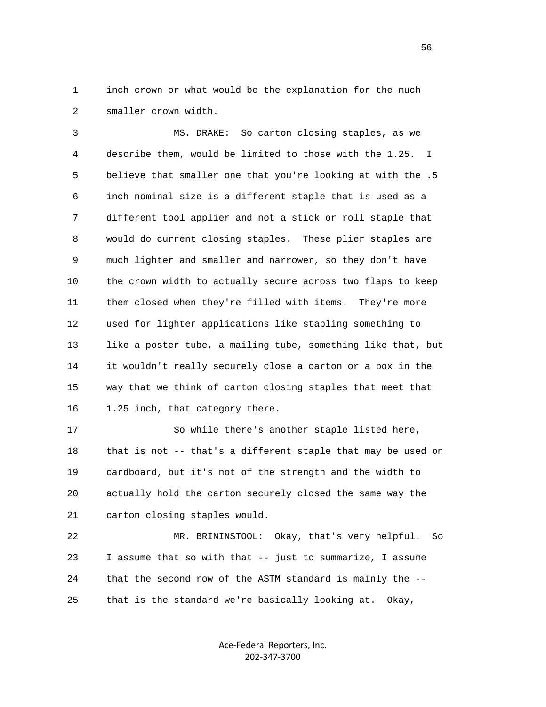1 inch crown or what would be the explanation for the much 2 smaller crown width.

 3 MS. DRAKE: So carton closing staples, as we 4 describe them, would be limited to those with the 1.25. I 5 believe that smaller one that you're looking at with the .5 6 inch nominal size is a different staple that is used as a 7 different tool applier and not a stick or roll staple that 8 would do current closing staples. These plier staples are 9 much lighter and smaller and narrower, so they don't have 10 the crown width to actually secure across two flaps to keep 11 them closed when they're filled with items. They're more 12 used for lighter applications like stapling something to 13 like a poster tube, a mailing tube, something like that, but 14 it wouldn't really securely close a carton or a box in the 15 way that we think of carton closing staples that meet that 16 1.25 inch, that category there.

 17 So while there's another staple listed here, 18 that is not -- that's a different staple that may be used on 19 cardboard, but it's not of the strength and the width to 20 actually hold the carton securely closed the same way the 21 carton closing staples would.

 22 MR. BRININSTOOL: Okay, that's very helpful. So 23 I assume that so with that -- just to summarize, I assume 24 that the second row of the ASTM standard is mainly the -- 25 that is the standard we're basically looking at. Okay,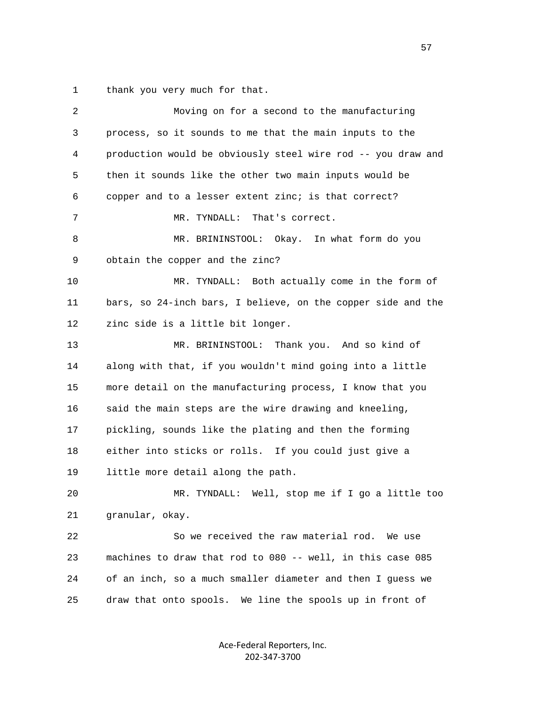1 thank you very much for that.

| 2  | Moving on for a second to the manufacturing                  |
|----|--------------------------------------------------------------|
| 3  | process, so it sounds to me that the main inputs to the      |
| 4  | production would be obviously steel wire rod -- you draw and |
| 5  | then it sounds like the other two main inputs would be       |
| 6  | copper and to a lesser extent zinc; is that correct?         |
| 7  | That's correct.<br>MR. TYNDALL:                              |
| 8  | MR. BRININSTOOL: Okay. In what form do you                   |
| 9  | obtain the copper and the zinc?                              |
| 10 | MR. TYNDALL: Both actually come in the form of               |
| 11 | bars, so 24-inch bars, I believe, on the copper side and the |
| 12 | zinc side is a little bit longer.                            |
| 13 | MR. BRININSTOOL: Thank you. And so kind of                   |
| 14 | along with that, if you wouldn't mind going into a little    |
| 15 | more detail on the manufacturing process, I know that you    |
| 16 | said the main steps are the wire drawing and kneeling,       |
| 17 | pickling, sounds like the plating and then the forming       |
| 18 | either into sticks or rolls. If you could just give a        |
| 19 | little more detail along the path.                           |
| 20 | MR. TYNDALL: Well, stop me if I go a little too              |
| 21 | granular, okay.                                              |
| 22 | So we received the raw material rod. We use                  |
| 23 | machines to draw that rod to 080 -- well, in this case 085   |
| 24 | of an inch, so a much smaller diameter and then I guess we   |
| 25 | draw that onto spools. We line the spools up in front of     |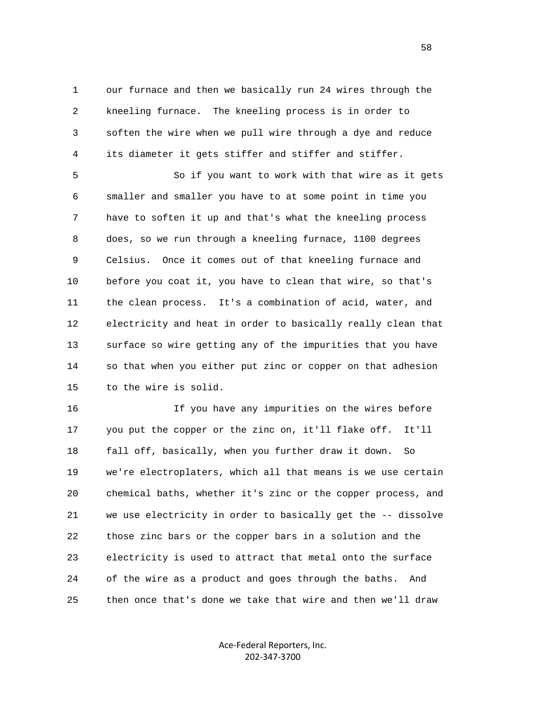1 our furnace and then we basically run 24 wires through the 2 kneeling furnace. The kneeling process is in order to 3 soften the wire when we pull wire through a dye and reduce 4 its diameter it gets stiffer and stiffer and stiffer.

 5 So if you want to work with that wire as it gets 6 smaller and smaller you have to at some point in time you 7 have to soften it up and that's what the kneeling process 8 does, so we run through a kneeling furnace, 1100 degrees 9 Celsius. Once it comes out of that kneeling furnace and 10 before you coat it, you have to clean that wire, so that's 11 the clean process. It's a combination of acid, water, and 12 electricity and heat in order to basically really clean that 13 surface so wire getting any of the impurities that you have 14 so that when you either put zinc or copper on that adhesion 15 to the wire is solid.

 16 If you have any impurities on the wires before 17 you put the copper or the zinc on, it'll flake off. It'll 18 fall off, basically, when you further draw it down. So 19 we're electroplaters, which all that means is we use certain 20 chemical baths, whether it's zinc or the copper process, and 21 we use electricity in order to basically get the -- dissolve 22 those zinc bars or the copper bars in a solution and the 23 electricity is used to attract that metal onto the surface 24 of the wire as a product and goes through the baths. And 25 then once that's done we take that wire and then we'll draw

> Ace‐Federal Reporters, Inc. 202‐347‐3700

58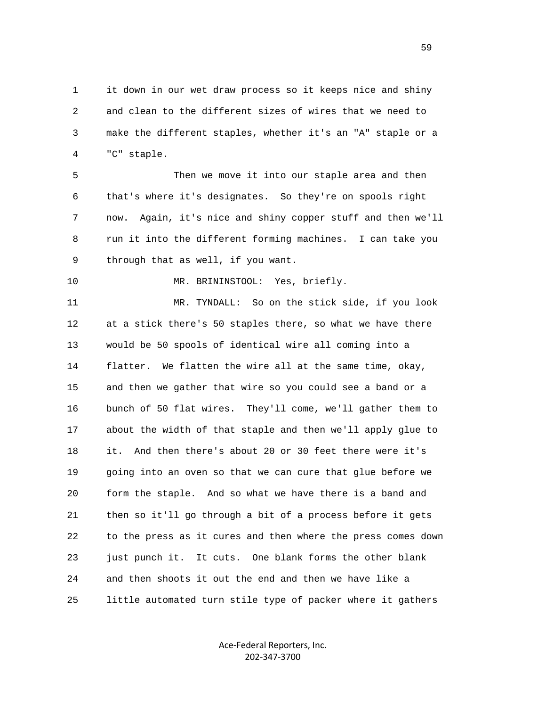1 it down in our wet draw process so it keeps nice and shiny 2 and clean to the different sizes of wires that we need to 3 make the different staples, whether it's an "A" staple or a 4 "C" staple.

 5 Then we move it into our staple area and then 6 that's where it's designates. So they're on spools right 7 now. Again, it's nice and shiny copper stuff and then we'll 8 run it into the different forming machines. I can take you 9 through that as well, if you want.

10 MR. BRININSTOOL: Yes, briefly.

 11 MR. TYNDALL: So on the stick side, if you look 12 at a stick there's 50 staples there, so what we have there 13 would be 50 spools of identical wire all coming into a 14 flatter. We flatten the wire all at the same time, okay, 15 and then we gather that wire so you could see a band or a 16 bunch of 50 flat wires. They'll come, we'll gather them to 17 about the width of that staple and then we'll apply glue to 18 it. And then there's about 20 or 30 feet there were it's 19 going into an oven so that we can cure that glue before we 20 form the staple. And so what we have there is a band and 21 then so it'll go through a bit of a process before it gets 22 to the press as it cures and then where the press comes down 23 just punch it. It cuts. One blank forms the other blank 24 and then shoots it out the end and then we have like a 25 little automated turn stile type of packer where it gathers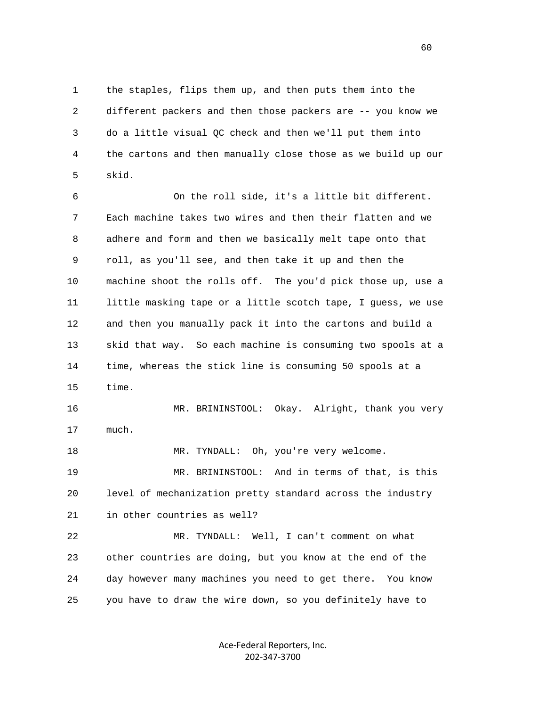1 the staples, flips them up, and then puts them into the 2 different packers and then those packers are -- you know we 3 do a little visual QC check and then we'll put them into 4 the cartons and then manually close those as we build up our 5 skid.

 6 On the roll side, it's a little bit different. 7 Each machine takes two wires and then their flatten and we 8 adhere and form and then we basically melt tape onto that 9 roll, as you'll see, and then take it up and then the 10 machine shoot the rolls off. The you'd pick those up, use a 11 little masking tape or a little scotch tape, I guess, we use 12 and then you manually pack it into the cartons and build a 13 skid that way. So each machine is consuming two spools at a 14 time, whereas the stick line is consuming 50 spools at a 15 time. 16 MR. BRININSTOOL: Okay. Alright, thank you very 17 much. 18 MR. TYNDALL: Oh, you're very welcome.

 19 MR. BRININSTOOL: And in terms of that, is this 20 level of mechanization pretty standard across the industry 21 in other countries as well?

 22 MR. TYNDALL: Well, I can't comment on what 23 other countries are doing, but you know at the end of the 24 day however many machines you need to get there. You know 25 you have to draw the wire down, so you definitely have to

> Ace‐Federal Reporters, Inc. 202‐347‐3700

 $\sim$  60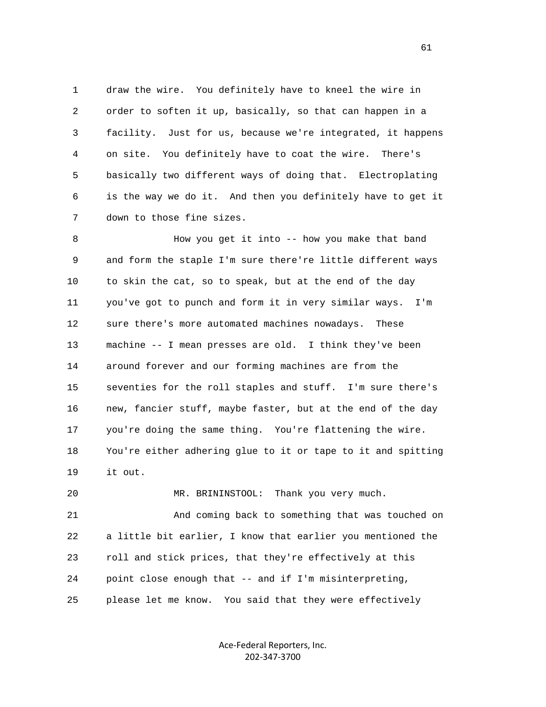1 draw the wire. You definitely have to kneel the wire in 2 order to soften it up, basically, so that can happen in a 3 facility. Just for us, because we're integrated, it happens 4 on site. You definitely have to coat the wire. There's 5 basically two different ways of doing that. Electroplating 6 is the way we do it. And then you definitely have to get it 7 down to those fine sizes.

 8 How you get it into -- how you make that band 9 and form the staple I'm sure there're little different ways 10 to skin the cat, so to speak, but at the end of the day 11 you've got to punch and form it in very similar ways. I'm 12 sure there's more automated machines nowadays. These 13 machine -- I mean presses are old. I think they've been 14 around forever and our forming machines are from the 15 seventies for the roll staples and stuff. I'm sure there's 16 new, fancier stuff, maybe faster, but at the end of the day 17 you're doing the same thing. You're flattening the wire. 18 You're either adhering glue to it or tape to it and spitting 19 it out.

 20 MR. BRININSTOOL: Thank you very much. 21 And coming back to something that was touched on 22 a little bit earlier, I know that earlier you mentioned the 23 roll and stick prices, that they're effectively at this 24 point close enough that -- and if I'm misinterpreting, 25 please let me know. You said that they were effectively

> Ace‐Federal Reporters, Inc. 202‐347‐3700

61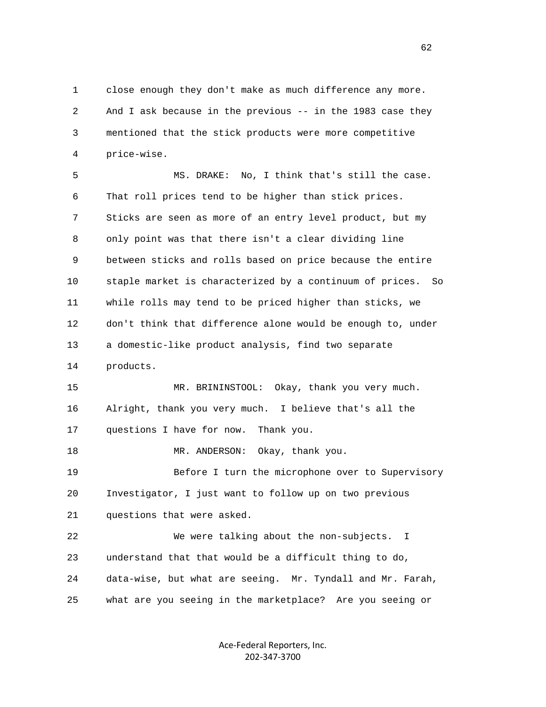1 close enough they don't make as much difference any more. 2 And I ask because in the previous -- in the 1983 case they 3 mentioned that the stick products were more competitive 4 price-wise.

 5 MS. DRAKE: No, I think that's still the case. 6 That roll prices tend to be higher than stick prices. 7 Sticks are seen as more of an entry level product, but my 8 only point was that there isn't a clear dividing line 9 between sticks and rolls based on price because the entire 10 staple market is characterized by a continuum of prices. So 11 while rolls may tend to be priced higher than sticks, we 12 don't think that difference alone would be enough to, under 13 a domestic-like product analysis, find two separate 14 products. 15 MR. BRININSTOOL: Okay, thank you very much. 16 Alright, thank you very much. I believe that's all the 17 questions I have for now. Thank you. 18 MR. ANDERSON: Okay, thank you. 19 Before I turn the microphone over to Supervisory 20 Investigator, I just want to follow up on two previous 21 questions that were asked. 22 We were talking about the non-subjects. I 23 understand that that would be a difficult thing to do,

25 what are you seeing in the marketplace? Are you seeing or

Ace‐Federal Reporters, Inc. 202‐347‐3700

24 data-wise, but what are seeing. Mr. Tyndall and Mr. Farah,

 $\sim$  62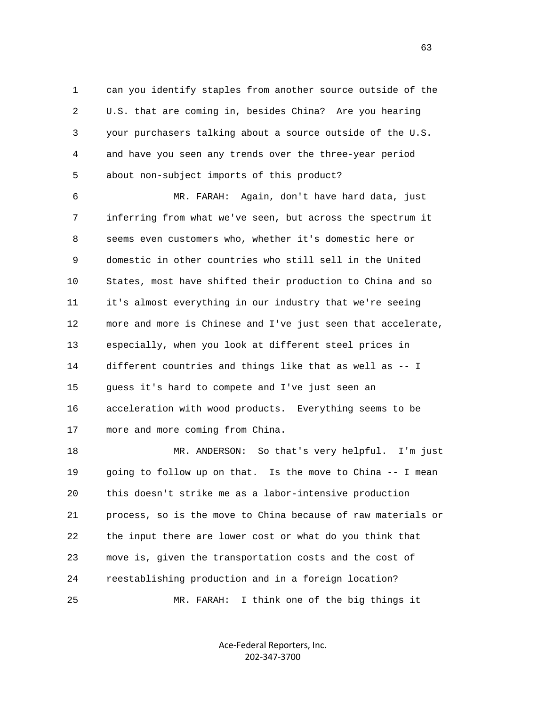1 can you identify staples from another source outside of the 2 U.S. that are coming in, besides China? Are you hearing 3 your purchasers talking about a source outside of the U.S. 4 and have you seen any trends over the three-year period 5 about non-subject imports of this product?

 6 MR. FARAH: Again, don't have hard data, just 7 inferring from what we've seen, but across the spectrum it 8 seems even customers who, whether it's domestic here or 9 domestic in other countries who still sell in the United 10 States, most have shifted their production to China and so 11 it's almost everything in our industry that we're seeing 12 more and more is Chinese and I've just seen that accelerate, 13 especially, when you look at different steel prices in 14 different countries and things like that as well as -- I 15 guess it's hard to compete and I've just seen an 16 acceleration with wood products. Everything seems to be 17 more and more coming from China.

 18 MR. ANDERSON: So that's very helpful. I'm just 19 going to follow up on that. Is the move to China -- I mean 20 this doesn't strike me as a labor-intensive production 21 process, so is the move to China because of raw materials or 22 the input there are lower cost or what do you think that 23 move is, given the transportation costs and the cost of 24 reestablishing production and in a foreign location? 25 MR. FARAH: I think one of the big things it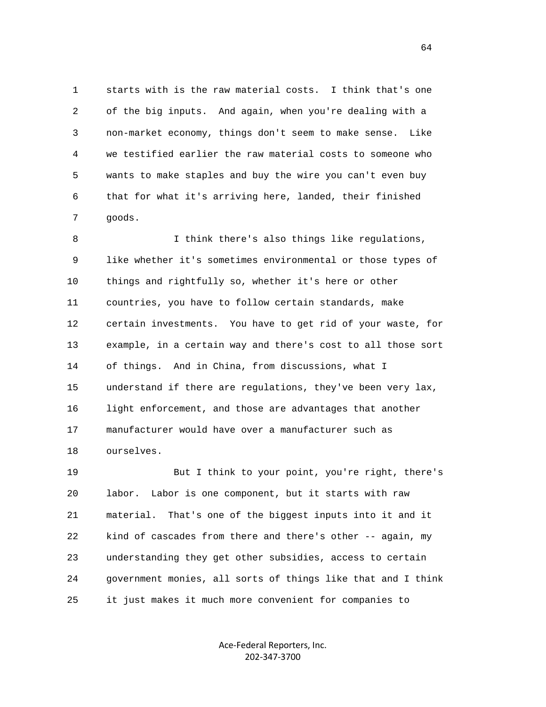1 starts with is the raw material costs. I think that's one 2 of the big inputs. And again, when you're dealing with a 3 non-market economy, things don't seem to make sense. Like 4 we testified earlier the raw material costs to someone who 5 wants to make staples and buy the wire you can't even buy 6 that for what it's arriving here, landed, their finished 7 goods.

 8 I think there's also things like regulations, 9 like whether it's sometimes environmental or those types of 10 things and rightfully so, whether it's here or other 11 countries, you have to follow certain standards, make 12 certain investments. You have to get rid of your waste, for 13 example, in a certain way and there's cost to all those sort 14 of things. And in China, from discussions, what I 15 understand if there are regulations, they've been very lax, 16 light enforcement, and those are advantages that another 17 manufacturer would have over a manufacturer such as 18 ourselves.

 19 But I think to your point, you're right, there's 20 labor. Labor is one component, but it starts with raw 21 material. That's one of the biggest inputs into it and it 22 kind of cascades from there and there's other -- again, my 23 understanding they get other subsidies, access to certain 24 government monies, all sorts of things like that and I think 25 it just makes it much more convenient for companies to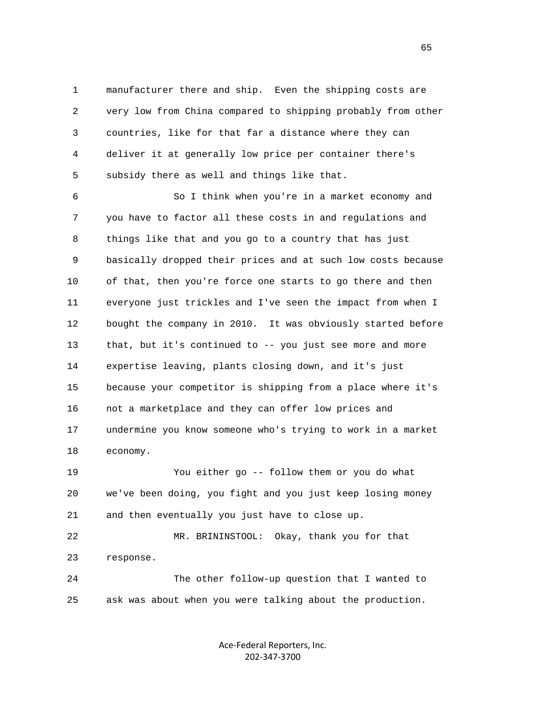1 manufacturer there and ship. Even the shipping costs are 2 very low from China compared to shipping probably from other 3 countries, like for that far a distance where they can 4 deliver it at generally low price per container there's 5 subsidy there as well and things like that.

 6 So I think when you're in a market economy and 7 you have to factor all these costs in and regulations and 8 things like that and you go to a country that has just 9 basically dropped their prices and at such low costs because 10 of that, then you're force one starts to go there and then 11 everyone just trickles and I've seen the impact from when I 12 bought the company in 2010. It was obviously started before 13 that, but it's continued to -- you just see more and more 14 expertise leaving, plants closing down, and it's just 15 because your competitor is shipping from a place where it's 16 not a marketplace and they can offer low prices and 17 undermine you know someone who's trying to work in a market 18 economy.

 19 You either go -- follow them or you do what 20 we've been doing, you fight and you just keep losing money 21 and then eventually you just have to close up.

 22 MR. BRININSTOOL: Okay, thank you for that 23 response.

 24 The other follow-up question that I wanted to 25 ask was about when you were talking about the production.

> Ace‐Federal Reporters, Inc. 202‐347‐3700

 $\sim$  65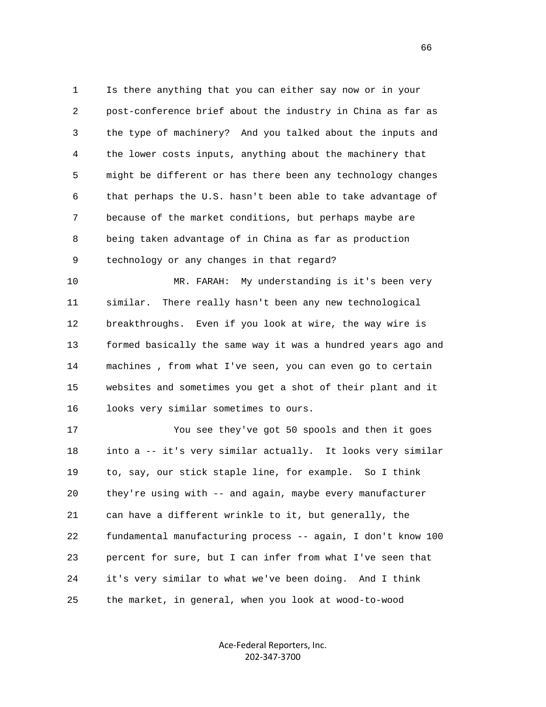1 Is there anything that you can either say now or in your 2 post-conference brief about the industry in China as far as 3 the type of machinery? And you talked about the inputs and 4 the lower costs inputs, anything about the machinery that 5 might be different or has there been any technology changes 6 that perhaps the U.S. hasn't been able to take advantage of 7 because of the market conditions, but perhaps maybe are 8 being taken advantage of in China as far as production 9 technology or any changes in that regard?

 10 MR. FARAH: My understanding is it's been very 11 similar. There really hasn't been any new technological 12 breakthroughs. Even if you look at wire, the way wire is 13 formed basically the same way it was a hundred years ago and 14 machines , from what I've seen, you can even go to certain 15 websites and sometimes you get a shot of their plant and it 16 looks very similar sometimes to ours.

 17 You see they've got 50 spools and then it goes 18 into a -- it's very similar actually. It looks very similar 19 to, say, our stick staple line, for example. So I think 20 they're using with -- and again, maybe every manufacturer 21 can have a different wrinkle to it, but generally, the 22 fundamental manufacturing process -- again, I don't know 100 23 percent for sure, but I can infer from what I've seen that 24 it's very similar to what we've been doing. And I think 25 the market, in general, when you look at wood-to-wood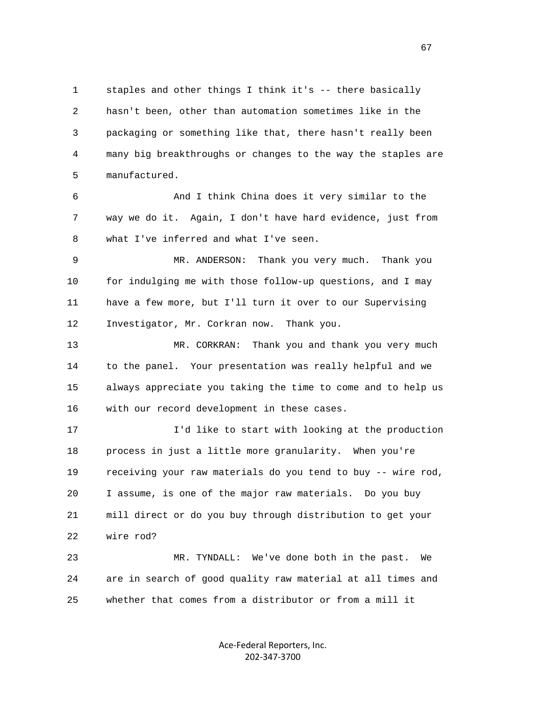1 staples and other things I think it's -- there basically 2 hasn't been, other than automation sometimes like in the 3 packaging or something like that, there hasn't really been 4 many big breakthroughs or changes to the way the staples are 5 manufactured.

 6 And I think China does it very similar to the 7 way we do it. Again, I don't have hard evidence, just from 8 what I've inferred and what I've seen.

 9 MR. ANDERSON: Thank you very much. Thank you 10 for indulging me with those follow-up questions, and I may 11 have a few more, but I'll turn it over to our Supervising 12 Investigator, Mr. Corkran now. Thank you.

 13 MR. CORKRAN: Thank you and thank you very much 14 to the panel. Your presentation was really helpful and we 15 always appreciate you taking the time to come and to help us 16 with our record development in these cases.

 17 I'd like to start with looking at the production 18 process in just a little more granularity. When you're 19 receiving your raw materials do you tend to buy -- wire rod, 20 I assume, is one of the major raw materials. Do you buy 21 mill direct or do you buy through distribution to get your 22 wire rod?

 23 MR. TYNDALL: We've done both in the past. We 24 are in search of good quality raw material at all times and 25 whether that comes from a distributor or from a mill it

> Ace‐Federal Reporters, Inc. 202‐347‐3700

 $\sim$  67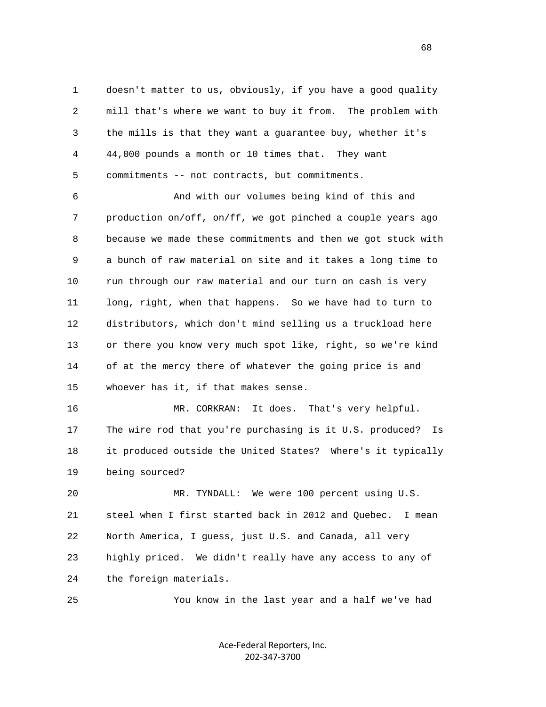1 doesn't matter to us, obviously, if you have a good quality 2 mill that's where we want to buy it from. The problem with 3 the mills is that they want a guarantee buy, whether it's 4 44,000 pounds a month or 10 times that. They want 5 commitments -- not contracts, but commitments.

 6 And with our volumes being kind of this and 7 production on/off, on/ff, we got pinched a couple years ago 8 because we made these commitments and then we got stuck with 9 a bunch of raw material on site and it takes a long time to 10 run through our raw material and our turn on cash is very 11 long, right, when that happens. So we have had to turn to 12 distributors, which don't mind selling us a truckload here 13 or there you know very much spot like, right, so we're kind 14 of at the mercy there of whatever the going price is and 15 whoever has it, if that makes sense.

 16 MR. CORKRAN: It does. That's very helpful. 17 The wire rod that you're purchasing is it U.S. produced? Is 18 it produced outside the United States? Where's it typically 19 being sourced?

 20 MR. TYNDALL: We were 100 percent using U.S. 21 steel when I first started back in 2012 and Quebec. I mean 22 North America, I guess, just U.S. and Canada, all very 23 highly priced. We didn't really have any access to any of 24 the foreign materials.

25 You know in the last year and a half we've had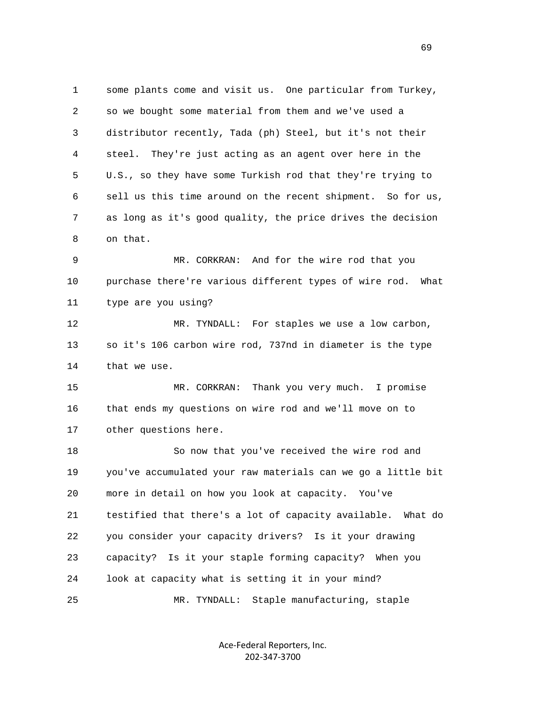1 some plants come and visit us. One particular from Turkey, 2 so we bought some material from them and we've used a 3 distributor recently, Tada (ph) Steel, but it's not their 4 steel. They're just acting as an agent over here in the 5 U.S., so they have some Turkish rod that they're trying to 6 sell us this time around on the recent shipment. So for us, 7 as long as it's good quality, the price drives the decision 8 on that. 9 MR. CORKRAN: And for the wire rod that you 10 purchase there're various different types of wire rod. What 11 type are you using? 12 MR. TYNDALL: For staples we use a low carbon, 13 so it's 106 carbon wire rod, 737nd in diameter is the type 14 that we use. 15 MR. CORKRAN: Thank you very much. I promise 16 that ends my questions on wire rod and we'll move on to 17 other questions here. 18 So now that you've received the wire rod and 19 you've accumulated your raw materials can we go a little bit 20 more in detail on how you look at capacity. You've 21 testified that there's a lot of capacity available. What do 22 you consider your capacity drivers? Is it your drawing 23 capacity? Is it your staple forming capacity? When you 24 look at capacity what is setting it in your mind? 25 MR. TYNDALL: Staple manufacturing, staple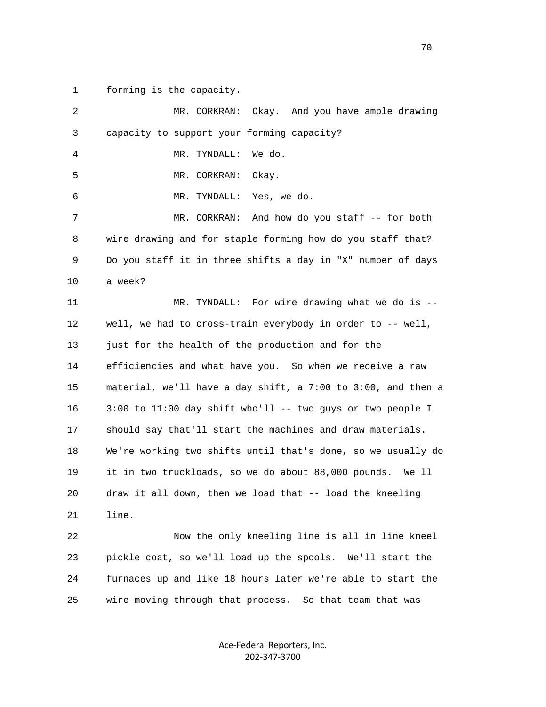1 forming is the capacity.

| 2  | Okay. And you have ample drawing<br>MR. CORKRAN:             |
|----|--------------------------------------------------------------|
| 3  | capacity to support your forming capacity?                   |
| 4  | MR. TYNDALL:<br>We do.                                       |
| 5  | MR. CORKRAN:<br>Okay.                                        |
| 6  | Yes, we do.<br>MR. TYNDALL:                                  |
| 7  | And how do you staff -- for both<br>MR. CORKRAN:             |
| 8  | wire drawing and for staple forming how do you staff that?   |
| 9  | Do you staff it in three shifts a day in "X" number of days  |
| 10 | a week?                                                      |
| 11 | MR. TYNDALL: For wire drawing what we do is --               |
| 12 | well, we had to cross-train everybody in order to -- well,   |
| 13 | just for the health of the production and for the            |
| 14 | efficiencies and what have you. So when we receive a raw     |
| 15 | material, we'll have a day shift, a 7:00 to 3:00, and then a |
| 16 | 3:00 to 11:00 day shift who'll -- two guys or two people I   |
| 17 | should say that'll start the machines and draw materials.    |
| 18 | We're working two shifts until that's done, so we usually do |
| 19 | it in two truckloads, so we do about 88,000 pounds. We'll    |
| 20 | draw it all down, then we load that -- load the kneeling     |
| 21 | line.                                                        |
| 22 | Now the only kneeling line is all in line kneel              |
| 23 | pickle coat, so we'll load up the spools. We'll start the    |
| 24 | furnaces up and like 18 hours later we're able to start the  |
| 25 | wire moving through that process. So that team that was      |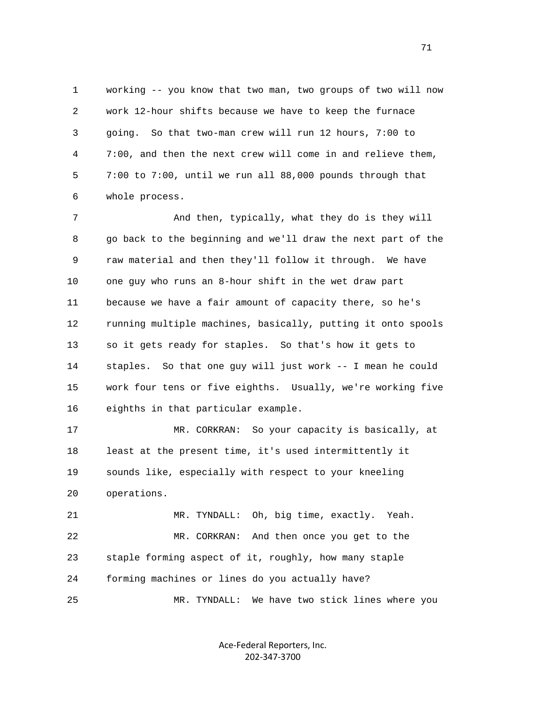1 working -- you know that two man, two groups of two will now 2 work 12-hour shifts because we have to keep the furnace 3 going. So that two-man crew will run 12 hours, 7:00 to 4 7:00, and then the next crew will come in and relieve them, 5 7:00 to 7:00, until we run all 88,000 pounds through that 6 whole process.

 7 And then, typically, what they do is they will 8 go back to the beginning and we'll draw the next part of the 9 raw material and then they'll follow it through. We have 10 one guy who runs an 8-hour shift in the wet draw part 11 because we have a fair amount of capacity there, so he's 12 running multiple machines, basically, putting it onto spools 13 so it gets ready for staples. So that's how it gets to 14 staples. So that one guy will just work -- I mean he could 15 work four tens or five eighths. Usually, we're working five 16 eighths in that particular example.

 17 MR. CORKRAN: So your capacity is basically, at 18 least at the present time, it's used intermittently it 19 sounds like, especially with respect to your kneeling 20 operations.

 21 MR. TYNDALL: Oh, big time, exactly. Yeah. 22 MR. CORKRAN: And then once you get to the 23 staple forming aspect of it, roughly, how many staple 24 forming machines or lines do you actually have? 25 MR. TYNDALL: We have two stick lines where you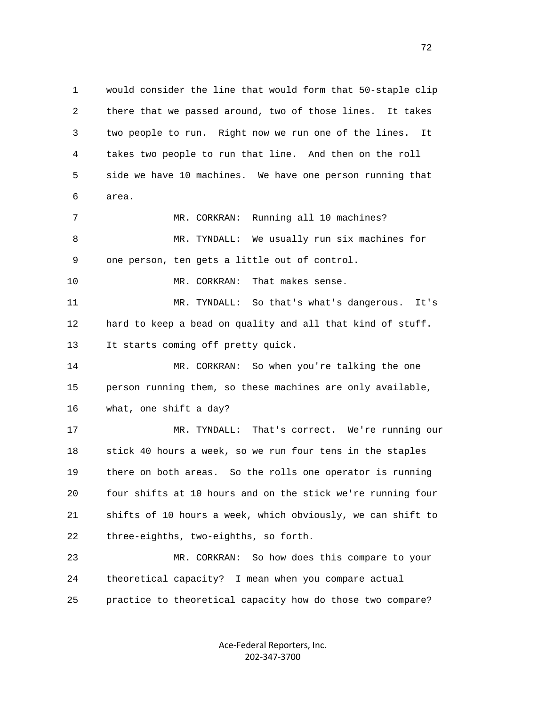1 would consider the line that would form that 50-staple clip 2 there that we passed around, two of those lines. It takes 3 two people to run. Right now we run one of the lines. It 4 takes two people to run that line. And then on the roll 5 side we have 10 machines. We have one person running that 6 area. 7 MR. CORKRAN: Running all 10 machines? 8 MR. TYNDALL: We usually run six machines for 9 one person, ten gets a little out of control. 10 MR. CORKRAN: That makes sense. 11 MR. TYNDALL: So that's what's dangerous. It's 12 hard to keep a bead on quality and all that kind of stuff. 13 It starts coming off pretty quick. 14 MR. CORKRAN: So when you're talking the one 15 person running them, so these machines are only available, 16 what, one shift a day? 17 MR. TYNDALL: That's correct. We're running our 18 stick 40 hours a week, so we run four tens in the staples 19 there on both areas. So the rolls one operator is running 20 four shifts at 10 hours and on the stick we're running four 21 shifts of 10 hours a week, which obviously, we can shift to 22 three-eighths, two-eighths, so forth. 23 MR. CORKRAN: So how does this compare to your 24 theoretical capacity? I mean when you compare actual 25 practice to theoretical capacity how do those two compare?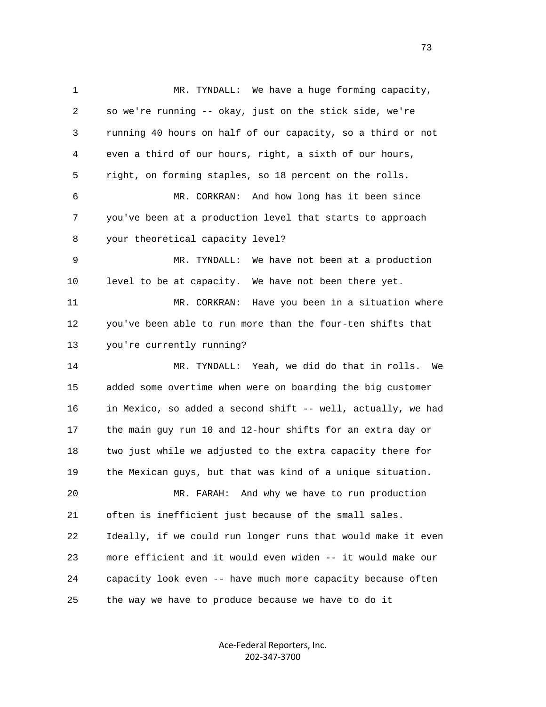1 MR. TYNDALL: We have a huge forming capacity, 2 so we're running -- okay, just on the stick side, we're 3 running 40 hours on half of our capacity, so a third or not 4 even a third of our hours, right, a sixth of our hours, 5 right, on forming staples, so 18 percent on the rolls. 6 MR. CORKRAN: And how long has it been since 7 you've been at a production level that starts to approach 8 your theoretical capacity level? 9 MR. TYNDALL: We have not been at a production 10 level to be at capacity. We have not been there yet. 11 MR. CORKRAN: Have you been in a situation where 12 you've been able to run more than the four-ten shifts that 13 you're currently running? 14 MR. TYNDALL: Yeah, we did do that in rolls. We 15 added some overtime when were on boarding the big customer 16 in Mexico, so added a second shift -- well, actually, we had 17 the main guy run 10 and 12-hour shifts for an extra day or 18 two just while we adjusted to the extra capacity there for 19 the Mexican guys, but that was kind of a unique situation. 20 MR. FARAH: And why we have to run production 21 often is inefficient just because of the small sales. 22 Ideally, if we could run longer runs that would make it even 23 more efficient and it would even widen -- it would make our 24 capacity look even -- have much more capacity because often 25 the way we have to produce because we have to do it

> Ace‐Federal Reporters, Inc. 202‐347‐3700

73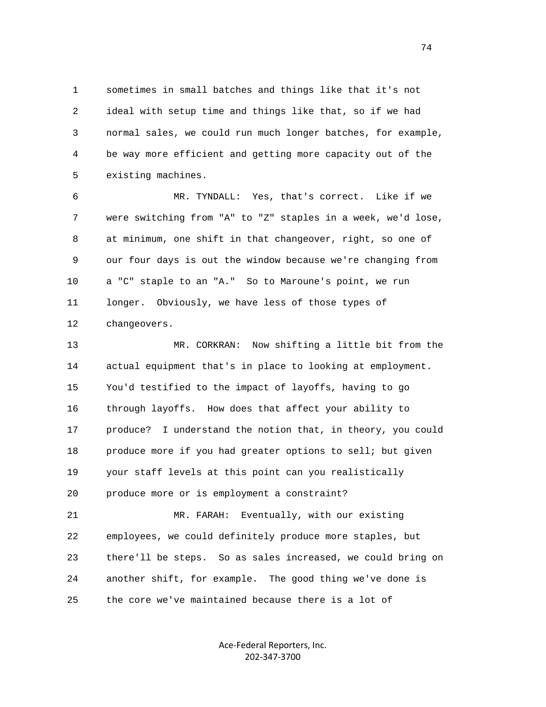1 sometimes in small batches and things like that it's not 2 ideal with setup time and things like that, so if we had 3 normal sales, we could run much longer batches, for example, 4 be way more efficient and getting more capacity out of the 5 existing machines.

 6 MR. TYNDALL: Yes, that's correct. Like if we 7 were switching from "A" to "Z" staples in a week, we'd lose, 8 at minimum, one shift in that changeover, right, so one of 9 our four days is out the window because we're changing from 10 a "C" staple to an "A." So to Maroune's point, we run 11 longer. Obviously, we have less of those types of 12 changeovers.

 13 MR. CORKRAN: Now shifting a little bit from the 14 actual equipment that's in place to looking at employment. 15 You'd testified to the impact of layoffs, having to go 16 through layoffs. How does that affect your ability to 17 produce? I understand the notion that, in theory, you could 18 produce more if you had greater options to sell; but given 19 your staff levels at this point can you realistically 20 produce more or is employment a constraint?

 21 MR. FARAH: Eventually, with our existing 22 employees, we could definitely produce more staples, but 23 there'll be steps. So as sales increased, we could bring on 24 another shift, for example. The good thing we've done is 25 the core we've maintained because there is a lot of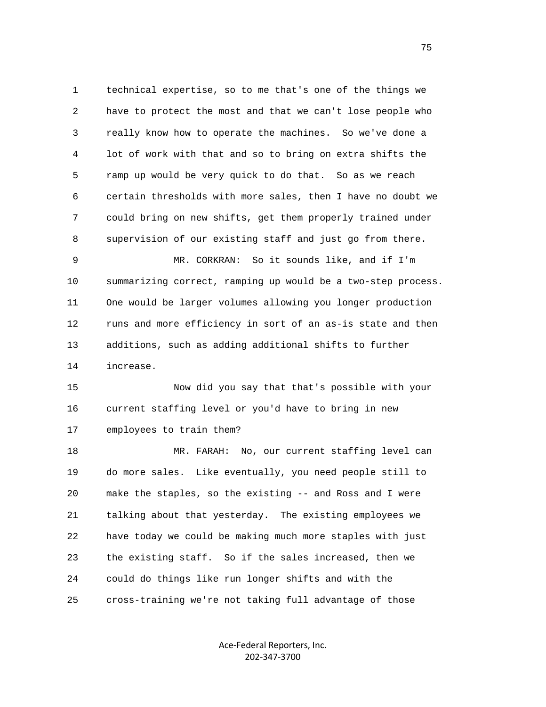1 technical expertise, so to me that's one of the things we 2 have to protect the most and that we can't lose people who 3 really know how to operate the machines. So we've done a 4 lot of work with that and so to bring on extra shifts the 5 ramp up would be very quick to do that. So as we reach 6 certain thresholds with more sales, then I have no doubt we 7 could bring on new shifts, get them properly trained under 8 supervision of our existing staff and just go from there.

 9 MR. CORKRAN: So it sounds like, and if I'm 10 summarizing correct, ramping up would be a two-step process. 11 One would be larger volumes allowing you longer production 12 runs and more efficiency in sort of an as-is state and then 13 additions, such as adding additional shifts to further 14 increase.

 15 Now did you say that that's possible with your 16 current staffing level or you'd have to bring in new 17 employees to train them?

 18 MR. FARAH: No, our current staffing level can 19 do more sales. Like eventually, you need people still to 20 make the staples, so the existing -- and Ross and I were 21 talking about that yesterday. The existing employees we 22 have today we could be making much more staples with just 23 the existing staff. So if the sales increased, then we 24 could do things like run longer shifts and with the 25 cross-training we're not taking full advantage of those

> Ace‐Federal Reporters, Inc. 202‐347‐3700

75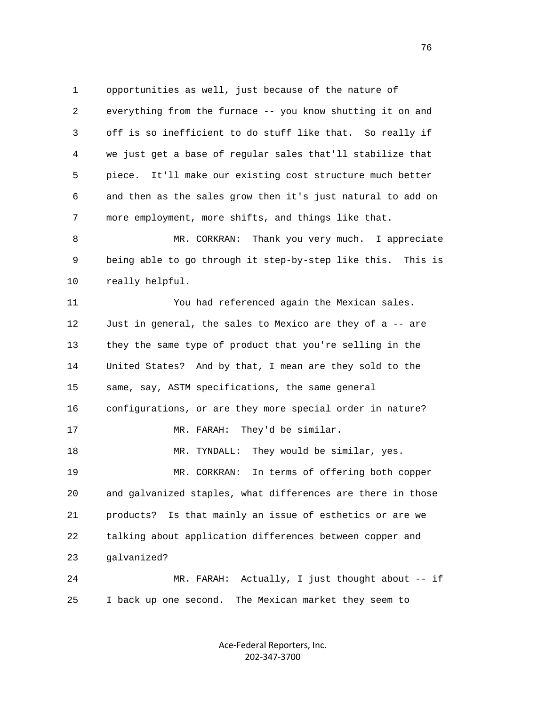1 opportunities as well, just because of the nature of 2 everything from the furnace -- you know shutting it on and 3 off is so inefficient to do stuff like that. So really if 4 we just get a base of regular sales that'll stabilize that 5 piece. It'll make our existing cost structure much better 6 and then as the sales grow then it's just natural to add on 7 more employment, more shifts, and things like that. 8 MR. CORKRAN: Thank you very much. I appreciate 9 being able to go through it step-by-step like this. This is 10 really helpful. 11 You had referenced again the Mexican sales. 12 Just in general, the sales to Mexico are they of a -- are 13 they the same type of product that you're selling in the 14 United States? And by that, I mean are they sold to the 15 same, say, ASTM specifications, the same general 16 configurations, or are they more special order in nature? 17 MR. FARAH: They'd be similar. 18 MR. TYNDALL: They would be similar, yes. 19 MR. CORKRAN: In terms of offering both copper 20 and galvanized staples, what differences are there in those 21 products? Is that mainly an issue of esthetics or are we 22 talking about application differences between copper and 23 galvanized? 24 MR. FARAH: Actually, I just thought about -- if 25 I back up one second. The Mexican market they seem to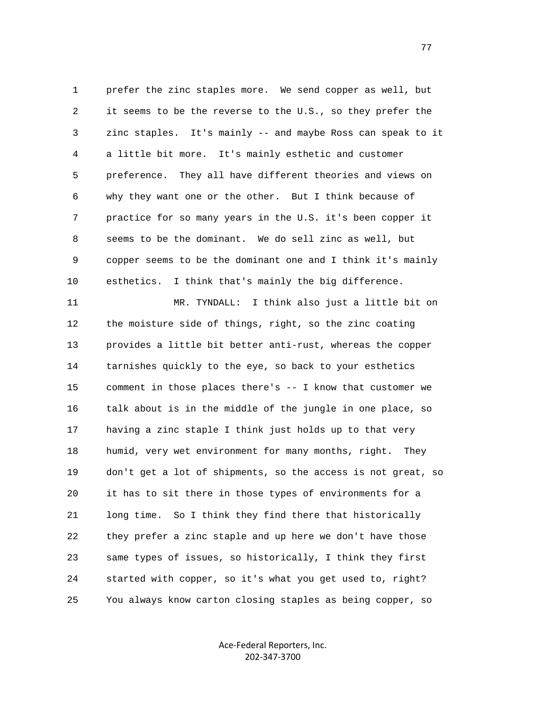1 prefer the zinc staples more. We send copper as well, but 2 it seems to be the reverse to the U.S., so they prefer the 3 zinc staples. It's mainly -- and maybe Ross can speak to it 4 a little bit more. It's mainly esthetic and customer 5 preference. They all have different theories and views on 6 why they want one or the other. But I think because of 7 practice for so many years in the U.S. it's been copper it 8 seems to be the dominant. We do sell zinc as well, but 9 copper seems to be the dominant one and I think it's mainly 10 esthetics. I think that's mainly the big difference.

 11 MR. TYNDALL: I think also just a little bit on 12 the moisture side of things, right, so the zinc coating 13 provides a little bit better anti-rust, whereas the copper 14 tarnishes quickly to the eye, so back to your esthetics 15 comment in those places there's -- I know that customer we 16 talk about is in the middle of the jungle in one place, so 17 having a zinc staple I think just holds up to that very 18 humid, very wet environment for many months, right. They 19 don't get a lot of shipments, so the access is not great, so 20 it has to sit there in those types of environments for a 21 long time. So I think they find there that historically 22 they prefer a zinc staple and up here we don't have those 23 same types of issues, so historically, I think they first 24 started with copper, so it's what you get used to, right? 25 You always know carton closing staples as being copper, so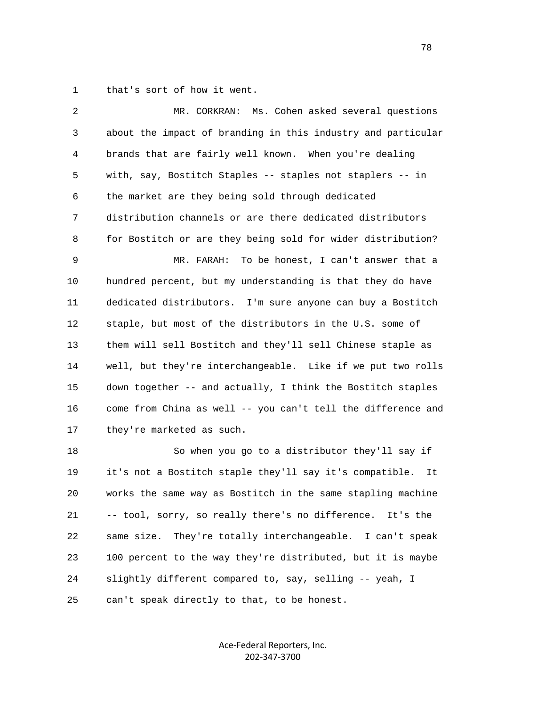1 that's sort of how it went.

| 2  | MR. CORKRAN: Ms. Cohen asked several questions               |
|----|--------------------------------------------------------------|
| 3  | about the impact of branding in this industry and particular |
| 4  | brands that are fairly well known. When you're dealing       |
| 5  | with, say, Bostitch Staples -- staples not staplers -- in    |
| 6  | the market are they being sold through dedicated             |
| 7  | distribution channels or are there dedicated distributors    |
| 8  | for Bostitch or are they being sold for wider distribution?  |
| 9  | To be honest, I can't answer that a<br>MR. FARAH:            |
| 10 | hundred percent, but my understanding is that they do have   |
| 11 | dedicated distributors. I'm sure anyone can buy a Bostitch   |
| 12 | staple, but most of the distributors in the U.S. some of     |
| 13 | them will sell Bostitch and they'll sell Chinese staple as   |
| 14 | well, but they're interchangeable. Like if we put two rolls  |
| 15 | down together -- and actually, I think the Bostitch staples  |
| 16 | come from China as well -- you can't tell the difference and |
| 17 | they're marketed as such.                                    |
| 18 | So when you go to a distributor they'll say if               |
| 19 | it's not a Bostitch staple they'll say it's compatible. It   |
| 20 | works the same way as Bostitch in the same stapling machine  |
| 21 | -- tool, sorry, so really there's no difference. It's the    |
| 22 | They're totally interchangeable. I can't speak<br>same size. |
| 23 | 100 percent to the way they're distributed, but it is maybe  |
| 24 | slightly different compared to, say, selling -- yeah, I      |
|    |                                                              |

25 can't speak directly to that, to be honest.

Ace‐Federal Reporters, Inc. 202‐347‐3700

n and the state of the state of the state of the state of the state of the state of the state of the state of the state of the state of the state of the state of the state of the state of the state of the state of the stat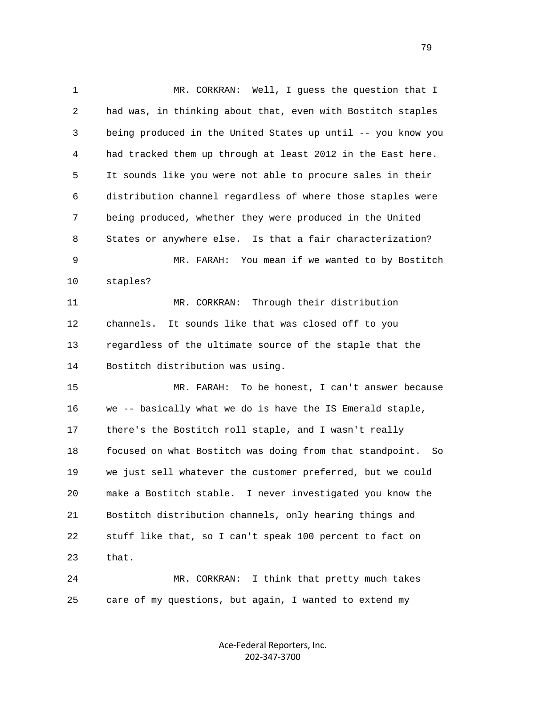1 MR. CORKRAN: Well, I guess the question that I 2 had was, in thinking about that, even with Bostitch staples 3 being produced in the United States up until -- you know you 4 had tracked them up through at least 2012 in the East here. 5 It sounds like you were not able to procure sales in their 6 distribution channel regardless of where those staples were 7 being produced, whether they were produced in the United 8 States or anywhere else. Is that a fair characterization? 9 MR. FARAH: You mean if we wanted to by Bostitch 10 staples? 11 MR. CORKRAN: Through their distribution 12 channels. It sounds like that was closed off to you 13 regardless of the ultimate source of the staple that the 14 Bostitch distribution was using. 15 MR. FARAH: To be honest, I can't answer because 16 we -- basically what we do is have the IS Emerald staple, 17 there's the Bostitch roll staple, and I wasn't really 18 focused on what Bostitch was doing from that standpoint. So 19 we just sell whatever the customer preferred, but we could 20 make a Bostitch stable. I never investigated you know the 21 Bostitch distribution channels, only hearing things and 22 stuff like that, so I can't speak 100 percent to fact on 23 that. 24 MR. CORKRAN: I think that pretty much takes

> Ace‐Federal Reporters, Inc. 202‐347‐3700

25 care of my questions, but again, I wanted to extend my

79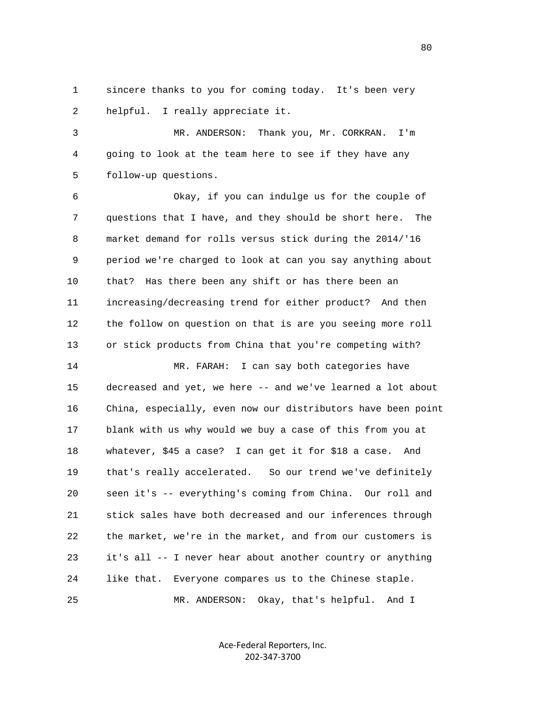1 sincere thanks to you for coming today. It's been very 2 helpful. I really appreciate it.

 3 MR. ANDERSON: Thank you, Mr. CORKRAN. I'm 4 going to look at the team here to see if they have any 5 follow-up questions.

 6 Okay, if you can indulge us for the couple of 7 questions that I have, and they should be short here. The 8 market demand for rolls versus stick during the 2014/'16 9 period we're charged to look at can you say anything about 10 that? Has there been any shift or has there been an 11 increasing/decreasing trend for either product? And then 12 the follow on question on that is are you seeing more roll 13 or stick products from China that you're competing with?

 14 MR. FARAH: I can say both categories have 15 decreased and yet, we here -- and we've learned a lot about 16 China, especially, even now our distributors have been point 17 blank with us why would we buy a case of this from you at 18 whatever, \$45 a case? I can get it for \$18 a case. And 19 that's really accelerated. So our trend we've definitely 20 seen it's -- everything's coming from China. Our roll and 21 stick sales have both decreased and our inferences through 22 the market, we're in the market, and from our customers is 23 it's all -- I never hear about another country or anything 24 like that. Everyone compares us to the Chinese staple. 25 MR. ANDERSON: Okay, that's helpful. And I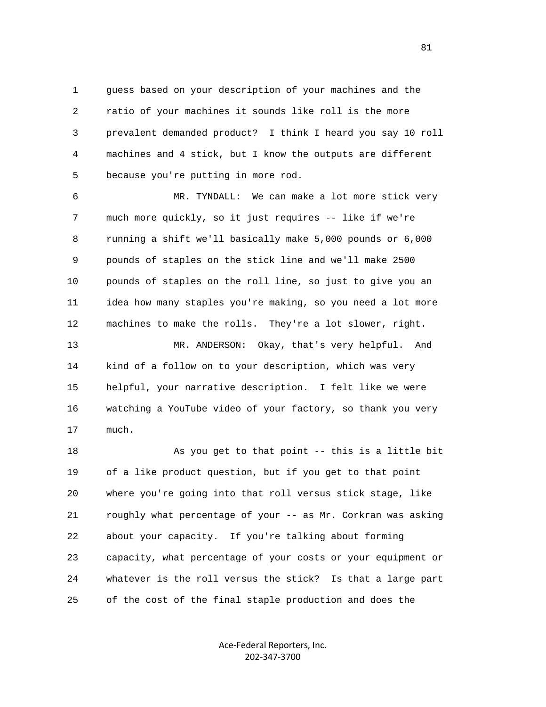1 guess based on your description of your machines and the 2 ratio of your machines it sounds like roll is the more 3 prevalent demanded product? I think I heard you say 10 roll 4 machines and 4 stick, but I know the outputs are different 5 because you're putting in more rod.

 6 MR. TYNDALL: We can make a lot more stick very 7 much more quickly, so it just requires -- like if we're 8 running a shift we'll basically make 5,000 pounds or 6,000 9 pounds of staples on the stick line and we'll make 2500 10 pounds of staples on the roll line, so just to give you an 11 idea how many staples you're making, so you need a lot more 12 machines to make the rolls. They're a lot slower, right.

 13 MR. ANDERSON: Okay, that's very helpful. And 14 kind of a follow on to your description, which was very 15 helpful, your narrative description. I felt like we were 16 watching a YouTube video of your factory, so thank you very 17 much.

18 As you get to that point -- this is a little bit 19 of a like product question, but if you get to that point 20 where you're going into that roll versus stick stage, like 21 roughly what percentage of your -- as Mr. Corkran was asking 22 about your capacity. If you're talking about forming 23 capacity, what percentage of your costs or your equipment or 24 whatever is the roll versus the stick? Is that a large part 25 of the cost of the final staple production and does the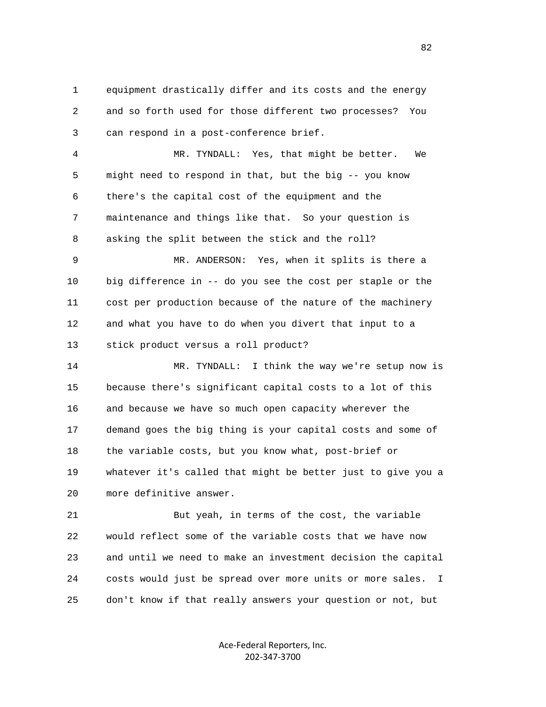1 equipment drastically differ and its costs and the energy 2 and so forth used for those different two processes? You 3 can respond in a post-conference brief.

 4 MR. TYNDALL: Yes, that might be better. We 5 might need to respond in that, but the big -- you know 6 there's the capital cost of the equipment and the 7 maintenance and things like that. So your question is 8 asking the split between the stick and the roll?

 9 MR. ANDERSON: Yes, when it splits is there a 10 big difference in -- do you see the cost per staple or the 11 cost per production because of the nature of the machinery 12 and what you have to do when you divert that input to a 13 stick product versus a roll product?

 14 MR. TYNDALL: I think the way we're setup now is 15 because there's significant capital costs to a lot of this 16 and because we have so much open capacity wherever the 17 demand goes the big thing is your capital costs and some of 18 the variable costs, but you know what, post-brief or 19 whatever it's called that might be better just to give you a 20 more definitive answer.

 21 But yeah, in terms of the cost, the variable 22 would reflect some of the variable costs that we have now 23 and until we need to make an investment decision the capital 24 costs would just be spread over more units or more sales. I 25 don't know if that really answers your question or not, but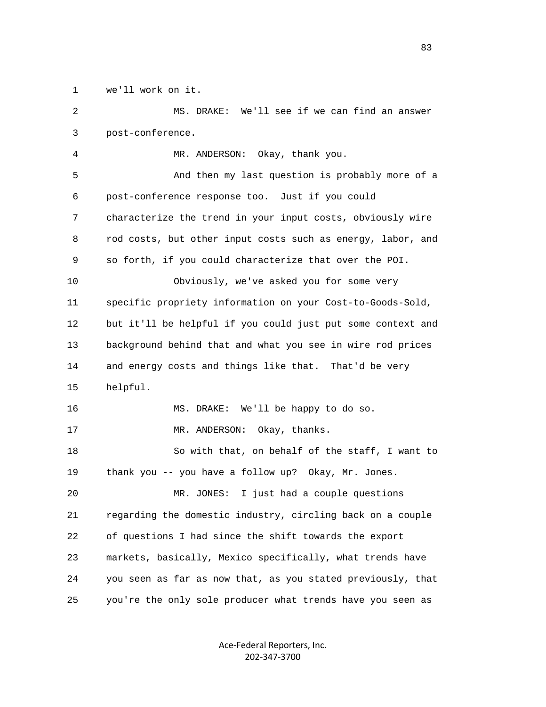1 we'll work on it.

 2 MS. DRAKE: We'll see if we can find an answer 3 post-conference. 4 MR. ANDERSON: Okay, thank you. 5 And then my last question is probably more of a 6 post-conference response too. Just if you could 7 characterize the trend in your input costs, obviously wire 8 rod costs, but other input costs such as energy, labor, and 9 so forth, if you could characterize that over the POI. 10 Obviously, we've asked you for some very 11 specific propriety information on your Cost-to-Goods-Sold, 12 but it'll be helpful if you could just put some context and 13 background behind that and what you see in wire rod prices 14 and energy costs and things like that. That'd be very 15 helpful. 16 MS. DRAKE: We'll be happy to do so. 17 MR. ANDERSON: Okay, thanks. 18 So with that, on behalf of the staff, I want to 19 thank you -- you have a follow up? Okay, Mr. Jones. 20 MR. JONES: I just had a couple questions 21 regarding the domestic industry, circling back on a couple 22 of questions I had since the shift towards the export 23 markets, basically, Mexico specifically, what trends have 24 you seen as far as now that, as you stated previously, that 25 you're the only sole producer what trends have you seen as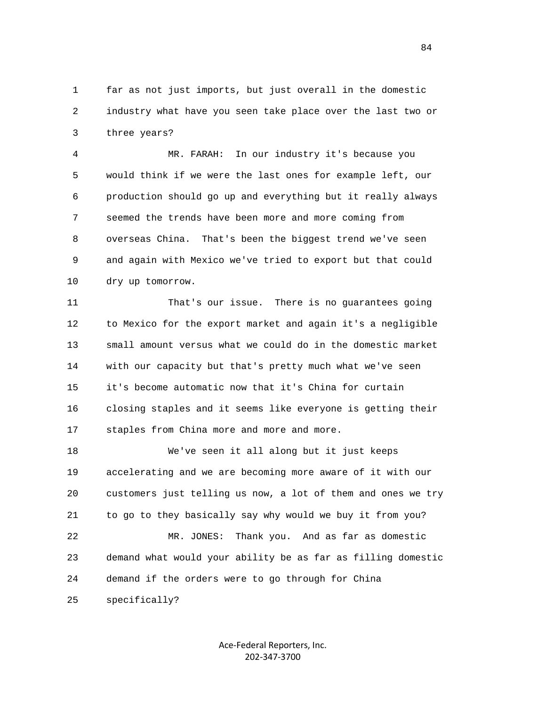1 far as not just imports, but just overall in the domestic 2 industry what have you seen take place over the last two or 3 three years?

 4 MR. FARAH: In our industry it's because you 5 would think if we were the last ones for example left, our 6 production should go up and everything but it really always 7 seemed the trends have been more and more coming from 8 overseas China. That's been the biggest trend we've seen 9 and again with Mexico we've tried to export but that could 10 dry up tomorrow.

 11 That's our issue. There is no guarantees going 12 to Mexico for the export market and again it's a negligible 13 small amount versus what we could do in the domestic market 14 with our capacity but that's pretty much what we've seen 15 it's become automatic now that it's China for curtain 16 closing staples and it seems like everyone is getting their 17 staples from China more and more and more.

 18 We've seen it all along but it just keeps 19 accelerating and we are becoming more aware of it with our 20 customers just telling us now, a lot of them and ones we try 21 to go to they basically say why would we buy it from you? 22 MR. JONES: Thank you. And as far as domestic 23 demand what would your ability be as far as filling domestic 24 demand if the orders were to go through for China

25 specifically?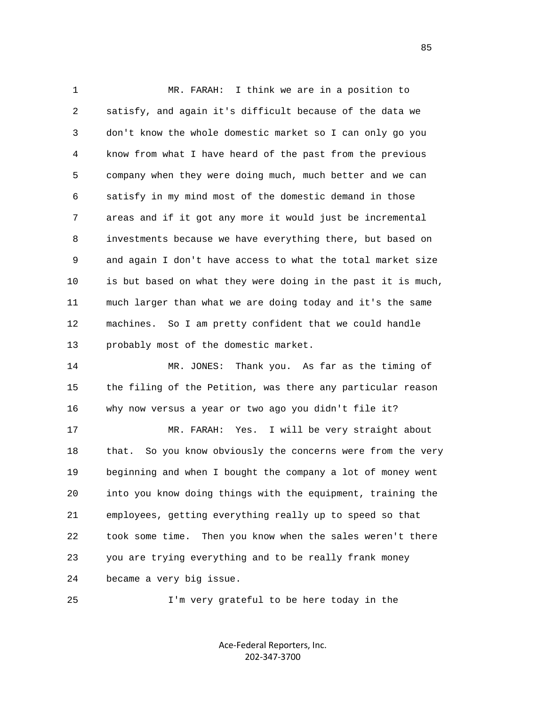1 MR. FARAH: I think we are in a position to 2 satisfy, and again it's difficult because of the data we 3 don't know the whole domestic market so I can only go you 4 know from what I have heard of the past from the previous 5 company when they were doing much, much better and we can 6 satisfy in my mind most of the domestic demand in those 7 areas and if it got any more it would just be incremental 8 investments because we have everything there, but based on 9 and again I don't have access to what the total market size 10 is but based on what they were doing in the past it is much, 11 much larger than what we are doing today and it's the same 12 machines. So I am pretty confident that we could handle 13 probably most of the domestic market. 14 MR. JONES: Thank you. As far as the timing of

 15 the filing of the Petition, was there any particular reason 16 why now versus a year or two ago you didn't file it?

 17 MR. FARAH: Yes. I will be very straight about 18 that. So you know obviously the concerns were from the very 19 beginning and when I bought the company a lot of money went 20 into you know doing things with the equipment, training the 21 employees, getting everything really up to speed so that 22 took some time. Then you know when the sales weren't there 23 you are trying everything and to be really frank money 24 became a very big issue.

25 I'm very grateful to be here today in the

Ace‐Federal Reporters, Inc. 202‐347‐3700

<u>85</u>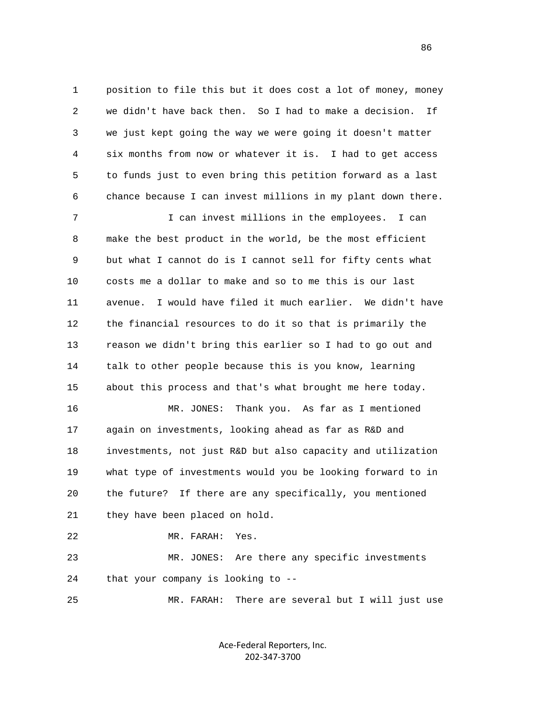1 position to file this but it does cost a lot of money, money 2 we didn't have back then. So I had to make a decision. If 3 we just kept going the way we were going it doesn't matter 4 six months from now or whatever it is. I had to get access 5 to funds just to even bring this petition forward as a last 6 chance because I can invest millions in my plant down there.

 7 I can invest millions in the employees. I can 8 make the best product in the world, be the most efficient 9 but what I cannot do is I cannot sell for fifty cents what 10 costs me a dollar to make and so to me this is our last 11 avenue. I would have filed it much earlier. We didn't have 12 the financial resources to do it so that is primarily the 13 reason we didn't bring this earlier so I had to go out and 14 talk to other people because this is you know, learning 15 about this process and that's what brought me here today.

 16 MR. JONES: Thank you. As far as I mentioned 17 again on investments, looking ahead as far as R&D and 18 investments, not just R&D but also capacity and utilization 19 what type of investments would you be looking forward to in 20 the future? If there are any specifically, you mentioned 21 they have been placed on hold.

```
 22 MR. FARAH: Yes.
```
 23 MR. JONES: Are there any specific investments 24 that your company is looking to --

25 MR. FARAH: There are several but I will just use

Ace‐Federal Reporters, Inc. 202‐347‐3700

<u>86 and 2001 and 2002 and 2003 and 2003 and 2003 and 2003 and 2003 and 2003 and 2003 and 2003 and 2003 and 200</u>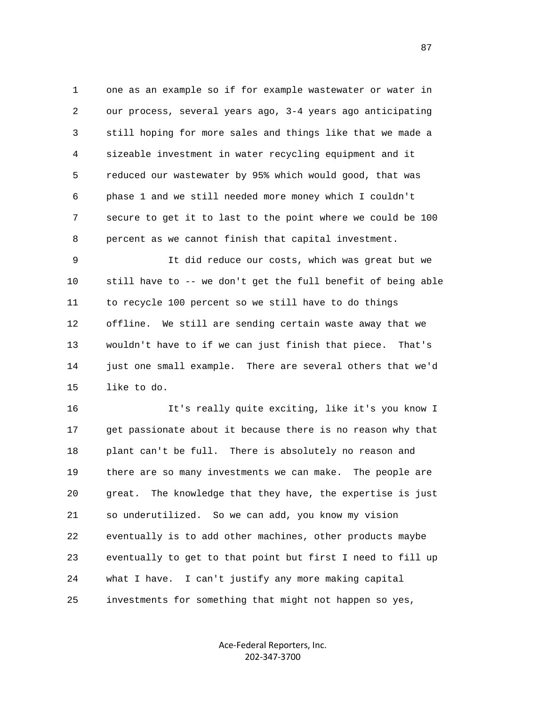1 one as an example so if for example wastewater or water in 2 our process, several years ago, 3-4 years ago anticipating 3 still hoping for more sales and things like that we made a 4 sizeable investment in water recycling equipment and it 5 reduced our wastewater by 95% which would good, that was 6 phase 1 and we still needed more money which I couldn't 7 secure to get it to last to the point where we could be 100 8 percent as we cannot finish that capital investment.

 9 It did reduce our costs, which was great but we 10 still have to -- we don't get the full benefit of being able 11 to recycle 100 percent so we still have to do things 12 offline. We still are sending certain waste away that we 13 wouldn't have to if we can just finish that piece. That's 14 just one small example. There are several others that we'd 15 like to do.

 16 It's really quite exciting, like it's you know I 17 get passionate about it because there is no reason why that 18 plant can't be full. There is absolutely no reason and 19 there are so many investments we can make. The people are 20 great. The knowledge that they have, the expertise is just 21 so underutilized. So we can add, you know my vision 22 eventually is to add other machines, other products maybe 23 eventually to get to that point but first I need to fill up 24 what I have. I can't justify any more making capital 25 investments for something that might not happen so yes,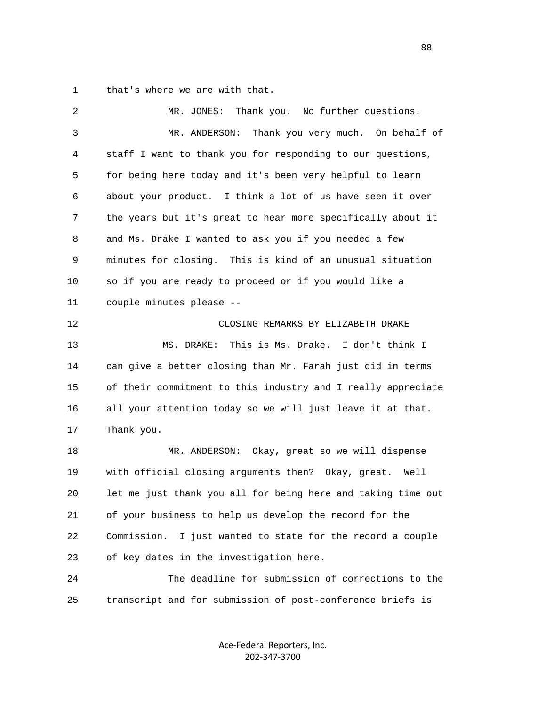1 that's where we are with that.

| 2  | Thank you. No further questions.<br>MR. JONES:                |
|----|---------------------------------------------------------------|
| 3  | Thank you very much. On behalf of<br>MR. ANDERSON:            |
| 4  | staff I want to thank you for responding to our questions,    |
| 5  | for being here today and it's been very helpful to learn      |
| 6  | about your product. I think a lot of us have seen it over     |
| 7  | the years but it's great to hear more specifically about it   |
| 8  | and Ms. Drake I wanted to ask you if you needed a few         |
| 9  | minutes for closing. This is kind of an unusual situation     |
| 10 | so if you are ready to proceed or if you would like a         |
| 11 | couple minutes please --                                      |
| 12 | CLOSING REMARKS BY ELIZABETH DRAKE                            |
| 13 | This is Ms. Drake. I don't think I<br>MS. DRAKE:              |
| 14 | can give a better closing than Mr. Farah just did in terms    |
| 15 | of their commitment to this industry and I really appreciate  |
| 16 | all your attention today so we will just leave it at that.    |
| 17 | Thank you.                                                    |
| 18 | MR. ANDERSON: Okay, great so we will dispense                 |
| 19 | with official closing arguments then? Okay, great. Well       |
| 20 | let me just thank you all for being here and taking time out  |
| 21 | of your business to help us develop the record for the        |
| 22 | Commission.<br>I just wanted to state for the record a couple |
| 23 | of key dates in the investigation here.                       |
| 24 | The deadline for submission of corrections to the             |
| 25 | transcript and for submission of post-conference briefs is    |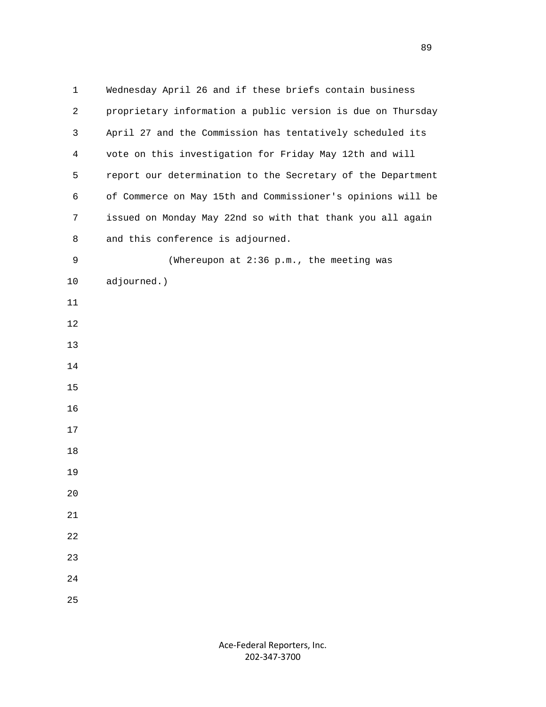1 Wednesday April 26 and if these briefs contain business 2 proprietary information a public version is due on Thursday 3 April 27 and the Commission has tentatively scheduled its 4 vote on this investigation for Friday May 12th and will 5 report our determination to the Secretary of the Department 6 of Commerce on May 15th and Commissioner's opinions will be 7 issued on Monday May 22nd so with that thank you all again 8 and this conference is adjourned. 9 (Whereupon at 2:36 p.m., the meeting was 10 adjourned.) 11 12 13 14 15 16 17 18 19 20 21 22 23 24 25